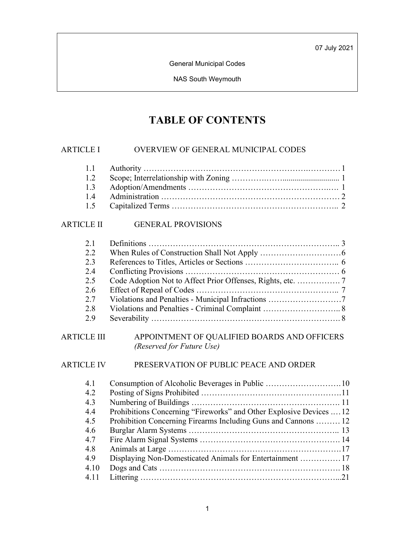General Municipal Codes

NAS South Weymouth

# **TABLE OF CONTENTS**

### ARTICLE I OVERVIEW OF GENERAL MUNICIPAL CODES

### ARTICLE II GENERAL PROVISIONS

| 2 <sub>1</sub> |                                                                           |
|----------------|---------------------------------------------------------------------------|
| 2.2            |                                                                           |
| 2.3            |                                                                           |
| 2.4            |                                                                           |
| 2.5            |                                                                           |
| 2.6            |                                                                           |
| 2.7            |                                                                           |
| 2.8            |                                                                           |
| 2.9            |                                                                           |
| ARTICLE III    | APPOINTMENT OF QUALIFIED BOARDS AND OFFICERS<br>(Reserved for Future Use) |

### ARTICLE IV PRESERVATION OF PUBLIC PEACE AND ORDER

| 4.1  |                                                                     |  |
|------|---------------------------------------------------------------------|--|
| 4.2  |                                                                     |  |
| 4.3  |                                                                     |  |
| 4.4  | Prohibitions Concerning "Fireworks" and Other Explosive Devices  12 |  |
| 4.5  | Prohibition Concerning Firearms Including Guns and Cannons  12      |  |
| 4.6  |                                                                     |  |
| 4.7  |                                                                     |  |
| 4.8  |                                                                     |  |
| 4.9  |                                                                     |  |
| 4.10 |                                                                     |  |
| 4.11 |                                                                     |  |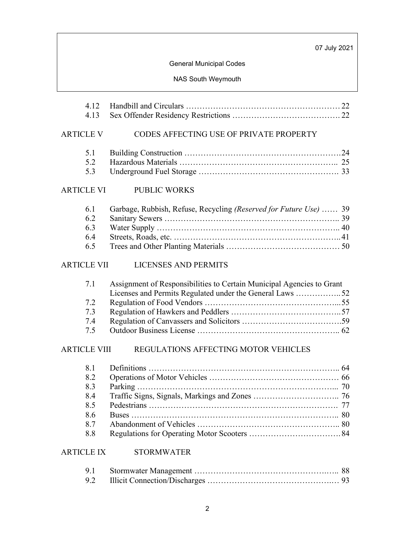# General Municipal Codes

### NAS South Weymouth

| 4.12<br>4.13                                         |                                                                                                                                   |
|------------------------------------------------------|-----------------------------------------------------------------------------------------------------------------------------------|
| <b>ARTICLE V</b>                                     | CODES AFFECTING USE OF PRIVATE PROPERTY                                                                                           |
| 5.1<br>5.2<br>5.3                                    |                                                                                                                                   |
| <b>ARTICLE VI</b>                                    | <b>PUBLIC WORKS</b>                                                                                                               |
| 6.1<br>6.2<br>6.3<br>6.4<br>6.5                      | Garbage, Rubbish, Refuse, Recycling (Reserved for Future Use)  39                                                                 |
| <b>ARTICLE VII</b>                                   | <b>LICENSES AND PERMITS</b>                                                                                                       |
| 7.1<br>7.2<br>7.3<br>7.4<br>7.5                      | Assignment of Responsibilities to Certain Municipal Agencies to Grant<br>Licenses and Permits Regulated under the General Laws 52 |
| <b>ARTICLE VIII</b>                                  | REGULATIONS AFFECTING MOTOR VEHICLES                                                                                              |
| 8.1<br>8.2<br>8.3<br>8.4<br>8.5<br>8.6<br>8.7<br>8.8 |                                                                                                                                   |
| <b>ARTICLE IX</b>                                    | <b>STORMWATER</b>                                                                                                                 |
| 9.1<br>9.2                                           |                                                                                                                                   |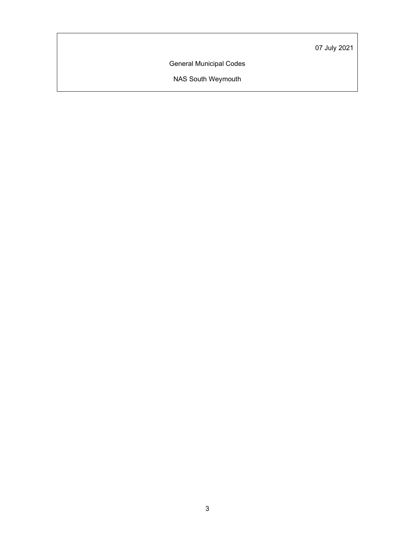General Municipal Codes

NAS South Weymouth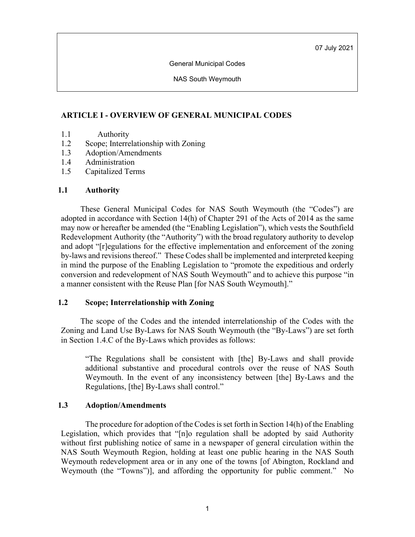General Municipal Codes

NAS South Weymouth

# **ARTICLE I - OVERVIEW OF GENERAL MUNICIPAL CODES**

- 1.1 Authority
- 1.2 Scope; Interrelationship with Zoning
- 1.3 Adoption/Amendments
- 1.4 Administration
- 1.5 Capitalized Terms

# **1.1 Authority**

These General Municipal Codes for NAS South Weymouth (the "Codes") are adopted in accordance with Section 14(h) of Chapter 291 of the Acts of 2014 as the same may now or hereafter be amended (the "Enabling Legislation"), which vests the Southfield Redevelopment Authority (the "Authority") with the broad regulatory authority to develop and adopt "[r]egulations for the effective implementation and enforcement of the zoning by-laws and revisions thereof." These Codes shall be implemented and interpreted keeping in mind the purpose of the Enabling Legislation to "promote the expeditious and orderly conversion and redevelopment of NAS South Weymouth" and to achieve this purpose "in a manner consistent with the Reuse Plan [for NAS South Weymouth]."

# **1.2 Scope; Interrelationship with Zoning**

The scope of the Codes and the intended interrelationship of the Codes with the Zoning and Land Use By-Laws for NAS South Weymouth (the "By-Laws") are set forth in Section 1.4.C of the By-Laws which provides as follows:

"The Regulations shall be consistent with [the] By-Laws and shall provide additional substantive and procedural controls over the reuse of NAS South Weymouth. In the event of any inconsistency between [the] By-Laws and the Regulations, [the] By-Laws shall control."

# **1.3 Adoption/Amendments**

The procedure for adoption of the Codes is set forth in Section 14(h) of the Enabling Legislation, which provides that "[n]o regulation shall be adopted by said Authority without first publishing notice of same in a newspaper of general circulation within the NAS South Weymouth Region, holding at least one public hearing in the NAS South Weymouth redevelopment area or in any one of the towns [of Abington, Rockland and Weymouth (the "Towns")], and affording the opportunity for public comment." No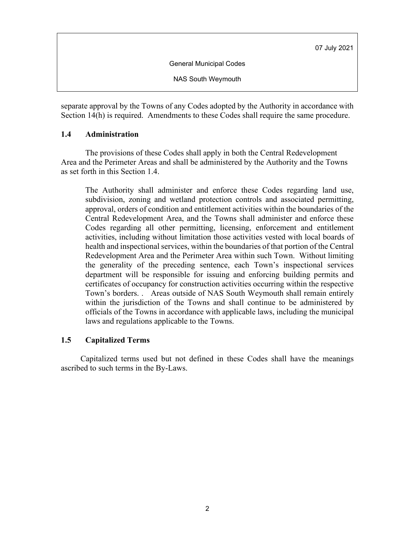General Municipal Codes

NAS South Weymouth

separate approval by the Towns of any Codes adopted by the Authority in accordance with Section 14(h) is required. Amendments to these Codes shall require the same procedure.

### **1.4 Administration**

The provisions of these Codes shall apply in both the Central Redevelopment Area and the Perimeter Areas and shall be administered by the Authority and the Towns as set forth in this Section 1.4.

The Authority shall administer and enforce these Codes regarding land use, subdivision, zoning and wetland protection controls and associated permitting, approval, orders of condition and entitlement activities within the boundaries of the Central Redevelopment Area, and the Towns shall administer and enforce these Codes regarding all other permitting, licensing, enforcement and entitlement activities, including without limitation those activities vested with local boards of health and inspectional services, within the boundaries of that portion of the Central Redevelopment Area and the Perimeter Area within such Town. Without limiting the generality of the preceding sentence, each Town's inspectional services department will be responsible for issuing and enforcing building permits and certificates of occupancy for construction activities occurring within the respective Town's borders. . Areas outside of NAS South Weymouth shall remain entirely within the jurisdiction of the Towns and shall continue to be administered by officials of the Towns in accordance with applicable laws, including the municipal laws and regulations applicable to the Towns.

# **1.5 Capitalized Terms**

Capitalized terms used but not defined in these Codes shall have the meanings ascribed to such terms in the By-Laws.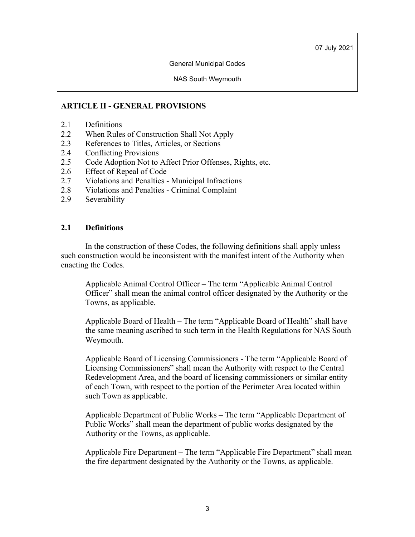General Municipal Codes

NAS South Weymouth

# **ARTICLE II - GENERAL PROVISIONS**

- 2.1 Definitions
- 2.2 When Rules of Construction Shall Not Apply
- 2.3 References to Titles, Articles, or Sections
- 2.4 Conflicting Provisions
- 2.5 Code Adoption Not to Affect Prior Offenses, Rights, etc.
- 2.6 Effect of Repeal of Code
- 2.7 Violations and Penalties Municipal Infractions
- 2.8 Violations and Penalties Criminal Complaint
- 2.9 Severability

### **2.1 Definitions**

In the construction of these Codes, the following definitions shall apply unless such construction would be inconsistent with the manifest intent of the Authority when enacting the Codes.

Applicable Animal Control Officer – The term "Applicable Animal Control Officer" shall mean the animal control officer designated by the Authority or the Towns, as applicable.

Applicable Board of Health – The term "Applicable Board of Health" shall have the same meaning ascribed to such term in the Health Regulations for NAS South Weymouth.

Applicable Board of Licensing Commissioners - The term "Applicable Board of Licensing Commissioners" shall mean the Authority with respect to the Central Redevelopment Area, and the board of licensing commissioners or similar entity of each Town, with respect to the portion of the Perimeter Area located within such Town as applicable.

Applicable Department of Public Works – The term "Applicable Department of Public Works" shall mean the department of public works designated by the Authority or the Towns, as applicable.

Applicable Fire Department – The term "Applicable Fire Department" shall mean the fire department designated by the Authority or the Towns, as applicable.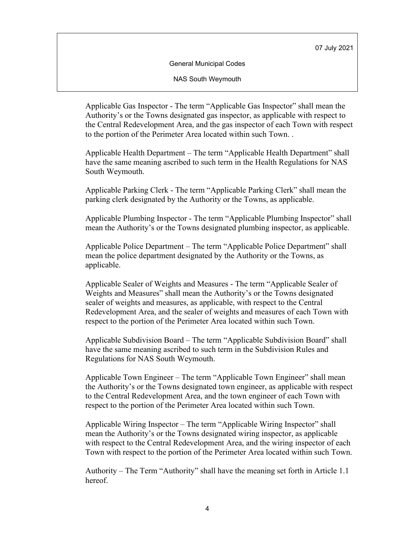General Municipal Codes

NAS South Weymouth

Applicable Gas Inspector - The term "Applicable Gas Inspector" shall mean the Authority's or the Towns designated gas inspector, as applicable with respect to the Central Redevelopment Area, and the gas inspector of each Town with respect to the portion of the Perimeter Area located within such Town. .

Applicable Health Department – The term "Applicable Health Department" shall have the same meaning ascribed to such term in the Health Regulations for NAS South Weymouth.

Applicable Parking Clerk - The term "Applicable Parking Clerk" shall mean the parking clerk designated by the Authority or the Towns, as applicable.

Applicable Plumbing Inspector - The term "Applicable Plumbing Inspector" shall mean the Authority's or the Towns designated plumbing inspector, as applicable.

Applicable Police Department – The term "Applicable Police Department" shall mean the police department designated by the Authority or the Towns, as applicable.

Applicable Sealer of Weights and Measures - The term "Applicable Sealer of Weights and Measures" shall mean the Authority's or the Towns designated sealer of weights and measures, as applicable, with respect to the Central Redevelopment Area, and the sealer of weights and measures of each Town with respect to the portion of the Perimeter Area located within such Town.

Applicable Subdivision Board – The term "Applicable Subdivision Board" shall have the same meaning ascribed to such term in the Subdivision Rules and Regulations for NAS South Weymouth.

Applicable Town Engineer – The term "Applicable Town Engineer" shall mean the Authority's or the Towns designated town engineer, as applicable with respect to the Central Redevelopment Area, and the town engineer of each Town with respect to the portion of the Perimeter Area located within such Town.

Applicable Wiring Inspector – The term "Applicable Wiring Inspector" shall mean the Authority's or the Towns designated wiring inspector, as applicable with respect to the Central Redevelopment Area, and the wiring inspector of each Town with respect to the portion of the Perimeter Area located within such Town.

Authority – The Term "Authority" shall have the meaning set forth in Article 1.1 hereof.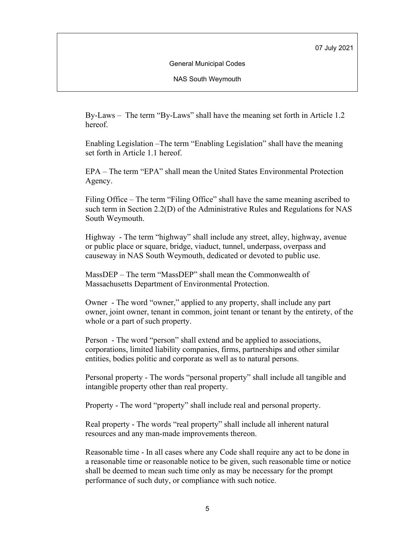General Municipal Codes

NAS South Weymouth

By-Laws – The term "By-Laws" shall have the meaning set forth in Article 1.2 hereof.

Enabling Legislation –The term "Enabling Legislation" shall have the meaning set forth in Article 1.1 hereof.

EPA – The term "EPA" shall mean the United States Environmental Protection Agency.

Filing Office – The term "Filing Office" shall have the same meaning ascribed to such term in Section 2.2(D) of the Administrative Rules and Regulations for NAS South Weymouth.

Highway - The term "highway" shall include any street, alley, highway, avenue or public place or square, bridge, viaduct, tunnel, underpass, overpass and causeway in NAS South Weymouth, dedicated or devoted to public use.

MassDEP – The term "MassDEP" shall mean the Commonwealth of Massachusetts Department of Environmental Protection.

Owner - The word "owner," applied to any property, shall include any part owner, joint owner, tenant in common, joint tenant or tenant by the entirety, of the whole or a part of such property.

Person - The word "person" shall extend and be applied to associations, corporations, limited liability companies, firms, partnerships and other similar entities, bodies politic and corporate as well as to natural persons.

Personal property - The words "personal property" shall include all tangible and intangible property other than real property.

Property - The word "property" shall include real and personal property.

Real property - The words "real property" shall include all inherent natural resources and any man-made improvements thereon.

Reasonable time - In all cases where any Code shall require any act to be done in a reasonable time or reasonable notice to be given, such reasonable time or notice shall be deemed to mean such time only as may be necessary for the prompt performance of such duty, or compliance with such notice.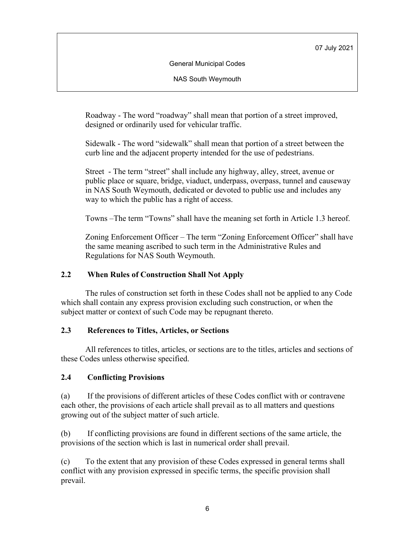General Municipal Codes

NAS South Weymouth

Roadway - The word "roadway" shall mean that portion of a street improved, designed or ordinarily used for vehicular traffic.

Sidewalk - The word "sidewalk" shall mean that portion of a street between the curb line and the adjacent property intended for the use of pedestrians.

Street - The term "street" shall include any highway, alley, street, avenue or public place or square, bridge, viaduct, underpass, overpass, tunnel and causeway in NAS South Weymouth, dedicated or devoted to public use and includes any way to which the public has a right of access.

Towns –The term "Towns" shall have the meaning set forth in Article 1.3 hereof.

Zoning Enforcement Officer – The term "Zoning Enforcement Officer" shall have the same meaning ascribed to such term in the Administrative Rules and Regulations for NAS South Weymouth.

# **2.2 When Rules of Construction Shall Not Apply**

The rules of construction set forth in these Codes shall not be applied to any Code which shall contain any express provision excluding such construction, or when the subject matter or context of such Code may be repugnant thereto.

# **2.3 References to Titles, Articles, or Sections**

All references to titles, articles, or sections are to the titles, articles and sections of these Codes unless otherwise specified.

# **2.4 Conflicting Provisions**

(a) If the provisions of different articles of these Codes conflict with or contravene each other, the provisions of each article shall prevail as to all matters and questions growing out of the subject matter of such article.

(b) If conflicting provisions are found in different sections of the same article, the provisions of the section which is last in numerical order shall prevail.

(c) To the extent that any provision of these Codes expressed in general terms shall conflict with any provision expressed in specific terms, the specific provision shall prevail.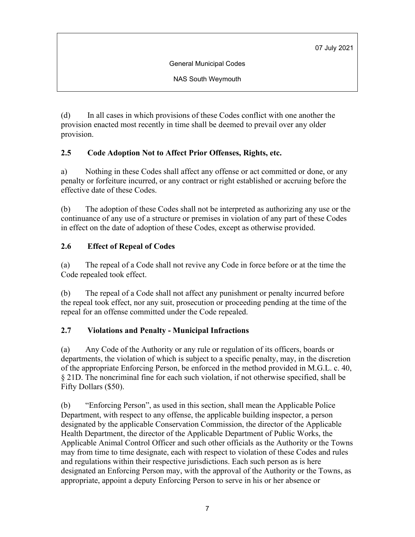General Municipal Codes

NAS South Weymouth

(d) In all cases in which provisions of these Codes conflict with one another the provision enacted most recently in time shall be deemed to prevail over any older provision.

# **2.5 Code Adoption Not to Affect Prior Offenses, Rights, etc.**

a) Nothing in these Codes shall affect any offense or act committed or done, or any penalty or forfeiture incurred, or any contract or right established or accruing before the effective date of these Codes.

(b) The adoption of these Codes shall not be interpreted as authorizing any use or the continuance of any use of a structure or premises in violation of any part of these Codes in effect on the date of adoption of these Codes, except as otherwise provided.

# **2.6 Effect of Repeal of Codes**

(a) The repeal of a Code shall not revive any Code in force before or at the time the Code repealed took effect.

(b) The repeal of a Code shall not affect any punishment or penalty incurred before the repeal took effect, nor any suit, prosecution or proceeding pending at the time of the repeal for an offense committed under the Code repealed.

# **2.7 Violations and Penalty - Municipal Infractions**

(a) Any Code of the Authority or any rule or regulation of its officers, boards or departments, the violation of which is subject to a specific penalty, may, in the discretion of the appropriate Enforcing Person, be enforced in the method provided in M.G.L. c. 40, § 21D. The noncriminal fine for each such violation, if not otherwise specified, shall be Fifty Dollars (\$50).

(b) "Enforcing Person", as used in this section, shall mean the Applicable Police Department, with respect to any offense, the applicable building inspector, a person designated by the applicable Conservation Commission, the director of the Applicable Health Department, the director of the Applicable Department of Public Works, the Applicable Animal Control Officer and such other officials as the Authority or the Towns may from time to time designate, each with respect to violation of these Codes and rules and regulations within their respective jurisdictions. Each such person as is here designated an Enforcing Person may, with the approval of the Authority or the Towns, as appropriate, appoint a deputy Enforcing Person to serve in his or her absence or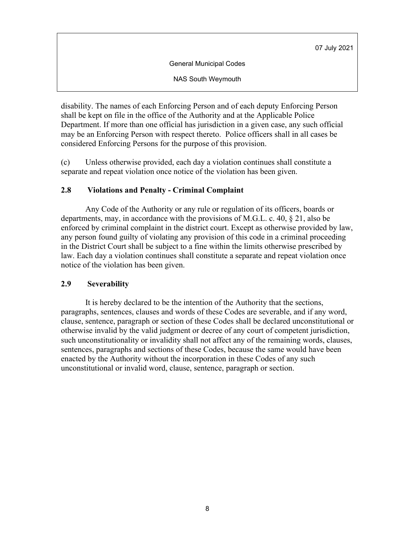General Municipal Codes

NAS South Weymouth

disability. The names of each Enforcing Person and of each deputy Enforcing Person shall be kept on file in the office of the Authority and at the Applicable Police Department. If more than one official has jurisdiction in a given case, any such official may be an Enforcing Person with respect thereto. Police officers shall in all cases be considered Enforcing Persons for the purpose of this provision.

(c) Unless otherwise provided, each day a violation continues shall constitute a separate and repeat violation once notice of the violation has been given.

# **2.8 Violations and Penalty - Criminal Complaint**

Any Code of the Authority or any rule or regulation of its officers, boards or departments, may, in accordance with the provisions of M.G.L. c. 40, § 21, also be enforced by criminal complaint in the district court. Except as otherwise provided by law, any person found guilty of violating any provision of this code in a criminal proceeding in the District Court shall be subject to a fine within the limits otherwise prescribed by law. Each day a violation continues shall constitute a separate and repeat violation once notice of the violation has been given.

# **2.9 Severability**

It is hereby declared to be the intention of the Authority that the sections, paragraphs, sentences, clauses and words of these Codes are severable, and if any word, clause, sentence, paragraph or section of these Codes shall be declared unconstitutional or otherwise invalid by the valid judgment or decree of any court of competent jurisdiction, such unconstitutionality or invalidity shall not affect any of the remaining words, clauses, sentences, paragraphs and sections of these Codes, because the same would have been enacted by the Authority without the incorporation in these Codes of any such unconstitutional or invalid word, clause, sentence, paragraph or section.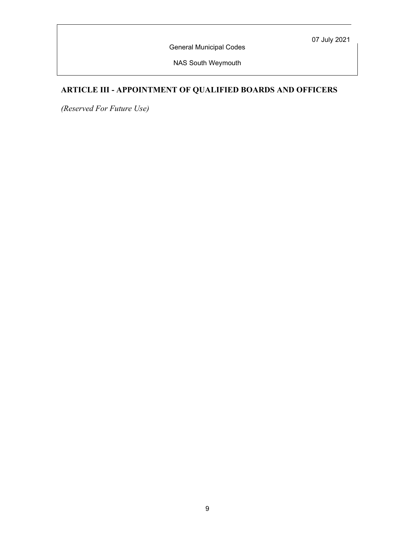General Municipal Codes

NAS South Weymouth

# **ARTICLE III - APPOINTMENT OF QUALIFIED BOARDS AND OFFICERS**

*(Reserved For Future Use)*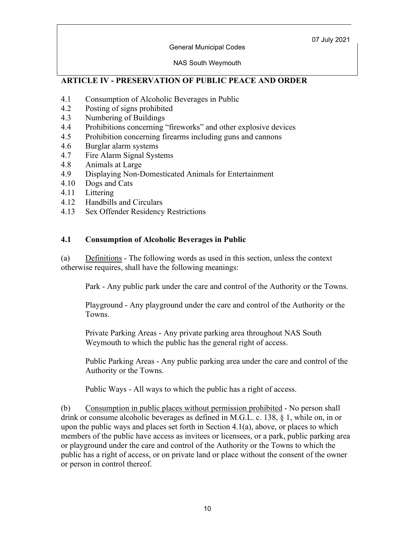General Municipal Codes

#### NAS South Weymouth

# **ARTICLE IV - PRESERVATION OF PUBLIC PEACE AND ORDER**

- 4.1 Consumption of Alcoholic Beverages in Public
- 4.2 Posting of signs prohibited
- 4.3 Numbering of Buildings
- 4.4 Prohibitions concerning "fireworks" and other explosive devices
- 4.5 Prohibition concerning firearms including guns and cannons
- 4.6 Burglar alarm systems
- 4.7 Fire Alarm Signal Systems
- 4.8 Animals at Large
- 4.9 Displaying Non-Domesticated Animals for Entertainment
- 4.10 Dogs and Cats
- 4.11 Littering
- 4.12 Handbills and Circulars
- 4.13 Sex Offender Residency Restrictions

### **4.1 Consumption of Alcoholic Beverages in Public**

(a) Definitions - The following words as used in this section, unless the context otherwise requires, shall have the following meanings:

Park - Any public park under the care and control of the Authority or the Towns.

Playground - Any playground under the care and control of the Authority or the Towns.

Private Parking Areas - Any private parking area throughout NAS South Weymouth to which the public has the general right of access.

Public Parking Areas - Any public parking area under the care and control of the Authority or the Towns.

Public Ways - All ways to which the public has a right of access.

(b) Consumption in public places without permission prohibited - No person shall drink or consume alcoholic beverages as defined in M.G.L. c. 138, § 1, while on, in or upon the public ways and places set forth in Section 4.1(a), above, or places to which members of the public have access as invitees or licensees, or a park, public parking area or playground under the care and control of the Authority or the Towns to which the public has a right of access, or on private land or place without the consent of the owner or person in control thereof.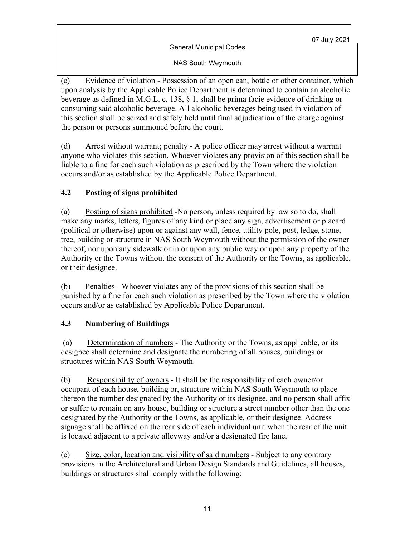General Municipal Codes

NAS South Weymouth

(c) Evidence of violation - Possession of an open can, bottle or other container, which upon analysis by the Applicable Police Department is determined to contain an alcoholic beverage as defined in M.G.L. c. 138, § 1, shall be prima facie evidence of drinking or consuming said alcoholic beverage. All alcoholic beverages being used in violation of this section shall be seized and safely held until final adjudication of the charge against the person or persons summoned before the court.

(d) Arrest without warrant; penalty - A police officer may arrest without a warrant anyone who violates this section. Whoever violates any provision of this section shall be liable to a fine for each such violation as prescribed by the Town where the violation occurs and/or as established by the Applicable Police Department.

# **4.2 Posting of signs prohibited**

(a) Posting of signs prohibited -No person, unless required by law so to do, shall make any marks, letters, figures of any kind or place any sign, advertisement or placard (political or otherwise) upon or against any wall, fence, utility pole, post, ledge, stone, tree, building or structure in NAS South Weymouth without the permission of the owner thereof, nor upon any sidewalk or in or upon any public way or upon any property of the Authority or the Towns without the consent of the Authority or the Towns, as applicable, or their designee.

(b) Penalties - Whoever violates any of the provisions of this section shall be punished by a fine for each such violation as prescribed by the Town where the violation occurs and/or as established by Applicable Police Department.

# **4.3 Numbering of Buildings**

(a) Determination of numbers - The Authority or the Towns, as applicable, or its designee shall determine and designate the numbering of all houses, buildings or structures within NAS South Weymouth.

(b) Responsibility of owners - It shall be the responsibility of each owner/or occupant of each house, building or, structure within NAS South Weymouth to place thereon the number designated by the Authority or its designee, and no person shall affix or suffer to remain on any house, building or structure a street number other than the one designated by the Authority or the Towns, as applicable, or their designee. Address signage shall be affixed on the rear side of each individual unit when the rear of the unit is located adjacent to a private alleyway and/or a designated fire lane.

(c) Size, color, location and visibility of said numbers - Subject to any contrary provisions in the Architectural and Urban Design Standards and Guidelines, all houses, buildings or structures shall comply with the following: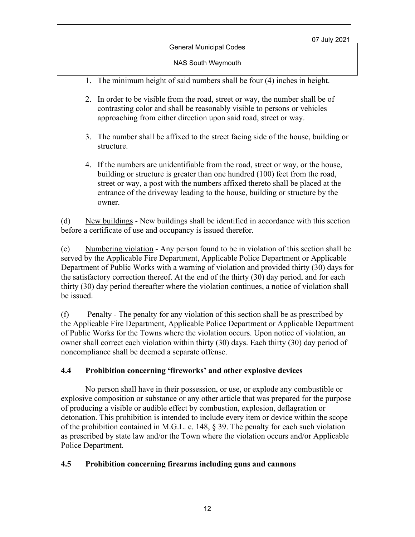NAS South Weymouth

- 1. The minimum height of said numbers shall be four (4) inches in height.
- 2. In order to be visible from the road, street or way, the number shall be of contrasting color and shall be reasonably visible to persons or vehicles approaching from either direction upon said road, street or way.
- 3. The number shall be affixed to the street facing side of the house, building or structure.
- 4. If the numbers are unidentifiable from the road, street or way, or the house, building or structure is greater than one hundred (100) feet from the road, street or way, a post with the numbers affixed thereto shall be placed at the entrance of the driveway leading to the house, building or structure by the owner.

(d) New buildings - New buildings shall be identified in accordance with this section before a certificate of use and occupancy is issued therefor.

(e) Numbering violation - Any person found to be in violation of this section shall be served by the Applicable Fire Department, Applicable Police Department or Applicable Department of Public Works with a warning of violation and provided thirty (30) days for the satisfactory correction thereof. At the end of the thirty (30) day period, and for each thirty (30) day period thereafter where the violation continues, a notice of violation shall be issued.

(f) Penalty - The penalty for any violation of this section shall be as prescribed by the Applicable Fire Department, Applicable Police Department or Applicable Department of Public Works for the Towns where the violation occurs. Upon notice of violation, an owner shall correct each violation within thirty (30) days. Each thirty (30) day period of noncompliance shall be deemed a separate offense.

# **4.4 Prohibition concerning 'fireworks' and other explosive devices**

No person shall have in their possession, or use, or explode any combustible or explosive composition or substance or any other article that was prepared for the purpose of producing a visible or audible effect by combustion, explosion, deflagration or detonation. This prohibition is intended to include every item or device within the scope of the prohibition contained in M.G.L. c. 148, § 39. The penalty for each such violation as prescribed by state law and/or the Town where the violation occurs and/or Applicable Police Department.

# **4.5 Prohibition concerning firearms including guns and cannons**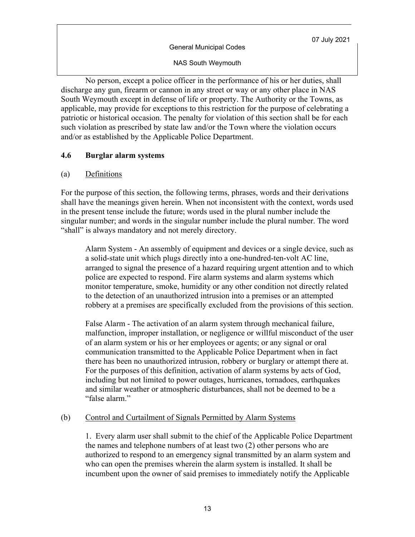NAS South Weymouth

No person, except a police officer in the performance of his or her duties, shall discharge any gun, firearm or cannon in any street or way or any other place in NAS South Weymouth except in defense of life or property. The Authority or the Towns, as applicable, may provide for exceptions to this restriction for the purpose of celebrating a patriotic or historical occasion. The penalty for violation of this section shall be for each such violation as prescribed by state law and/or the Town where the violation occurs and/or as established by the Applicable Police Department.

### **4.6 Burglar alarm systems**

### (a) Definitions

For the purpose of this section, the following terms, phrases, words and their derivations shall have the meanings given herein. When not inconsistent with the context, words used in the present tense include the future; words used in the plural number include the singular number; and words in the singular number include the plural number. The word "shall" is always mandatory and not merely directory.

Alarm System - An assembly of equipment and devices or a single device, such as a solid-state unit which plugs directly into a one-hundred-ten-volt AC line, arranged to signal the presence of a hazard requiring urgent attention and to which police are expected to respond. Fire alarm systems and alarm systems which monitor temperature, smoke, humidity or any other condition not directly related to the detection of an unauthorized intrusion into a premises or an attempted robbery at a premises are specifically excluded from the provisions of this section.

False Alarm - The activation of an alarm system through mechanical failure, malfunction, improper installation, or negligence or willful misconduct of the user of an alarm system or his or her employees or agents; or any signal or oral communication transmitted to the Applicable Police Department when in fact there has been no unauthorized intrusion, robbery or burglary or attempt there at. For the purposes of this definition, activation of alarm systems by acts of God, including but not limited to power outages, hurricanes, tornadoes, earthquakes and similar weather or atmospheric disturbances, shall not be deemed to be a "false alarm."

#### (b) Control and Curtailment of Signals Permitted by Alarm Systems

1. Every alarm user shall submit to the chief of the Applicable Police Department the names and telephone numbers of at least two (2) other persons who are authorized to respond to an emergency signal transmitted by an alarm system and who can open the premises wherein the alarm system is installed. It shall be incumbent upon the owner of said premises to immediately notify the Applicable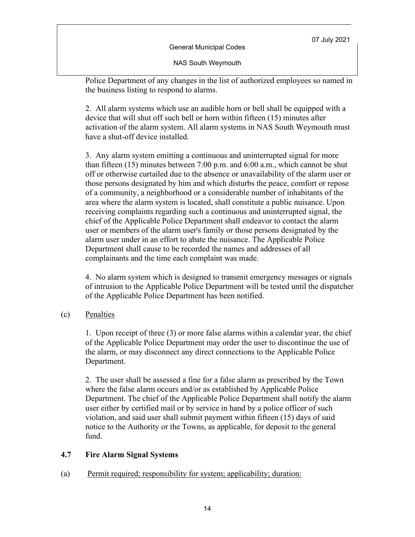General Municipal Codes

NAS South Weymouth

Police Department of any changes in the list of authorized employees so named in the business listing to respond to alarms.

2. All alarm systems which use an audible horn or bell shall be equipped with a device that will shut off such bell or horn within fifteen (15) minutes after activation of the alarm system. All alarm systems in NAS South Weymouth must have a shut-off device installed.

3. Any alarm system emitting a continuous and uninterrupted signal for more than fifteen (15) minutes between 7:00 p.m. and 6:00 a.m., which cannot be shut off or otherwise curtailed due to the absence or unavailability of the alarm user or those persons designated by him and which disturbs the peace, comfort or repose of a community, a neighborhood or a considerable number of inhabitants of the area where the alarm system is located, shall constitute a public nuisance. Upon receiving complaints regarding such a continuous and uninterrupted signal, the chief of the Applicable Police Department shall endeavor to contact the alarm user or members of the alarm user's family or those persons designated by the alarm user under in an effort to abate the nuisance. The Applicable Police Department shall cause to be recorded the names and addresses of all complainants and the time each complaint was made.

4. No alarm system which is designed to transmit emergency messages or signals of intrusion to the Applicable Police Department will be tested until the dispatcher of the Applicable Police Department has been notified.

(c) Penalties

1. Upon receipt of three (3) or more false alarms within a calendar year, the chief of the Applicable Police Department may order the user to discontinue the use of the alarm, or may disconnect any direct connections to the Applicable Police Department.

2. The user shall be assessed a fine for a false alarm as prescribed by the Town where the false alarm occurs and/or as established by Applicable Police Department. The chief of the Applicable Police Department shall notify the alarm user either by certified mail or by service in hand by a police officer of such violation, and said user shall submit payment within fifteen (15) days of said notice to the Authority or the Towns, as applicable, for deposit to the general fund.

# **4.7 Fire Alarm Signal Systems**

(a) Permit required; responsibility for system; applicability; duration: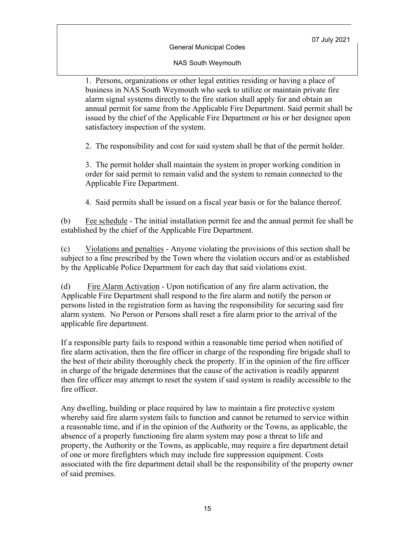#### NAS South Weymouth

1. Persons, organizations or other legal entities residing or having a place of business in NAS South Weymouth who seek to utilize or maintain private fire alarm signal systems directly to the fire station shall apply for and obtain an annual permit for same from the Applicable Fire Department. Said permit shall be issued by the chief of the Applicable Fire Department or his or her designee upon satisfactory inspection of the system.

2. The responsibility and cost for said system shall be that of the permit holder.

3. The permit holder shall maintain the system in proper working condition in order for said permit to remain valid and the system to remain connected to the Applicable Fire Department.

4. Said permits shall be issued on a fiscal year basis or for the balance thereof.

(b) Fee schedule - The initial installation permit fee and the annual permit fee shall be established by the chief of the Applicable Fire Department.

(c) Violations and penalties - Anyone violating the provisions of this section shall be subject to a fine prescribed by the Town where the violation occurs and/or as established by the Applicable Police Department for each day that said violations exist.

(d) Fire Alarm Activation - Upon notification of any fire alarm activation, the Applicable Fire Department shall respond to the fire alarm and notify the person or persons listed in the registration form as having the responsibility for securing said fire alarm system. No Person or Persons shall reset a fire alarm prior to the arrival of the applicable fire department.

If a responsible party fails to respond within a reasonable time period when notified of fire alarm activation, then the fire officer in charge of the responding fire brigade shall to the best of their ability thoroughly check the property. If in the opinion of the fire officer in charge of the brigade determines that the cause of the activation is readily apparent then fire officer may attempt to reset the system if said system is readily accessible to the fire officer.

Any dwelling, building or place required by law to maintain a fire protective system whereby said fire alarm system fails to function and cannot be returned to service within a reasonable time, and if in the opinion of the Authority or the Towns, as applicable, the absence of a properly functioning fire alarm system may pose a threat to life and property, the Authority or the Towns, as applicable, may require a fire department detail of one or more firefighters which may include fire suppression equipment. Costs associated with the fire department detail shall be the responsibility of the property owner of said premises.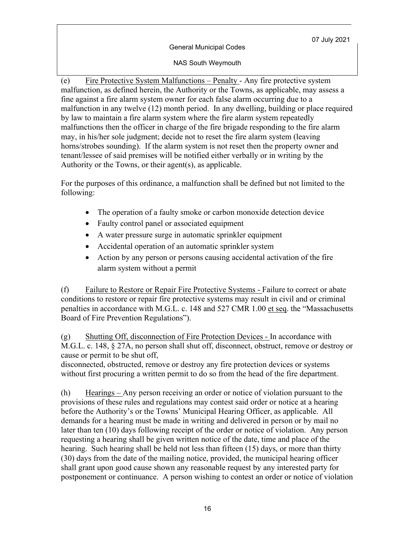#### General Municipal Codes

NAS South Weymouth

(e) Fire Protective System Malfunctions – Penalty - Any fire protective system malfunction, as defined herein, the Authority or the Towns, as applicable, may assess a fine against a fire alarm system owner for each false alarm occurring due to a malfunction in any twelve (12) month period. In any dwelling, building or place required by law to maintain a fire alarm system where the fire alarm system repeatedly malfunctions then the officer in charge of the fire brigade responding to the fire alarm may, in his/her sole judgment; decide not to reset the fire alarm system (leaving horns/strobes sounding). If the alarm system is not reset then the property owner and tenant/lessee of said premises will be notified either verbally or in writing by the Authority or the Towns, or their agent(s), as applicable.

For the purposes of this ordinance, a malfunction shall be defined but not limited to the following:

- The operation of a faulty smoke or carbon monoxide detection device
- Faulty control panel or associated equipment
- A water pressure surge in automatic sprinkler equipment
- Accidental operation of an automatic sprinkler system
- Action by any person or persons causing accidental activation of the fire alarm system without a permit

(f) Failure to Restore or Repair Fire Protective Systems - Failure to correct or abate conditions to restore or repair fire protective systems may result in civil and or criminal penalties in accordance with M.G.L. c. 148 and 527 CMR 1.00 et seq. the "Massachusetts Board of Fire Prevention Regulations").

(g) Shutting Off, disconnection of Fire Protection Devices - In accordance with M.G.L. c. 148, § 27A, no person shall shut off, disconnect, obstruct, remove or destroy or cause or permit to be shut off,

disconnected, obstructed, remove or destroy any fire protection devices or systems without first procuring a written permit to do so from the head of the fire department.

(h) Hearings – Any person receiving an order or notice of violation pursuant to the provisions of these rules and regulations may contest said order or notice at a hearing before the Authority's or the Towns' Municipal Hearing Officer, as applicable. All demands for a hearing must be made in writing and delivered in person or by mail no later than ten (10) days following receipt of the order or notice of violation. Any person requesting a hearing shall be given written notice of the date, time and place of the hearing. Such hearing shall be held not less than fifteen (15) days, or more than thirty (30) days from the date of the mailing notice, provided, the municipal hearing officer shall grant upon good cause shown any reasonable request by any interested party for postponement or continuance. A person wishing to contest an order or notice of violation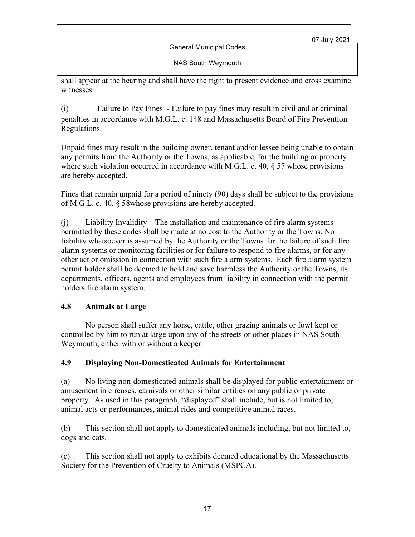General Municipal Codes

NAS South Weymouth

shall appear at the hearing and shall have the right to present evidence and cross examine witnesses.

(i) Failure to Pay Fines - Failure to pay fines may result in civil and or criminal penalties in accordance with M.G.L. c. 148 and Massachusetts Board of Fire Prevention Regulations.

Unpaid fines may result in the building owner, tenant and/or lessee being unable to obtain any permits from the Authority or the Towns, as applicable, for the building or property where such violation occurred in accordance with M.G.L. c. 40, § 57 whose provisions are hereby accepted.

Fines that remain unpaid for a period of ninety (90) days shall be subject to the provisions of M.G.L. c. 40, § 58whose provisions are hereby accepted.

(j) Liability Invalidity – The installation and maintenance of fire alarm systems permitted by these codes shall be made at no cost to the Authority or the Towns. No liability whatsoever is assumed by the Authority or the Towns for the failure of such fire alarm systems or monitoring facilities or for failure to respond to fire alarms, or for any other act or omission in connection with such fire alarm systems. Each fire alarm system permit holder shall be deemed to hold and save harmless the Authority or the Towns, its departments, officers, agents and employees from liability in connection with the permit holders fire alarm system.

# **4.8 Animals at Large**

No person shall suffer any horse, cattle, other grazing animals or fowl kept or controlled by him to run at large upon any of the streets or other places in NAS South Weymouth, either with or without a keeper.

# **4.9 Displaying Non-Domesticated Animals for Entertainment**

(a) No living non-domesticated animals shall be displayed for public entertainment or amusement in circuses, carnivals or other similar entities on any public or private property. As used in this paragraph, "displayed" shall include, but is not limited to, animal acts or performances, animal rides and competitive animal races.

(b) This section shall not apply to domesticated animals including, but not limited to, dogs and cats.

(c) This section shall not apply to exhibits deemed educational by the Massachusetts Society for the Prevention of Cruelty to Animals (MSPCA).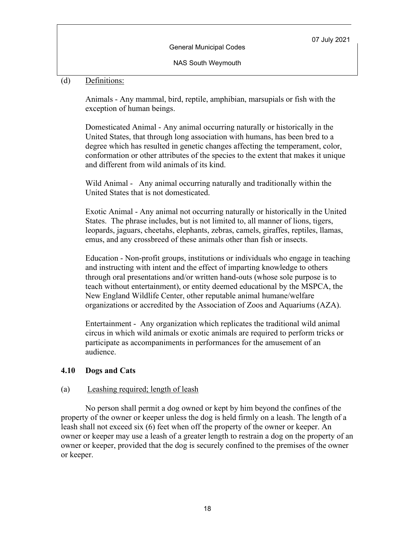NAS South Weymouth

# (d) Definitions:

Animals - Any mammal, bird, reptile, amphibian, marsupials or fish with the exception of human beings.

Domesticated Animal - Any animal occurring naturally or historically in the United States, that through long association with humans, has been bred to a degree which has resulted in genetic changes affecting the temperament, color, conformation or other attributes of the species to the extent that makes it unique and different from wild animals of its kind.

Wild Animal -Any animal occurring naturally and traditionally within the United States that is not domesticated.

Exotic Animal - Any animal not occurring naturally or historically in the United States. The phrase includes, but is not limited to, all manner of lions, tigers, leopards, jaguars, cheetahs, elephants, zebras, camels, giraffes, reptiles, llamas, emus, and any crossbreed of these animals other than fish or insects.

Education - Non-profit groups, institutions or individuals who engage in teaching and instructing with intent and the effect of imparting knowledge to others through oral presentations and/or written hand-outs (whose sole purpose is to teach without entertainment), or entity deemed educational by the MSPCA, the New England Wildlife Center, other reputable animal humane/welfare organizations or accredited by the Association of Zoos and Aquariums (AZA).

Entertainment -Any organization which replicates the traditional wild animal circus in which wild animals or exotic animals are required to perform tricks or participate as accompaniments in performances for the amusement of an audience.

#### **4.10 Dogs and Cats**

#### (a) Leashing required; length of leash

No person shall permit a dog owned or kept by him beyond the confines of the property of the owner or keeper unless the dog is held firmly on a leash. The length of a leash shall not exceed six (6) feet when off the property of the owner or keeper. An owner or keeper may use a leash of a greater length to restrain a dog on the property of an owner or keeper, provided that the dog is securely confined to the premises of the owner or keeper.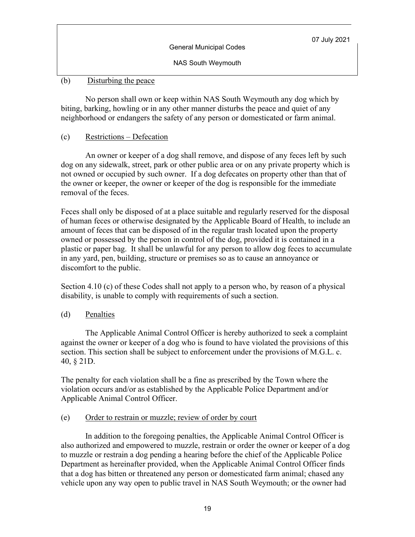| <b>General Municipal Codes</b> | 07 July 2021 |
|--------------------------------|--------------|
| NAS South Weymouth             |              |

# (b) Disturbing the peace

No person shall own or keep within NAS South Weymouth any dog which by biting, barking, howling or in any other manner disturbs the peace and quiet of any neighborhood or endangers the safety of any person or domesticated or farm animal.

# (c) Restrictions – Defecation

An owner or keeper of a dog shall remove, and dispose of any feces left by such dog on any sidewalk, street, park or other public area or on any private property which is not owned or occupied by such owner. If a dog defecates on property other than that of the owner or keeper, the owner or keeper of the dog is responsible for the immediate removal of the feces.

Feces shall only be disposed of at a place suitable and regularly reserved for the disposal of human feces or otherwise designated by the Applicable Board of Health, to include an amount of feces that can be disposed of in the regular trash located upon the property owned or possessed by the person in control of the dog, provided it is contained in a plastic or paper bag. It shall be unlawful for any person to allow dog feces to accumulate in any yard, pen, building, structure or premises so as to cause an annoyance or discomfort to the public.

Section 4.10 (c) of these Codes shall not apply to a person who, by reason of a physical disability, is unable to comply with requirements of such a section.

# (d) Penalties

The Applicable Animal Control Officer is hereby authorized to seek a complaint against the owner or keeper of a dog who is found to have violated the provisions of this section. This section shall be subject to enforcement under the provisions of M.G.L. c. 40, § 21D.

The penalty for each violation shall be a fine as prescribed by the Town where the violation occurs and/or as established by the Applicable Police Department and/or Applicable Animal Control Officer.

# (e) Order to restrain or muzzle; review of order by court

In addition to the foregoing penalties, the Applicable Animal Control Officer is also authorized and empowered to muzzle, restrain or order the owner or keeper of a dog to muzzle or restrain a dog pending a hearing before the chief of the Applicable Police Department as hereinafter provided, when the Applicable Animal Control Officer finds that a dog has bitten or threatened any person or domesticated farm animal; chased any vehicle upon any way open to public travel in NAS South Weymouth; or the owner had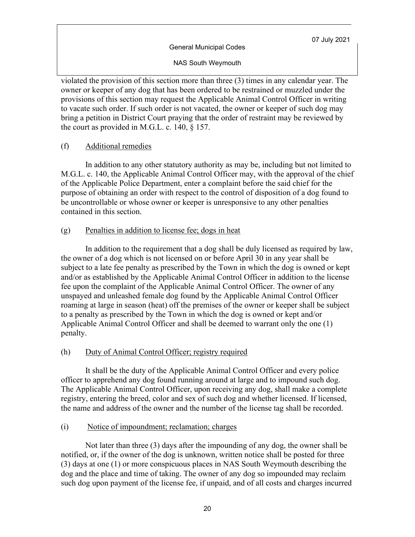NAS South Weymouth

violated the provision of this section more than three (3) times in any calendar year. The owner or keeper of any dog that has been ordered to be restrained or muzzled under the provisions of this section may request the Applicable Animal Control Officer in writing to vacate such order. If such order is not vacated, the owner or keeper of such dog may bring a petition in District Court praying that the order of restraint may be reviewed by the court as provided in M.G.L. c. 140, § 157.

(f) Additional remedies

In addition to any other statutory authority as may be, including but not limited to M.G.L. c. 140, the Applicable Animal Control Officer may, with the approval of the chief of the Applicable Police Department, enter a complaint before the said chief for the purpose of obtaining an order with respect to the control of disposition of a dog found to be uncontrollable or whose owner or keeper is unresponsive to any other penalties contained in this section.

### (g) Penalties in addition to license fee; dogs in heat

In addition to the requirement that a dog shall be duly licensed as required by law, the owner of a dog which is not licensed on or before April 30 in any year shall be subject to a late fee penalty as prescribed by the Town in which the dog is owned or kept and/or as established by the Applicable Animal Control Officer in addition to the license fee upon the complaint of the Applicable Animal Control Officer. The owner of any unspayed and unleashed female dog found by the Applicable Animal Control Officer roaming at large in season (heat) off the premises of the owner or keeper shall be subject to a penalty as prescribed by the Town in which the dog is owned or kept and/or Applicable Animal Control Officer and shall be deemed to warrant only the one (1) penalty.

#### (h) Duty of Animal Control Officer; registry required

It shall be the duty of the Applicable Animal Control Officer and every police officer to apprehend any dog found running around at large and to impound such dog. The Applicable Animal Control Officer, upon receiving any dog, shall make a complete registry, entering the breed, color and sex of such dog and whether licensed. If licensed, the name and address of the owner and the number of the license tag shall be recorded.

#### (i) Notice of impoundment; reclamation; charges

Not later than three (3) days after the impounding of any dog, the owner shall be notified, or, if the owner of the dog is unknown, written notice shall be posted for three (3) days at one (1) or more conspicuous places in NAS South Weymouth describing the dog and the place and time of taking. The owner of any dog so impounded may reclaim such dog upon payment of the license fee, if unpaid, and of all costs and charges incurred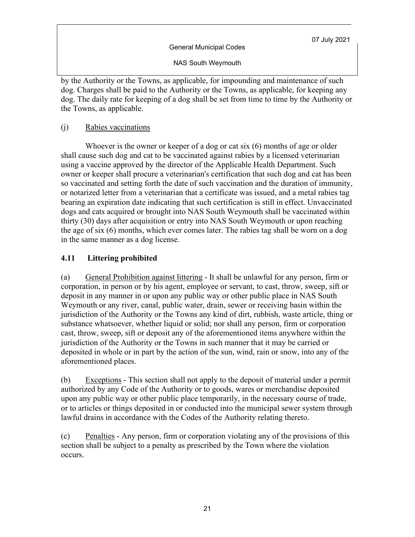NAS South Weymouth

by the Authority or the Towns, as applicable, for impounding and maintenance of such dog. Charges shall be paid to the Authority or the Towns, as applicable, for keeping any dog. The daily rate for keeping of a dog shall be set from time to time by the Authority or the Towns, as applicable.

# (j) Rabies vaccinations

Whoever is the owner or keeper of a dog or cat six (6) months of age or older shall cause such dog and cat to be vaccinated against rabies by a licensed veterinarian using a vaccine approved by the director of the Applicable Health Department. Such owner or keeper shall procure a veterinarian's certification that such dog and cat has been so vaccinated and setting forth the date of such vaccination and the duration of immunity, or notarized letter from a veterinarian that a certificate was issued, and a metal rabies tag bearing an expiration date indicating that such certification is still in effect. Unvaccinated dogs and cats acquired or brought into NAS South Weymouth shall be vaccinated within thirty (30) days after acquisition or entry into NAS South Weymouth or upon reaching the age of six (6) months, which ever comes later. The rabies tag shall be worn on a dog in the same manner as a dog license.

# **4.11 Littering prohibited**

(a) General Prohibition against littering - It shall be unlawful for any person, firm or corporation, in person or by his agent, employee or servant, to cast, throw, sweep, sift or deposit in any manner in or upon any public way or other public place in NAS South Weymouth or any river, canal, public water, drain, sewer or receiving basin within the jurisdiction of the Authority or the Towns any kind of dirt, rubbish, waste article, thing or substance whatsoever, whether liquid or solid; nor shall any person, firm or corporation cast, throw, sweep, sift or deposit any of the aforementioned items anywhere within the jurisdiction of the Authority or the Towns in such manner that it may be carried or deposited in whole or in part by the action of the sun, wind, rain or snow, into any of the aforementioned places.

(b) Exceptions - This section shall not apply to the deposit of material under a permit authorized by any Code of the Authority or to goods, wares or merchandise deposited upon any public way or other public place temporarily, in the necessary course of trade, or to articles or things deposited in or conducted into the municipal sewer system through lawful drains in accordance with the Codes of the Authority relating thereto.

(c) Penalties - Any person, firm or corporation violating any of the provisions of this section shall be subject to a penalty as prescribed by the Town where the violation occurs.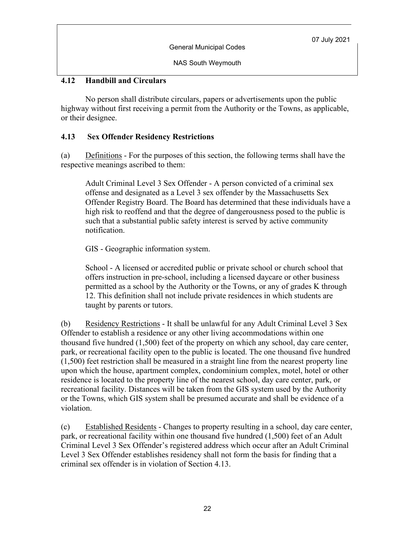NAS South Weymouth

# **4.12 Handbill and Circulars**

No person shall distribute circulars, papers or advertisements upon the public highway without first receiving a permit from the Authority or the Towns, as applicable, or their designee.

# **4.13 Sex Offender Residency Restrictions**

(a) Definitions - For the purposes of this section, the following terms shall have the respective meanings ascribed to them:

Adult Criminal Level 3 Sex Offender - A person convicted of a criminal sex offense and designated as a Level 3 sex offender by the Massachusetts Sex Offender Registry Board. The Board has determined that these individuals have a high risk to reoffend and that the degree of dangerousness posed to the public is such that a substantial public safety interest is served by active community notification.

GIS - Geographic information system.

School - A licensed or accredited public or private school or church school that offers instruction in pre-school, including a licensed daycare or other business permitted as a school by the Authority or the Towns, or any of grades K through 12. This definition shall not include private residences in which students are taught by parents or tutors.

(b) Residency Restrictions - It shall be unlawful for any Adult Criminal Level 3 Sex Offender to establish a residence or any other living accommodations within one thousand five hundred (1,500) feet of the property on which any school, day care center, park, or recreational facility open to the public is located. The one thousand five hundred (1,500) feet restriction shall be measured in a straight line from the nearest property line upon which the house, apartment complex, condominium complex, motel, hotel or other residence is located to the property line of the nearest school, day care center, park, or recreational facility. Distances will be taken from the GIS system used by the Authority or the Towns, which GIS system shall be presumed accurate and shall be evidence of a violation.

(c) Established Residents - Changes to property resulting in a school, day care center, park, or recreational facility within one thousand five hundred (1,500) feet of an Adult Criminal Level 3 Sex Offender's registered address which occur after an Adult Criminal Level 3 Sex Offender establishes residency shall not form the basis for finding that a criminal sex offender is in violation of Section 4.13.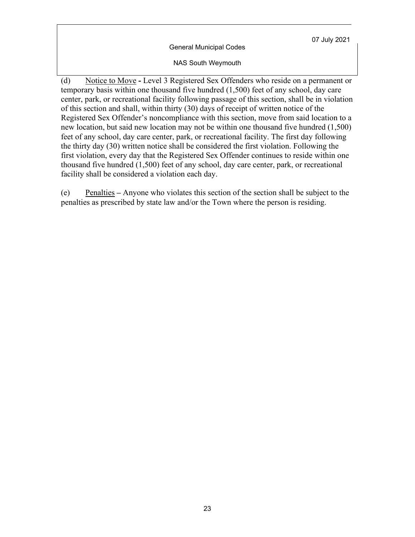General Municipal Codes

NAS South Weymouth

(d) Notice to Move **-** Level 3 Registered Sex Offenders who reside on a permanent or temporary basis within one thousand five hundred (1,500) feet of any school, day care center, park, or recreational facility following passage of this section, shall be in violation of this section and shall, within thirty (30) days of receipt of written notice of the Registered Sex Offender's noncompliance with this section, move from said location to a new location, but said new location may not be within one thousand five hundred (1,500) feet of any school, day care center, park, or recreational facility. The first day following the thirty day (30) written notice shall be considered the first violation. Following the first violation, every day that the Registered Sex Offender continues to reside within one thousand five hundred (1,500) feet of any school, day care center, park, or recreational facility shall be considered a violation each day.

(e) Penalties **–** Anyone who violates this section of the section shall be subject to the penalties as prescribed by state law and/or the Town where the person is residing.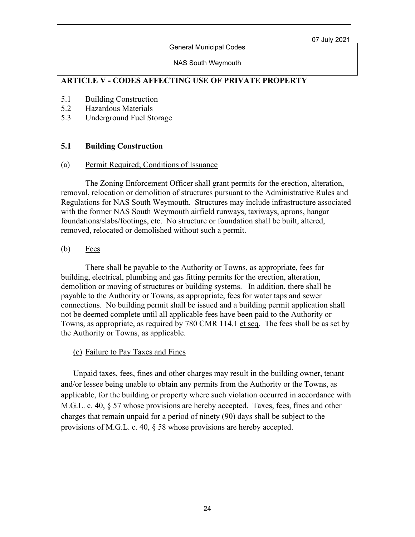#### General Municipal Codes

#### NAS South Weymouth

# **ARTICLE V - CODES AFFECTING USE OF PRIVATE PROPERTY**

- 5.1 Building Construction
- 5.2 Hazardous Materials
- 5.3 Underground Fuel Storage

### **5.1 Building Construction**

#### (a) Permit Required; Conditions of Issuance

The Zoning Enforcement Officer shall grant permits for the erection, alteration, removal, relocation or demolition of structures pursuant to the Administrative Rules and Regulations for NAS South Weymouth. Structures may include infrastructure associated with the former NAS South Weymouth airfield runways, taxiways, aprons, hangar foundations/slabs/footings, etc. No structure or foundation shall be built, altered, removed, relocated or demolished without such a permit.

### $(b)$  Fees

There shall be payable to the Authority or Towns, as appropriate, fees for building, electrical, plumbing and gas fitting permits for the erection, alteration, demolition or moving of structures or building systems. In addition, there shall be payable to the Authority or Towns, as appropriate, fees for water taps and sewer connections. No building permit shall be issued and a building permit application shall not be deemed complete until all applicable fees have been paid to the Authority or Towns, as appropriate, as required by 780 CMR 114.1 et seq. The fees shall be as set by the Authority or Towns, as applicable.

#### (c) Failure to Pay Taxes and Fines

Unpaid taxes, fees, fines and other charges may result in the building owner, tenant and/or lessee being unable to obtain any permits from the Authority or the Towns, as applicable, for the building or property where such violation occurred in accordance with M.G.L. c. 40, § 57 whose provisions are hereby accepted. Taxes, fees, fines and other charges that remain unpaid for a period of ninety (90) days shall be subject to the provisions of M.G.L. c. 40, § 58 whose provisions are hereby accepted.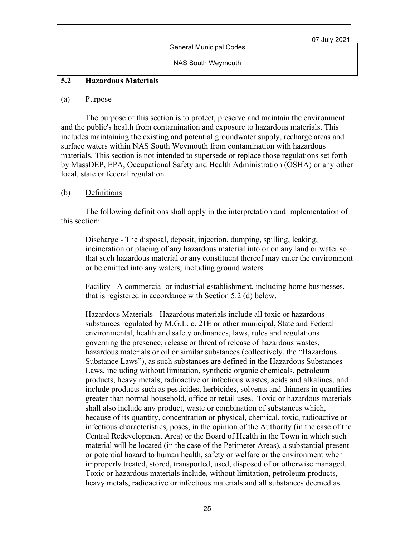NAS South Weymouth

#### **5.2 Hazardous Materials**

#### (a) Purpose

The purpose of this section is to protect, preserve and maintain the environment and the public's health from contamination and exposure to hazardous materials. This includes maintaining the existing and potential groundwater supply, recharge areas and surface waters within NAS South Weymouth from contamination with hazardous materials. This section is not intended to supersede or replace those regulations set forth by MassDEP, EPA, Occupational Safety and Health Administration (OSHA) or any other local, state or federal regulation.

#### (b) Definitions

The following definitions shall apply in the interpretation and implementation of this section:

Discharge - The disposal, deposit, injection, dumping, spilling, leaking, incineration or placing of any hazardous material into or on any land or water so that such hazardous material or any constituent thereof may enter the environment or be emitted into any waters, including ground waters.

Facility - A commercial or industrial establishment, including home businesses, that is registered in accordance with Section 5.2 (d) below.

Hazardous Materials - Hazardous materials include all toxic or hazardous substances regulated by M.G.L. c. 21E or other municipal, State and Federal environmental, health and safety ordinances, laws, rules and regulations governing the presence, release or threat of release of hazardous wastes, hazardous materials or oil or similar substances (collectively, the "Hazardous Substance Laws"), as such substances are defined in the Hazardous Substances Laws, including without limitation, synthetic organic chemicals, petroleum products, heavy metals, radioactive or infectious wastes, acids and alkalines, and include products such as pesticides, herbicides, solvents and thinners in quantities greater than normal household, office or retail uses. Toxic or hazardous materials shall also include any product, waste or combination of substances which, because of its quantity, concentration or physical, chemical, toxic, radioactive or infectious characteristics, poses, in the opinion of the Authority (in the case of the Central Redevelopment Area) or the Board of Health in the Town in which such material will be located (in the case of the Perimeter Areas), a substantial present or potential hazard to human health, safety or welfare or the environment when improperly treated, stored, transported, used, disposed of or otherwise managed. Toxic or hazardous materials include, without limitation, petroleum products, heavy metals, radioactive or infectious materials and all substances deemed as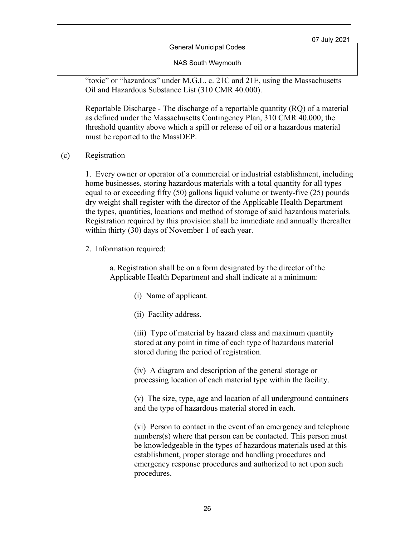General Municipal Codes

NAS South Weymouth

"toxic" or "hazardous" under M.G.L. c. 21C and 21E, using the Massachusetts Oil and Hazardous Substance List (310 CMR 40.000).

Reportable Discharge - The discharge of a reportable quantity (RQ) of a material as defined under the Massachusetts Contingency Plan, 310 CMR 40.000; the threshold quantity above which a spill or release of oil or a hazardous material must be reported to the MassDEP.

(c) Registration

1. Every owner or operator of a commercial or industrial establishment, including home businesses, storing hazardous materials with a total quantity for all types equal to or exceeding fifty (50) gallons liquid volume or twenty-five (25) pounds dry weight shall register with the director of the Applicable Health Department the types, quantities, locations and method of storage of said hazardous materials. Registration required by this provision shall be immediate and annually thereafter within thirty (30) days of November 1 of each year.

2. Information required:

a. Registration shall be on a form designated by the director of the Applicable Health Department and shall indicate at a minimum:

- (i) Name of applicant.
- (ii) Facility address.

(iii) Type of material by hazard class and maximum quantity stored at any point in time of each type of hazardous material stored during the period of registration.

(iv) A diagram and description of the general storage or processing location of each material type within the facility.

(v) The size, type, age and location of all underground containers and the type of hazardous material stored in each.

(vi) Person to contact in the event of an emergency and telephone numbers(s) where that person can be contacted. This person must be knowledgeable in the types of hazardous materials used at this establishment, proper storage and handling procedures and emergency response procedures and authorized to act upon such procedures.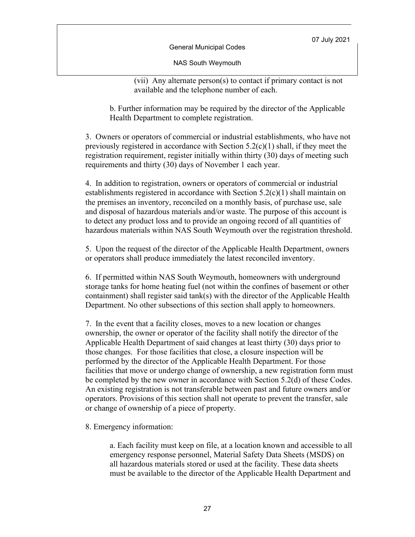General Municipal Codes

NAS South Weymouth

(vii) Any alternate person(s) to contact if primary contact is not available and the telephone number of each.

b. Further information may be required by the director of the Applicable Health Department to complete registration.

3. Owners or operators of commercial or industrial establishments, who have not previously registered in accordance with Section  $5.2(c)(1)$  shall, if they meet the registration requirement, register initially within thirty (30) days of meeting such requirements and thirty (30) days of November 1 each year.

4. In addition to registration, owners or operators of commercial or industrial establishments registered in accordance with Section 5.2(c)(1) shall maintain on the premises an inventory, reconciled on a monthly basis, of purchase use, sale and disposal of hazardous materials and/or waste. The purpose of this account is to detect any product loss and to provide an ongoing record of all quantities of hazardous materials within NAS South Weymouth over the registration threshold.

5. Upon the request of the director of the Applicable Health Department, owners or operators shall produce immediately the latest reconciled inventory.

6. If permitted within NAS South Weymouth, homeowners with underground storage tanks for home heating fuel (not within the confines of basement or other containment) shall register said tank(s) with the director of the Applicable Health Department. No other subsections of this section shall apply to homeowners.

7. In the event that a facility closes, moves to a new location or changes ownership, the owner or operator of the facility shall notify the director of the Applicable Health Department of said changes at least thirty (30) days prior to those changes. For those facilities that close, a closure inspection will be performed by the director of the Applicable Health Department. For those facilities that move or undergo change of ownership, a new registration form must be completed by the new owner in accordance with Section 5.2(d) of these Codes. An existing registration is not transferable between past and future owners and/or operators. Provisions of this section shall not operate to prevent the transfer, sale or change of ownership of a piece of property.

8. Emergency information:

a. Each facility must keep on file, at a location known and accessible to all emergency response personnel, Material Safety Data Sheets (MSDS) on all hazardous materials stored or used at the facility. These data sheets must be available to the director of the Applicable Health Department and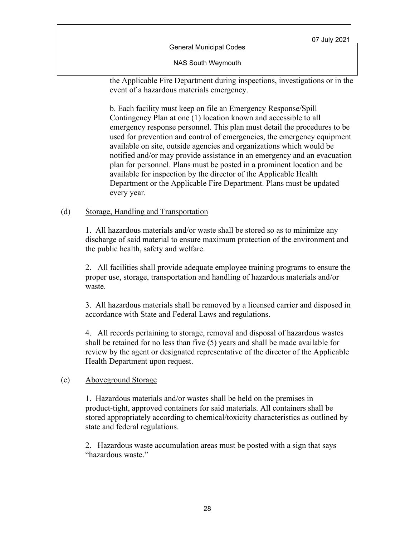General Municipal Codes

NAS South Weymouth

the Applicable Fire Department during inspections, investigations or in the event of a hazardous materials emergency.

b. Each facility must keep on file an Emergency Response/Spill Contingency Plan at one (1) location known and accessible to all emergency response personnel. This plan must detail the procedures to be used for prevention and control of emergencies, the emergency equipment available on site, outside agencies and organizations which would be notified and/or may provide assistance in an emergency and an evacuation plan for personnel. Plans must be posted in a prominent location and be available for inspection by the director of the Applicable Health Department or the Applicable Fire Department. Plans must be updated every year.

### (d) Storage, Handling and Transportation

1. All hazardous materials and/or waste shall be stored so as to minimize any discharge of said material to ensure maximum protection of the environment and the public health, safety and welfare.

2. All facilities shall provide adequate employee training programs to ensure the proper use, storage, transportation and handling of hazardous materials and/or waste.

3. All hazardous materials shall be removed by a licensed carrier and disposed in accordance with State and Federal Laws and regulations.

4. All records pertaining to storage, removal and disposal of hazardous wastes shall be retained for no less than five (5) years and shall be made available for review by the agent or designated representative of the director of the Applicable Health Department upon request.

#### (e) Aboveground Storage

1. Hazardous materials and/or wastes shall be held on the premises in product-tight, approved containers for said materials. All containers shall be stored appropriately according to chemical/toxicity characteristics as outlined by state and federal regulations.

2. Hazardous waste accumulation areas must be posted with a sign that says "hazardous waste."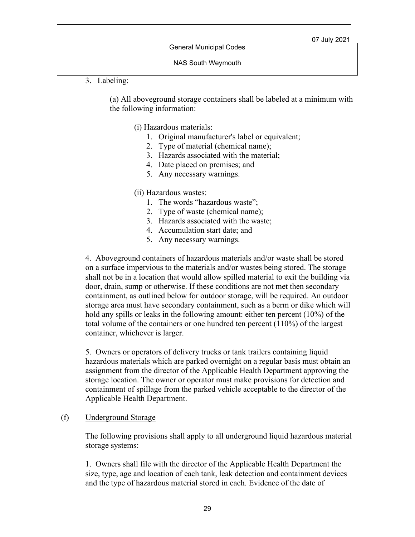NAS South Weymouth

3. Labeling:

(a) All aboveground storage containers shall be labeled at a minimum with the following information:

(i) Hazardous materials:

- 1. Original manufacturer's label or equivalent;
- 2. Type of material (chemical name);
- 3. Hazards associated with the material;
- 4. Date placed on premises; and
- 5. Any necessary warnings.

#### (ii) Hazardous wastes:

- 1. The words "hazardous waste";
- 2. Type of waste (chemical name);
- 3. Hazards associated with the waste;
- 4. Accumulation start date; and
- 5. Any necessary warnings.

4. Aboveground containers of hazardous materials and/or waste shall be stored on a surface impervious to the materials and/or wastes being stored. The storage shall not be in a location that would allow spilled material to exit the building via door, drain, sump or otherwise. If these conditions are not met then secondary containment, as outlined below for outdoor storage, will be required. An outdoor storage area must have secondary containment, such as a berm or dike which will hold any spills or leaks in the following amount: either ten percent (10%) of the total volume of the containers or one hundred ten percent (110%) of the largest container, whichever is larger.

5. Owners or operators of delivery trucks or tank trailers containing liquid hazardous materials which are parked overnight on a regular basis must obtain an assignment from the director of the Applicable Health Department approving the storage location. The owner or operator must make provisions for detection and containment of spillage from the parked vehicle acceptable to the director of the Applicable Health Department.

#### (f) Underground Storage

The following provisions shall apply to all underground liquid hazardous material storage systems:

1. Owners shall file with the director of the Applicable Health Department the size, type, age and location of each tank, leak detection and containment devices and the type of hazardous material stored in each. Evidence of the date of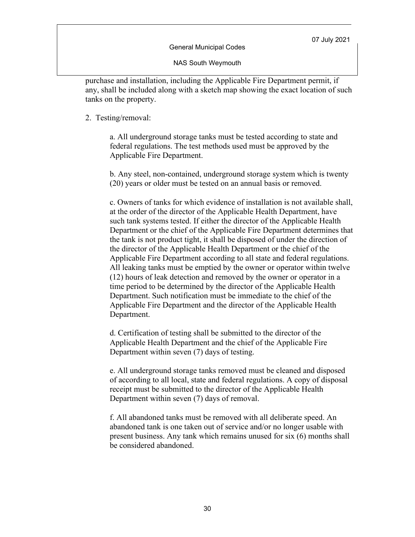NAS South Weymouth

purchase and installation, including the Applicable Fire Department permit, if any, shall be included along with a sketch map showing the exact location of such tanks on the property.

#### 2. Testing/removal:

a. All underground storage tanks must be tested according to state and federal regulations. The test methods used must be approved by the Applicable Fire Department.

b. Any steel, non-contained, underground storage system which is twenty (20) years or older must be tested on an annual basis or removed.

c. Owners of tanks for which evidence of installation is not available shall, at the order of the director of the Applicable Health Department, have such tank systems tested. If either the director of the Applicable Health Department or the chief of the Applicable Fire Department determines that the tank is not product tight, it shall be disposed of under the direction of the director of the Applicable Health Department or the chief of the Applicable Fire Department according to all state and federal regulations. All leaking tanks must be emptied by the owner or operator within twelve (12) hours of leak detection and removed by the owner or operator in a time period to be determined by the director of the Applicable Health Department. Such notification must be immediate to the chief of the Applicable Fire Department and the director of the Applicable Health Department.

d. Certification of testing shall be submitted to the director of the Applicable Health Department and the chief of the Applicable Fire Department within seven (7) days of testing.

e. All underground storage tanks removed must be cleaned and disposed of according to all local, state and federal regulations. A copy of disposal receipt must be submitted to the director of the Applicable Health Department within seven (7) days of removal.

f. All abandoned tanks must be removed with all deliberate speed. An abandoned tank is one taken out of service and/or no longer usable with present business. Any tank which remains unused for six (6) months shall be considered abandoned.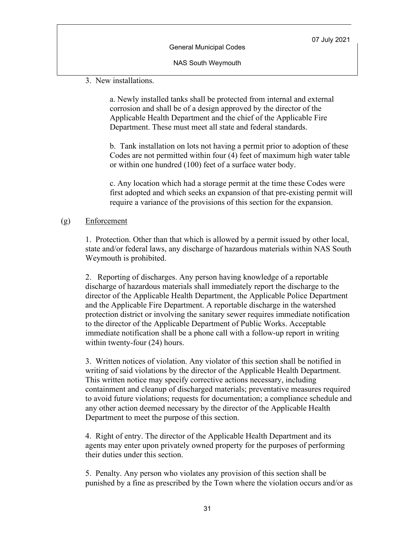NAS South Weymouth

3. New installations.

a. Newly installed tanks shall be protected from internal and external corrosion and shall be of a design approved by the director of the Applicable Health Department and the chief of the Applicable Fire Department. These must meet all state and federal standards.

b. Tank installation on lots not having a permit prior to adoption of these Codes are not permitted within four (4) feet of maximum high water table or within one hundred (100) feet of a surface water body.

c. Any location which had a storage permit at the time these Codes were first adopted and which seeks an expansion of that pre-existing permit will require a variance of the provisions of this section for the expansion.

#### (g) Enforcement

1. Protection. Other than that which is allowed by a permit issued by other local, state and/or federal laws, any discharge of hazardous materials within NAS South Weymouth is prohibited.

2. Reporting of discharges. Any person having knowledge of a reportable discharge of hazardous materials shall immediately report the discharge to the director of the Applicable Health Department, the Applicable Police Department and the Applicable Fire Department. A reportable discharge in the watershed protection district or involving the sanitary sewer requires immediate notification to the director of the Applicable Department of Public Works. Acceptable immediate notification shall be a phone call with a follow-up report in writing within twenty-four (24) hours.

3. Written notices of violation. Any violator of this section shall be notified in writing of said violations by the director of the Applicable Health Department. This written notice may specify corrective actions necessary, including containment and cleanup of discharged materials; preventative measures required to avoid future violations; requests for documentation; a compliance schedule and any other action deemed necessary by the director of the Applicable Health Department to meet the purpose of this section.

4. Right of entry. The director of the Applicable Health Department and its agents may enter upon privately owned property for the purposes of performing their duties under this section.

5. Penalty. Any person who violates any provision of this section shall be punished by a fine as prescribed by the Town where the violation occurs and/or as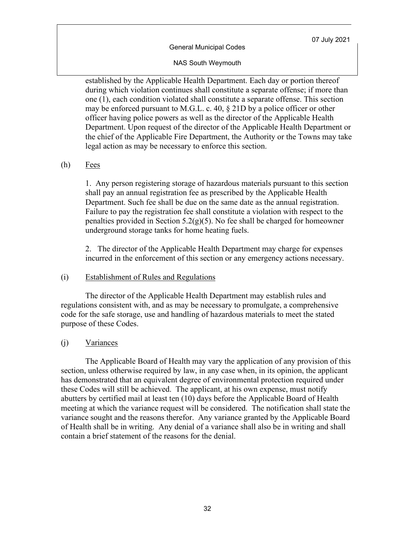#### NAS South Weymouth

established by the Applicable Health Department. Each day or portion thereof during which violation continues shall constitute a separate offense; if more than one (1), each condition violated shall constitute a separate offense. This section may be enforced pursuant to M.G.L. c. 40, § 21D by a police officer or other officer having police powers as well as the director of the Applicable Health Department. Upon request of the director of the Applicable Health Department or the chief of the Applicable Fire Department, the Authority or the Towns may take legal action as may be necessary to enforce this section.

#### (h) Fees

1. Any person registering storage of hazardous materials pursuant to this section shall pay an annual registration fee as prescribed by the Applicable Health Department. Such fee shall be due on the same date as the annual registration. Failure to pay the registration fee shall constitute a violation with respect to the penalties provided in Section  $5.2(g)(5)$ . No fee shall be charged for homeowner underground storage tanks for home heating fuels.

2. The director of the Applicable Health Department may charge for expenses incurred in the enforcement of this section or any emergency actions necessary.

#### (i) Establishment of Rules and Regulations

The director of the Applicable Health Department may establish rules and regulations consistent with, and as may be necessary to promulgate, a comprehensive code for the safe storage, use and handling of hazardous materials to meet the stated purpose of these Codes.

#### (j) Variances

The Applicable Board of Health may vary the application of any provision of this section, unless otherwise required by law, in any case when, in its opinion, the applicant has demonstrated that an equivalent degree of environmental protection required under these Codes will still be achieved. The applicant, at his own expense, must notify abutters by certified mail at least ten (10) days before the Applicable Board of Health meeting at which the variance request will be considered. The notification shall state the variance sought and the reasons therefor. Any variance granted by the Applicable Board of Health shall be in writing. Any denial of a variance shall also be in writing and shall contain a brief statement of the reasons for the denial.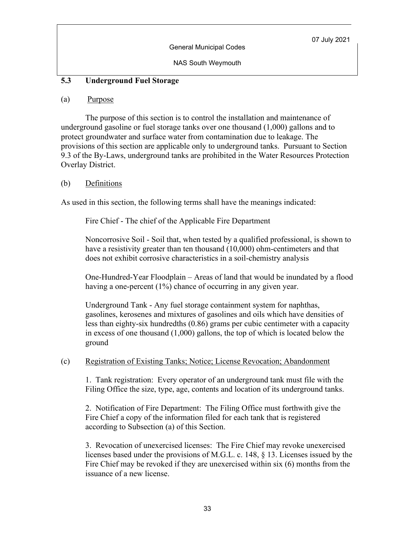# **5.3 Underground Fuel Storage**

#### (a) Purpose

The purpose of this section is to control the installation and maintenance of underground gasoline or fuel storage tanks over one thousand (1,000) gallons and to protect groundwater and surface water from contamination due to leakage. The provisions of this section are applicable only to underground tanks. Pursuant to Section 9.3 of the By-Laws, underground tanks are prohibited in the Water Resources Protection Overlay District.

### (b) Definitions

As used in this section, the following terms shall have the meanings indicated:

Fire Chief - The chief of the Applicable Fire Department

Noncorrosive Soil - Soil that, when tested by a qualified professional, is shown to have a resistivity greater than ten thousand (10,000) ohm-centimeters and that does not exhibit corrosive characteristics in a soil-chemistry analysis

One-Hundred-Year Floodplain – Areas of land that would be inundated by a flood having a one-percent (1%) chance of occurring in any given year.

Underground Tank - Any fuel storage containment system for naphthas, gasolines, kerosenes and mixtures of gasolines and oils which have densities of less than eighty-six hundredths (0.86) grams per cubic centimeter with a capacity in excess of one thousand (1,000) gallons, the top of which is located below the ground

(c) Registration of Existing Tanks; Notice; License Revocation; Abandonment

1. Tank registration: Every operator of an underground tank must file with the Filing Office the size, type, age, contents and location of its underground tanks.

2. Notification of Fire Department: The Filing Office must forthwith give the Fire Chief a copy of the information filed for each tank that is registered according to Subsection (a) of this Section.

3. Revocation of unexercised licenses: The Fire Chief may revoke unexercised licenses based under the provisions of M.G.L. c. 148, § 13. Licenses issued by the Fire Chief may be revoked if they are unexercised within six (6) months from the issuance of a new license.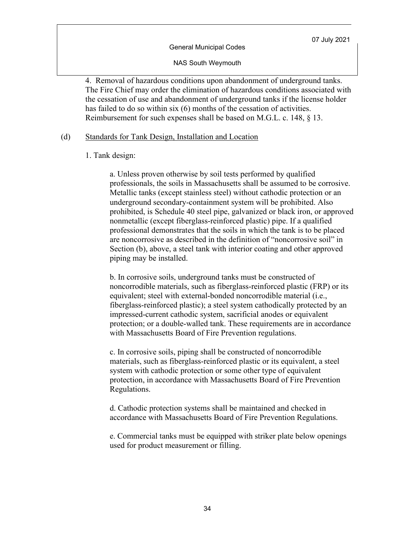NAS South Weymouth

4. Removal of hazardous conditions upon abandonment of underground tanks. The Fire Chief may order the elimination of hazardous conditions associated with the cessation of use and abandonment of underground tanks if the license holder has failed to do so within six (6) months of the cessation of activities. Reimbursement for such expenses shall be based on M.G.L. c. 148, § 13.

#### (d) Standards for Tank Design, Installation and Location

#### 1. Tank design:

a. Unless proven otherwise by soil tests performed by qualified professionals, the soils in Massachusetts shall be assumed to be corrosive. Metallic tanks (except stainless steel) without cathodic protection or an underground secondary-containment system will be prohibited. Also prohibited, is Schedule 40 steel pipe, galvanized or black iron, or approved nonmetallic (except fiberglass-reinforced plastic) pipe. If a qualified professional demonstrates that the soils in which the tank is to be placed are noncorrosive as described in the definition of "noncorrosive soil" in Section (b), above, a steel tank with interior coating and other approved piping may be installed.

b. In corrosive soils, underground tanks must be constructed of noncorrodible materials, such as fiberglass-reinforced plastic (FRP) or its equivalent; steel with external-bonded noncorrodible material (i.e., fiberglass-reinforced plastic); a steel system cathodically protected by an impressed-current cathodic system, sacrificial anodes or equivalent protection; or a double-walled tank. These requirements are in accordance with Massachusetts Board of Fire Prevention regulations.

c. In corrosive soils, piping shall be constructed of noncorrodible materials, such as fiberglass-reinforced plastic or its equivalent, a steel system with cathodic protection or some other type of equivalent protection, in accordance with Massachusetts Board of Fire Prevention Regulations.

d. Cathodic protection systems shall be maintained and checked in accordance with Massachusetts Board of Fire Prevention Regulations.

e. Commercial tanks must be equipped with striker plate below openings used for product measurement or filling.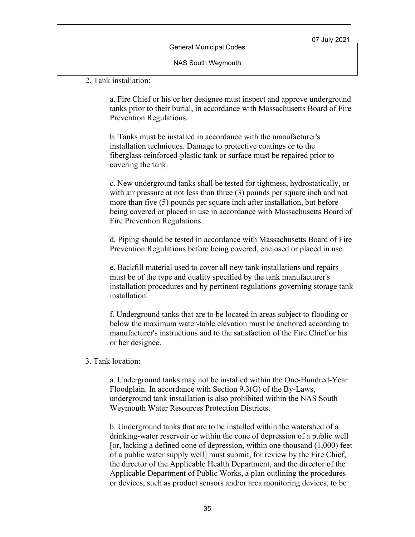NAS South Weymouth

2. Tank installation:

a. Fire Chief or his or her designee must inspect and approve underground tanks prior to their burial, in accordance with Massachusetts Board of Fire Prevention Regulations.

b. Tanks must be installed in accordance with the manufacturer's installation techniques. Damage to protective coatings or to the fiberglass-reinforced-plastic tank or surface must be repaired prior to covering the tank.

c. New underground tanks shall be tested for tightness, hydrostatically, or with air pressure at not less than three (3) pounds per square inch and not more than five (5) pounds per square inch after installation, but before being covered or placed in use in accordance with Massachusetts Board of Fire Prevention Regulations.

d. Piping should be tested in accordance with Massachusetts Board of Fire Prevention Regulations before being covered, enclosed or placed in use.

e. Backfill material used to cover all new tank installations and repairs must be of the type and quality specified by the tank manufacturer's installation procedures and by pertinent regulations governing storage tank installation.

f. Underground tanks that are to be located in areas subject to flooding or below the maximum water-table elevation must be anchored according to manufacturer's instructions and to the satisfaction of the Fire Chief or his or her designee.

3. Tank location:

a. Underground tanks may not be installed within the One-Hundred-Year Floodplain. In accordance with Section 9.3(G) of the By-Laws, underground tank installation is also prohibited within the NAS South Weymouth Water Resources Protection Districts.

b. Underground tanks that are to be installed within the watershed of a drinking-water reservoir or within the cone of depression of a public well [or, lacking a defined cone of depression, within one thousand (1,000) feet of a public water supply well] must submit, for review by the Fire Chief, the director of the Applicable Health Department, and the director of the Applicable Department of Public Works, a plan outlining the procedures or devices, such as product sensors and/or area monitoring devices, to be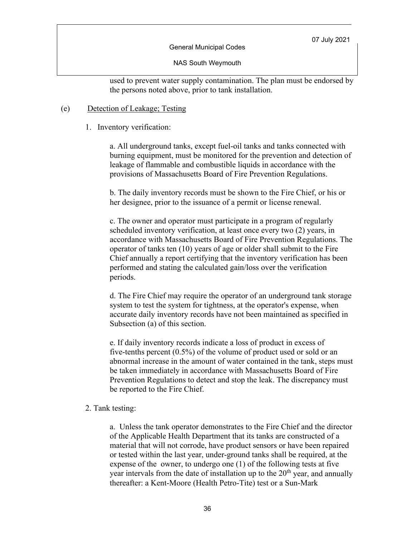General Municipal Codes

NAS South Weymouth

used to prevent water supply contamination. The plan must be endorsed by the persons noted above, prior to tank installation.

### (e) Detection of Leakage; Testing

1. Inventory verification:

a. All underground tanks, except fuel-oil tanks and tanks connected with burning equipment, must be monitored for the prevention and detection of leakage of flammable and combustible liquids in accordance with the provisions of Massachusetts Board of Fire Prevention Regulations.

b. The daily inventory records must be shown to the Fire Chief, or his or her designee, prior to the issuance of a permit or license renewal.

c. The owner and operator must participate in a program of regularly scheduled inventory verification, at least once every two (2) years, in accordance with Massachusetts Board of Fire Prevention Regulations. The operator of tanks ten (10) years of age or older shall submit to the Fire Chief annually a report certifying that the inventory verification has been performed and stating the calculated gain/loss over the verification periods.

d. The Fire Chief may require the operator of an underground tank storage system to test the system for tightness, at the operator's expense, when accurate daily inventory records have not been maintained as specified in Subsection (a) of this section.

e. If daily inventory records indicate a loss of product in excess of five-tenths percent (0.5%) of the volume of product used or sold or an abnormal increase in the amount of water contained in the tank, steps must be taken immediately in accordance with Massachusetts Board of Fire Prevention Regulations to detect and stop the leak. The discrepancy must be reported to the Fire Chief.

#### 2. Tank testing:

a. Unless the tank operator demonstrates to the Fire Chief and the director of the Applicable Health Department that its tanks are constructed of a material that will not corrode, have product sensors or have been repaired or tested within the last year, under-ground tanks shall be required, at the expense of the owner, to undergo one (1) of the following tests at five year intervals from the date of installation up to the  $20<sup>th</sup>$  year, and annually thereafter: a Kent-Moore (Health Petro-Tite) test or a Sun-Mark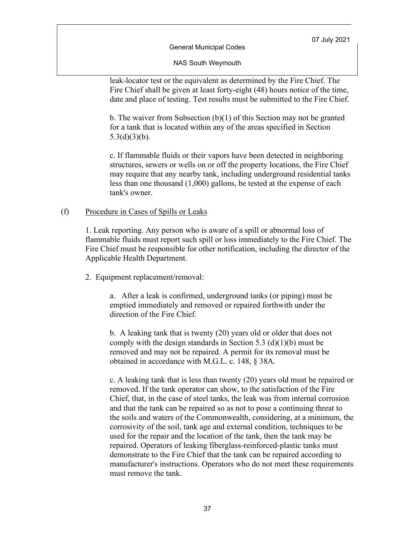General Municipal Codes

NAS South Weymouth

leak-locator test or the equivalent as determined by the Fire Chief. The Fire Chief shall be given at least forty-eight (48) hours notice of the time, date and place of testing. Test results must be submitted to the Fire Chief.

b. The waiver from Subsection (b)(1) of this Section may not be granted for a tank that is located within any of the areas specified in Section  $5.3(d)(3)(b)$ .

c. If flammable fluids or their vapors have been detected in neighboring structures, sewers or wells on or off the property locations, the Fire Chief may require that any nearby tank, including underground residential tanks less than one thousand (1,000) gallons, be tested at the expense of each tank's owner.

#### (f) Procedure in Cases of Spills or Leaks

1. Leak reporting. Any person who is aware of a spill or abnormal loss of flammable fluids must report such spill or loss immediately to the Fire Chief. The Fire Chief must be responsible for other notification, including the director of the Applicable Health Department.

2. Equipment replacement/removal:

a. After a leak is confirmed, underground tanks (or piping) must be emptied immediately and removed or repaired forthwith under the direction of the Fire Chief.

b. A leaking tank that is twenty (20) years old or older that does not comply with the design standards in Section 5.3 (d)(1)(b) must be removed and may not be repaired. A permit for its removal must be obtained in accordance with M.G.L. c. 148, § 38A.

c. A leaking tank that is less than twenty (20) years old must be repaired or removed. If the tank operator can show, to the satisfaction of the Fire Chief, that, in the case of steel tanks, the leak was from internal corrosion and that the tank can be repaired so as not to pose a continuing threat to the soils and waters of the Commonwealth, considering, at a minimum, the corrosivity of the soil, tank age and external condition, techniques to be used for the repair and the location of the tank, then the tank may be repaired. Operators of leaking fiberglass-reinforced-plastic tanks must demonstrate to the Fire Chief that the tank can be repaired according to manufacturer's instructions. Operators who do not meet these requirements must remove the tank.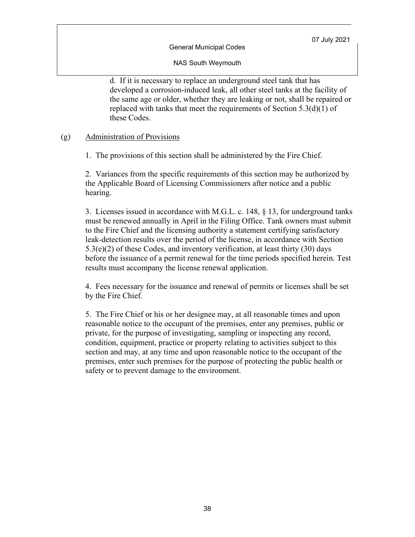General Municipal Codes

NAS South Weymouth

d. If it is necessary to replace an underground steel tank that has developed a corrosion-induced leak, all other steel tanks at the facility of the same age or older, whether they are leaking or not, shall be repaired or replaced with tanks that meet the requirements of Section 5.3(d)(1) of these Codes.

### (g) Administration of Provisions

1. The provisions of this section shall be administered by the Fire Chief.

2. Variances from the specific requirements of this section may be authorized by the Applicable Board of Licensing Commissioners after notice and a public hearing.

3. Licenses issued in accordance with M.G.L. c. 148, § 13, for underground tanks must be renewed annually in April in the Filing Office. Tank owners must submit to the Fire Chief and the licensing authority a statement certifying satisfactory leak-detection results over the period of the license, in accordance with Section  $5.3(e)(2)$  of these Codes, and inventory verification, at least thirty (30) days before the issuance of a permit renewal for the time periods specified herein. Test results must accompany the license renewal application.

4. Fees necessary for the issuance and renewal of permits or licenses shall be set by the Fire Chief.

5. The Fire Chief or his or her designee may, at all reasonable times and upon reasonable notice to the occupant of the premises, enter any premises, public or private, for the purpose of investigating, sampling or inspecting any record, condition, equipment, practice or property relating to activities subject to this section and may, at any time and upon reasonable notice to the occupant of the premises, enter such premises for the purpose of protecting the public health or safety or to prevent damage to the environment.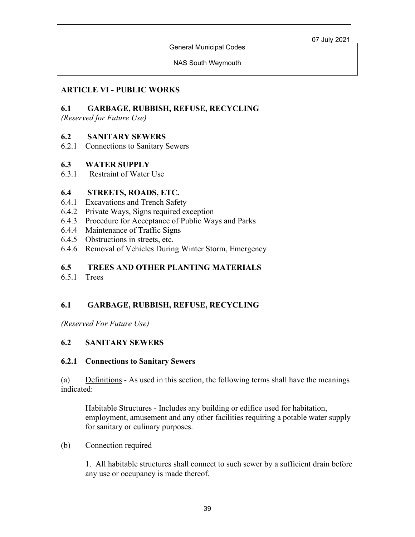General Municipal Codes

NAS South Weymouth

# **ARTICLE VI - PUBLIC WORKS**

## **6.1 GARBAGE, RUBBISH, REFUSE, RECYCLING**

*(Reserved for Future Use)*

### **6.2 SANITARY SEWERS**

6.2.1 Connections to Sanitary Sewers

### **6.3 WATER SUPPLY**

6.3.1 Restraint of Water Use

### **6.4 STREETS, ROADS, ETC.**

- 6.4.1 Excavations and Trench Safety
- 6.4.2 Private Ways, Signs required exception
- 6.4.3 Procedure for Acceptance of Public Ways and Parks
- 6.4.4 Maintenance of Traffic Signs
- 6.4.5 Obstructions in streets, etc.
- 6.4.6 Removal of Vehicles During Winter Storm, Emergency

## **6.5 TREES AND OTHER PLANTING MATERIALS**

6.5.1 Trees

# **6.1 GARBAGE, RUBBISH, REFUSE, RECYCLING**

*(Reserved For Future Use)*

# **6.2 SANITARY SEWERS**

### **6.2.1 Connections to Sanitary Sewers**

(a) Definitions - As used in this section, the following terms shall have the meanings indicated:

Habitable Structures - Includes any building or edifice used for habitation, employment, amusement and any other facilities requiring a potable water supply for sanitary or culinary purposes.

### (b) Connection required

1. All habitable structures shall connect to such sewer by a sufficient drain before any use or occupancy is made thereof.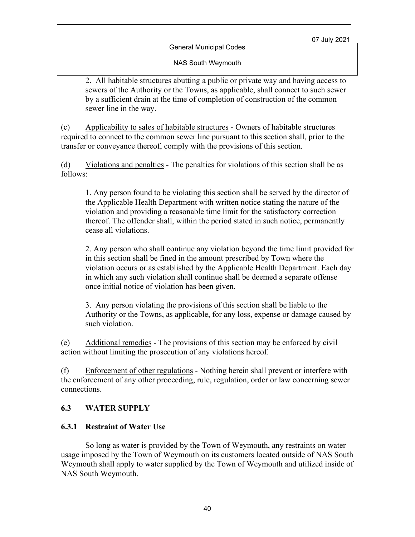NAS South Weymouth

2. All habitable structures abutting a public or private way and having access to sewers of the Authority or the Towns, as applicable, shall connect to such sewer by a sufficient drain at the time of completion of construction of the common sewer line in the way.

(c) Applicability to sales of habitable structures - Owners of habitable structures required to connect to the common sewer line pursuant to this section shall, prior to the transfer or conveyance thereof, comply with the provisions of this section.

(d) Violations and penalties - The penalties for violations of this section shall be as follows:

1. Any person found to be violating this section shall be served by the director of the Applicable Health Department with written notice stating the nature of the violation and providing a reasonable time limit for the satisfactory correction thereof. The offender shall, within the period stated in such notice, permanently cease all violations.

2. Any person who shall continue any violation beyond the time limit provided for in this section shall be fined in the amount prescribed by Town where the violation occurs or as established by the Applicable Health Department. Each day in which any such violation shall continue shall be deemed a separate offense once initial notice of violation has been given.

3. Any person violating the provisions of this section shall be liable to the Authority or the Towns, as applicable, for any loss, expense or damage caused by such violation.

(e) Additional remedies - The provisions of this section may be enforced by civil action without limiting the prosecution of any violations hereof.

(f) Enforcement of other regulations - Nothing herein shall prevent or interfere with the enforcement of any other proceeding, rule, regulation, order or law concerning sewer connections.

### **6.3 WATER SUPPLY**

### **6.3.1 Restraint of Water Use**

So long as water is provided by the Town of Weymouth, any restraints on water usage imposed by the Town of Weymouth on its customers located outside of NAS South Weymouth shall apply to water supplied by the Town of Weymouth and utilized inside of NAS South Weymouth.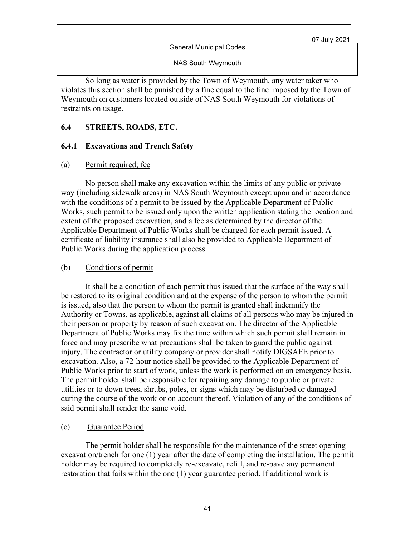General Municipal Codes

NAS South Weymouth

So long as water is provided by the Town of Weymouth, any water taker who violates this section shall be punished by a fine equal to the fine imposed by the Town of Weymouth on customers located outside of NAS South Weymouth for violations of restraints on usage.

### **6.4 STREETS, ROADS, ETC.**

### **6.4.1 Excavations and Trench Safety**

#### (a) Permit required; fee

No person shall make any excavation within the limits of any public or private way (including sidewalk areas) in NAS South Weymouth except upon and in accordance with the conditions of a permit to be issued by the Applicable Department of Public Works, such permit to be issued only upon the written application stating the location and extent of the proposed excavation, and a fee as determined by the director of the Applicable Department of Public Works shall be charged for each permit issued. A certificate of liability insurance shall also be provided to Applicable Department of Public Works during the application process.

#### (b) Conditions of permit

It shall be a condition of each permit thus issued that the surface of the way shall be restored to its original condition and at the expense of the person to whom the permit is issued, also that the person to whom the permit is granted shall indemnify the Authority or Towns, as applicable, against all claims of all persons who may be injured in their person or property by reason of such excavation. The director of the Applicable Department of Public Works may fix the time within which such permit shall remain in force and may prescribe what precautions shall be taken to guard the public against injury. The contractor or utility company or provider shall notify DIGSAFE prior to excavation. Also, a 72-hour notice shall be provided to the Applicable Department of Public Works prior to start of work, unless the work is performed on an emergency basis. The permit holder shall be responsible for repairing any damage to public or private utilities or to down trees, shrubs, poles, or signs which may be disturbed or damaged during the course of the work or on account thereof. Violation of any of the conditions of said permit shall render the same void.

### (c) Guarantee Period

The permit holder shall be responsible for the maintenance of the street opening excavation/trench for one (1) year after the date of completing the installation. The permit holder may be required to completely re-excavate, refill, and re-pave any permanent restoration that fails within the one (1) year guarantee period. If additional work is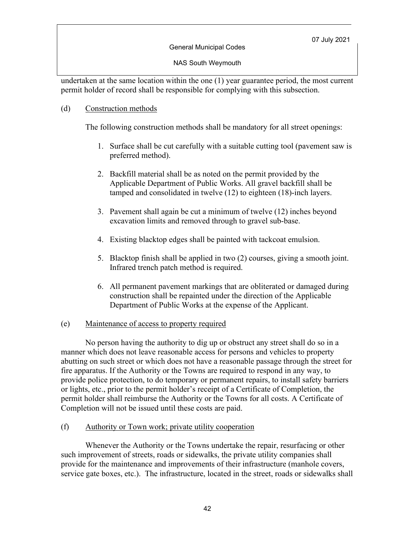#### General Municipal Codes

NAS South Weymouth

undertaken at the same location within the one (1) year guarantee period, the most current permit holder of record shall be responsible for complying with this subsection.

#### (d) Construction methods

The following construction methods shall be mandatory for all street openings:

- 1. Surface shall be cut carefully with a suitable cutting tool (pavement saw is preferred method).
- 2. Backfill material shall be as noted on the permit provided by the Applicable Department of Public Works. All gravel backfill shall be tamped and consolidated in twelve (12) to eighteen (18)-inch layers.
- 3. Pavement shall again be cut a minimum of twelve (12) inches beyond excavation limits and removed through to gravel sub-base.
- 4. Existing blacktop edges shall be painted with tackcoat emulsion.
- 5. Blacktop finish shall be applied in two (2) courses, giving a smooth joint. Infrared trench patch method is required.
- 6. All permanent pavement markings that are obliterated or damaged during construction shall be repainted under the direction of the Applicable Department of Public Works at the expense of the Applicant.

#### (e) Maintenance of access to property required

No person having the authority to dig up or obstruct any street shall do so in a manner which does not leave reasonable access for persons and vehicles to property abutting on such street or which does not have a reasonable passage through the street for fire apparatus. If the Authority or the Towns are required to respond in any way, to provide police protection, to do temporary or permanent repairs, to install safety barriers or lights, etc., prior to the permit holder's receipt of a Certificate of Completion, the permit holder shall reimburse the Authority or the Towns for all costs. A Certificate of Completion will not be issued until these costs are paid.

(f) Authority or Town work; private utility cooperation

Whenever the Authority or the Towns undertake the repair, resurfacing or other such improvement of streets, roads or sidewalks, the private utility companies shall provide for the maintenance and improvements of their infrastructure (manhole covers, service gate boxes, etc.). The infrastructure, located in the street, roads or sidewalks shall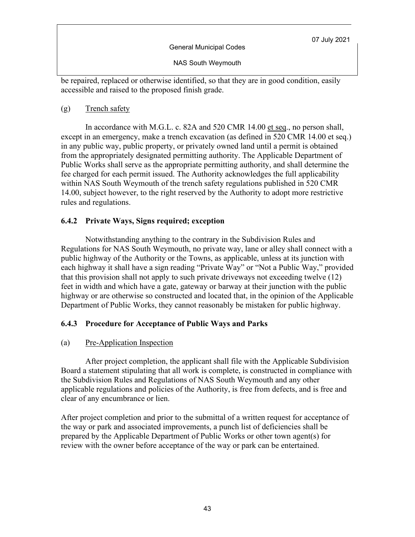General Municipal Codes

NAS South Weymouth

be repaired, replaced or otherwise identified, so that they are in good condition, easily accessible and raised to the proposed finish grade.

(g) Trench safety

In accordance with M.G.L. c. 82A and 520 CMR 14.00 et seq., no person shall, except in an emergency, make a trench excavation (as defined in 520 CMR 14.00 et seq.) in any public way, public property, or privately owned land until a permit is obtained from the appropriately designated permitting authority. The Applicable Department of Public Works shall serve as the appropriate permitting authority, and shall determine the fee charged for each permit issued. The Authority acknowledges the full applicability within NAS South Weymouth of the trench safety regulations published in 520 CMR 14.00, subject however, to the right reserved by the Authority to adopt more restrictive rules and regulations.

### **6.4.2 Private Ways, Signs required; exception**

Notwithstanding anything to the contrary in the Subdivision Rules and Regulations for NAS South Weymouth, no private way, lane or alley shall connect with a public highway of the Authority or the Towns, as applicable, unless at its junction with each highway it shall have a sign reading "Private Way" or "Not a Public Way," provided that this provision shall not apply to such private driveways not exceeding twelve (12) feet in width and which have a gate, gateway or barway at their junction with the public highway or are otherwise so constructed and located that, in the opinion of the Applicable Department of Public Works, they cannot reasonably be mistaken for public highway.

# **6.4.3 Procedure for Acceptance of Public Ways and Parks**

### (a) Pre-Application Inspection

After project completion, the applicant shall file with the Applicable Subdivision Board a statement stipulating that all work is complete, is constructed in compliance with the Subdivision Rules and Regulations of NAS South Weymouth and any other applicable regulations and policies of the Authority, is free from defects, and is free and clear of any encumbrance or lien.

After project completion and prior to the submittal of a written request for acceptance of the way or park and associated improvements, a punch list of deficiencies shall be prepared by the Applicable Department of Public Works or other town agent(s) for review with the owner before acceptance of the way or park can be entertained.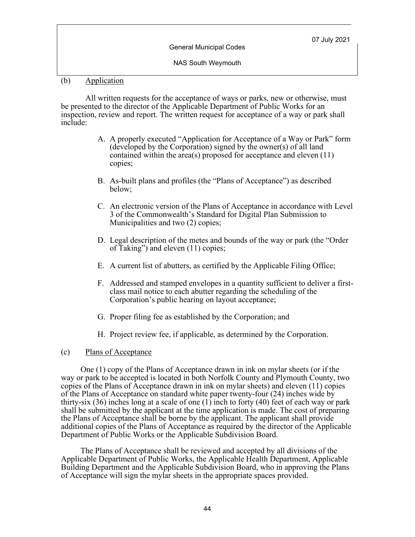NAS South Weymouth

#### (b) Application

All written requests for the acceptance of ways or parks, new or otherwise, must be presented to the director of the Applicable Department of Public Works for an inspection, review and report. The written request for acceptance of a way or park shall include:

- A. A properly executed "Application for Acceptance of a Way or Park" form (developed by the Corporation) signed by the owner(s) of all land contained within the area(s) proposed for acceptance and eleven (11) copies;
- B. As-built plans and profiles (the "Plans of Acceptance") as described below;
- C. An electronic version of the Plans of Acceptance in accordance with Level 3 of the Commonwealth's Standard for Digital Plan Submission to Municipalities and two (2) copies;
- D. Legal description of the metes and bounds of the way or park (the "Order of Taking") and eleven (11) copies;
- E. A current list of abutters, as certified by the Applicable Filing Office;
- F. Addressed and stamped envelopes in a quantity sufficient to deliver a first- class mail notice to each abutter regarding the scheduling of the Corporation's public hearing on layout acceptance;
- G. Proper filing fee as established by the Corporation; and
- H. Project review fee, if applicable, as determined by the Corporation.
- (c) Plans of Acceptance

One (1) copy of the Plans of Acceptance drawn in ink on mylar sheets (or if the way or park to be accepted is located in both Norfolk County and Plymouth County, two copies of the Plans of Acceptance drawn in ink on mylar sheets) and eleven (11) copies of the Plans of Acceptance on standard white paper twenty-four (24) inches wide by thirty-six (36) inches long at a scale of one (1) inch to forty (40) feet of each way or park shall be submitted by the applicant at the time application is made. The cost of preparing the Plans of Acceptance shall be borne by the applicant. The applicant shall provide additional copies of the Plans of Acceptance as required by the director of the Applicable Department of Public Works or the Applicable Subdivision Board.

The Plans of Acceptance shall be reviewed and accepted by all divisions of the Applicable Department of Public Works, the Applicable Health Department, Applicable Building Department and the Applicable Subdivision Board, who in approving the Plans of Acceptance will sign the mylar sheets in the appropriate spaces provided.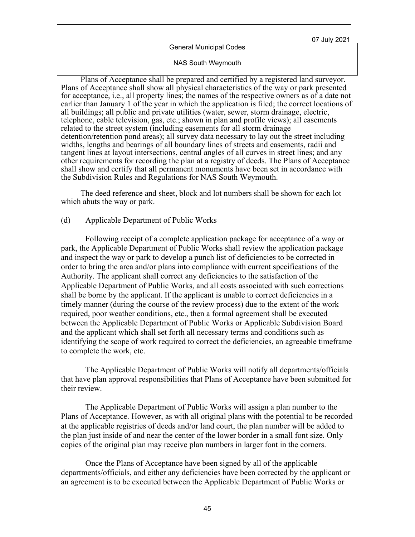#### General Municipal Codes

#### NAS South Weymouth

Plans of Acceptance shall be prepared and certified by a registered land surveyor. Plans of Acceptance shall show all physical characteristics of the way or park presented for acceptance, i.e., all property lines; the names of the respective owners as of a date not earlier than January 1 of the year in which the application is filed; the correct locations of all buildings; all public and private utilities (water, sewer, storm drainage, electric, telephone, cable television, gas, etc.; shown in plan and profile views); all easements related to the street system (including easements for all storm drainage detention/retention pond areas); all survey data necessary to lay out the street including widths, lengths and bearings of all boundary lines of streets and easements, radii and tangent lines at layout intersections, central angles of all curves in street lines; and any other requirements for recording the plan at a registry of deeds. The Plans of Acceptance shall show and certify that all permanent monuments have been set in accordance with the Subdivision Rules and Regulations for NAS South Weymouth.

The deed reference and sheet, block and lot numbers shall be shown for each lot which abuts the way or park.

#### (d) Applicable Department of Public Works

Following receipt of a complete application package for acceptance of a way or park, the Applicable Department of Public Works shall review the application package and inspect the way or park to develop a punch list of deficiencies to be corrected in order to bring the area and/or plans into compliance with current specifications of the Authority. The applicant shall correct any deficiencies to the satisfaction of the Applicable Department of Public Works, and all costs associated with such corrections shall be borne by the applicant. If the applicant is unable to correct deficiencies in a timely manner (during the course of the review process) due to the extent of the work required, poor weather conditions, etc., then a formal agreement shall be executed between the Applicable Department of Public Works or Applicable Subdivision Board and the applicant which shall set forth all necessary terms and conditions such as identifying the scope of work required to correct the deficiencies, an agreeable timeframe to complete the work, etc.

The Applicable Department of Public Works will notify all departments/officials that have plan approval responsibilities that Plans of Acceptance have been submitted for their review.

The Applicable Department of Public Works will assign a plan number to the Plans of Acceptance. However, as with all original plans with the potential to be recorded at the applicable registries of deeds and/or land court, the plan number will be added to the plan just inside of and near the center of the lower border in a small font size. Only copies of the original plan may receive plan numbers in larger font in the corners.

Once the Plans of Acceptance have been signed by all of the applicable departments/officials, and either any deficiencies have been corrected by the applicant or an agreement is to be executed between the Applicable Department of Public Works or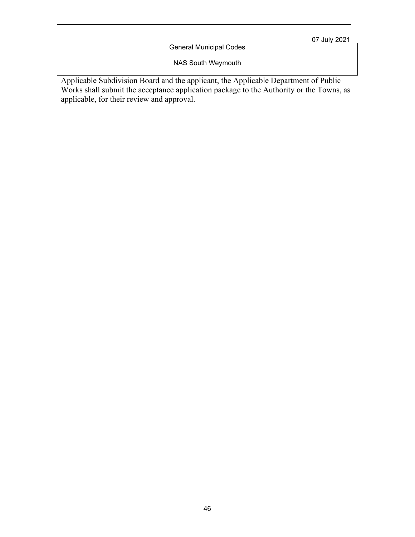General Municipal Codes

NAS South Weymouth

Applicable Subdivision Board and the applicant, the Applicable Department of Public Works shall submit the acceptance application package to the Authority or the Towns, as applicable, for their review and approval.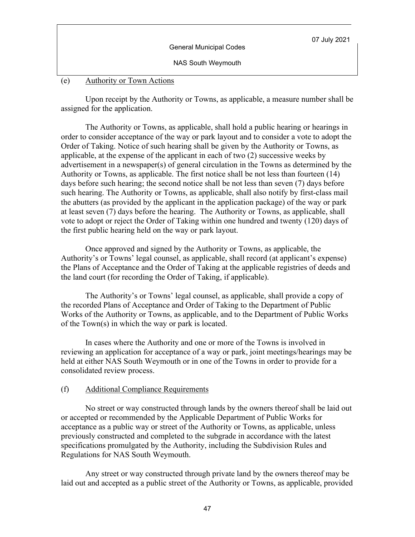| <b>General Municipal Codes</b> | 07 July 2021 |
|--------------------------------|--------------|
| <b>NAS South Weymouth</b>      |              |

#### (e) Authority or Town Actions

Upon receipt by the Authority or Towns, as applicable, a measure number shall be assigned for the application.

The Authority or Towns, as applicable, shall hold a public hearing or hearings in order to consider acceptance of the way or park layout and to consider a vote to adopt the Order of Taking. Notice of such hearing shall be given by the Authority or Towns, as applicable, at the expense of the applicant in each of two (2) successive weeks by advertisement in a newspaper(s) of general circulation in the Towns as determined by the Authority or Towns, as applicable. The first notice shall be not less than fourteen (14) days before such hearing; the second notice shall be not less than seven (7) days before such hearing. The Authority or Towns, as applicable, shall also notify by first-class mail the abutters (as provided by the applicant in the application package) of the way or park at least seven (7) days before the hearing. The Authority or Towns, as applicable, shall vote to adopt or reject the Order of Taking within one hundred and twenty (120) days of the first public hearing held on the way or park layout.

Once approved and signed by the Authority or Towns, as applicable, the Authority's or Towns' legal counsel, as applicable, shall record (at applicant's expense) the Plans of Acceptance and the Order of Taking at the applicable registries of deeds and the land court (for recording the Order of Taking, if applicable).

The Authority's or Towns' legal counsel, as applicable, shall provide a copy of the recorded Plans of Acceptance and Order of Taking to the Department of Public Works of the Authority or Towns, as applicable, and to the Department of Public Works of the Town(s) in which the way or park is located.

In cases where the Authority and one or more of the Towns is involved in reviewing an application for acceptance of a way or park, joint meetings/hearings may be held at either NAS South Weymouth or in one of the Towns in order to provide for a consolidated review process.

#### (f) Additional Compliance Requirements

No street or way constructed through lands by the owners thereof shall be laid out or accepted or recommended by the Applicable Department of Public Works for acceptance as a public way or street of the Authority or Towns, as applicable, unless previously constructed and completed to the subgrade in accordance with the latest specifications promulgated by the Authority, including the Subdivision Rules and Regulations for NAS South Weymouth.

Any street or way constructed through private land by the owners thereof may be laid out and accepted as a public street of the Authority or Towns, as applicable, provided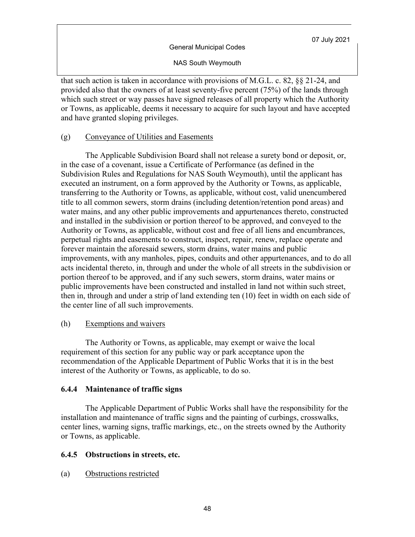NAS South Weymouth

that such action is taken in accordance with provisions of M.G.L. c. 82, §§ 21-24, and provided also that the owners of at least seventy-five percent (75%) of the lands through which such street or way passes have signed releases of all property which the Authority or Towns, as applicable, deems it necessary to acquire for such layout and have accepted and have granted sloping privileges.

### (g) Conveyance of Utilities and Easements

The Applicable Subdivision Board shall not release a surety bond or deposit, or, in the case of a covenant, issue a Certificate of Performance (as defined in the Subdivision Rules and Regulations for NAS South Weymouth), until the applicant has executed an instrument, on a form approved by the Authority or Towns, as applicable, transferring to the Authority or Towns, as applicable, without cost, valid unencumbered title to all common sewers, storm drains (including detention/retention pond areas) and water mains, and any other public improvements and appurtenances thereto, constructed and installed in the subdivision or portion thereof to be approved, and conveyed to the Authority or Towns, as applicable, without cost and free of all liens and encumbrances, perpetual rights and easements to construct, inspect, repair, renew, replace operate and forever maintain the aforesaid sewers, storm drains, water mains and public improvements, with any manholes, pipes, conduits and other appurtenances, and to do all acts incidental thereto, in, through and under the whole of all streets in the subdivision or portion thereof to be approved, and if any such sewers, storm drains, water mains or public improvements have been constructed and installed in land not within such street, then in, through and under a strip of land extending ten (10) feet in width on each side of the center line of all such improvements.

#### (h) Exemptions and waivers

The Authority or Towns, as applicable, may exempt or waive the local requirement of this section for any public way or park acceptance upon the recommendation of the Applicable Department of Public Works that it is in the best interest of the Authority or Towns, as applicable, to do so.

### **6.4.4 Maintenance of traffic signs**

The Applicable Department of Public Works shall have the responsibility for the installation and maintenance of traffic signs and the painting of curbings, crosswalks, center lines, warning signs, traffic markings, etc., on the streets owned by the Authority or Towns, as applicable.

### **6.4.5 Obstructions in streets, etc.**

(a) Obstructions restricted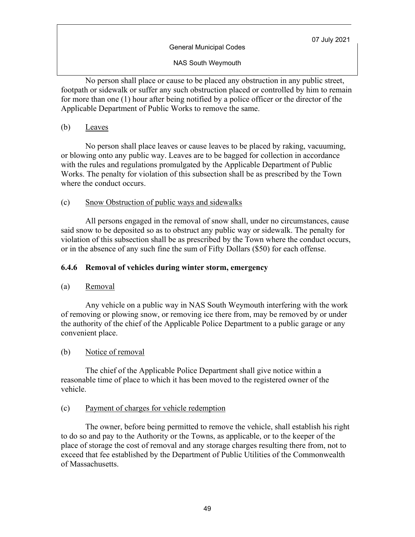NAS South Weymouth

No person shall place or cause to be placed any obstruction in any public street, footpath or sidewalk or suffer any such obstruction placed or controlled by him to remain for more than one (1) hour after being notified by a police officer or the director of the Applicable Department of Public Works to remove the same.

(b) Leaves

No person shall place leaves or cause leaves to be placed by raking, vacuuming, or blowing onto any public way. Leaves are to be bagged for collection in accordance with the rules and regulations promulgated by the Applicable Department of Public Works. The penalty for violation of this subsection shall be as prescribed by the Town where the conduct occurs.

### (c) Snow Obstruction of public ways and sidewalks

All persons engaged in the removal of snow shall, under no circumstances, cause said snow to be deposited so as to obstruct any public way or sidewalk. The penalty for violation of this subsection shall be as prescribed by the Town where the conduct occurs, or in the absence of any such fine the sum of Fifty Dollars (\$50) for each offense.

### **6.4.6 Removal of vehicles during winter storm, emergency**

### (a) Removal

Any vehicle on a public way in NAS South Weymouth interfering with the work of removing or plowing snow, or removing ice there from, may be removed by or under the authority of the chief of the Applicable Police Department to a public garage or any convenient place.

### (b) Notice of removal

The chief of the Applicable Police Department shall give notice within a reasonable time of place to which it has been moved to the registered owner of the vehicle.

### (c) Payment of charges for vehicle redemption

The owner, before being permitted to remove the vehicle, shall establish his right to do so and pay to the Authority or the Towns, as applicable, or to the keeper of the place of storage the cost of removal and any storage charges resulting there from, not to exceed that fee established by the Department of Public Utilities of the Commonwealth of Massachusetts.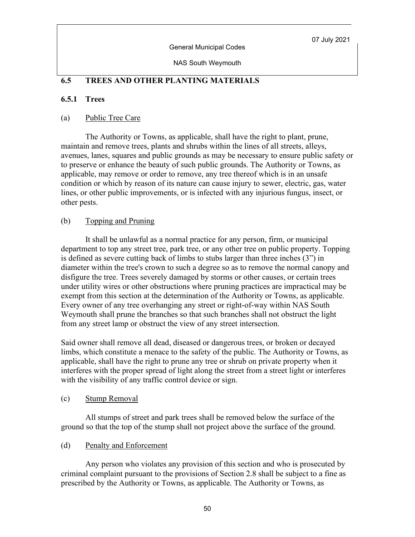General Municipal Codes

NAS South Weymouth

# **6.5 TREES AND OTHER PLANTING MATERIALS**

## **6.5.1 Trees**

### (a) Public Tree Care

The Authority or Towns, as applicable, shall have the right to plant, prune, maintain and remove trees, plants and shrubs within the lines of all streets, alleys, avenues, lanes, squares and public grounds as may be necessary to ensure public safety or to preserve or enhance the beauty of such public grounds. The Authority or Towns, as applicable, may remove or order to remove, any tree thereof which is in an unsafe condition or which by reason of its nature can cause injury to sewer, electric, gas, water lines, or other public improvements, or is infected with any injurious fungus, insect, or other pests.

### (b) Topping and Pruning

It shall be unlawful as a normal practice for any person, firm, or municipal department to top any street tree, park tree, or any other tree on public property. Topping is defined as severe cutting back of limbs to stubs larger than three inches (3") in diameter within the tree's crown to such a degree so as to remove the normal canopy and disfigure the tree. Trees severely damaged by storms or other causes, or certain trees under utility wires or other obstructions where pruning practices are impractical may be exempt from this section at the determination of the Authority or Towns, as applicable. Every owner of any tree overhanging any street or right-of-way within NAS South Weymouth shall prune the branches so that such branches shall not obstruct the light from any street lamp or obstruct the view of any street intersection.

Said owner shall remove all dead, diseased or dangerous trees, or broken or decayed limbs, which constitute a menace to the safety of the public. The Authority or Towns, as applicable, shall have the right to prune any tree or shrub on private property when it interferes with the proper spread of light along the street from a street light or interferes with the visibility of any traffic control device or sign.

#### (c) Stump Removal

All stumps of street and park trees shall be removed below the surface of the ground so that the top of the stump shall not project above the surface of the ground.

### (d) Penalty and Enforcement

Any person who violates any provision of this section and who is prosecuted by criminal complaint pursuant to the provisions of Section 2.8 shall be subject to a fine as prescribed by the Authority or Towns, as applicable. The Authority or Towns, as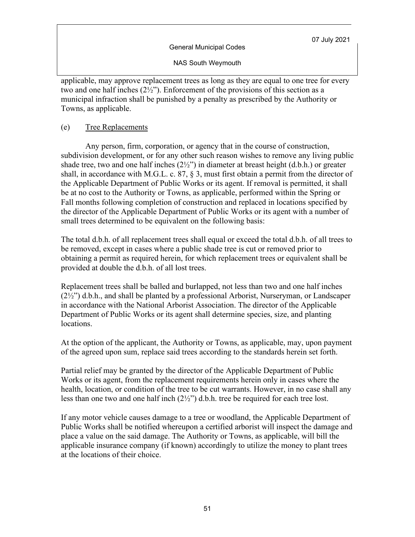NAS South Weymouth

applicable, may approve replacement trees as long as they are equal to one tree for every two and one half inches  $(2\frac{1}{2})^n$ . Enforcement of the provisions of this section as a municipal infraction shall be punished by a penalty as prescribed by the Authority or Towns, as applicable.

### (e) Tree Replacements

Any person, firm, corporation, or agency that in the course of construction, subdivision development, or for any other such reason wishes to remove any living public shade tree, two and one half inches  $(2\frac{1}{2})$  in diameter at breast height  $(d.b.h.)$  or greater shall, in accordance with M.G.L. c. 87,  $\S$  3, must first obtain a permit from the director of the Applicable Department of Public Works or its agent. If removal is permitted, it shall be at no cost to the Authority or Towns, as applicable, performed within the Spring or Fall months following completion of construction and replaced in locations specified by the director of the Applicable Department of Public Works or its agent with a number of small trees determined to be equivalent on the following basis:

The total d.b.h. of all replacement trees shall equal or exceed the total d.b.h. of all trees to be removed, except in cases where a public shade tree is cut or removed prior to obtaining a permit as required herein, for which replacement trees or equivalent shall be provided at double the d.b.h. of all lost trees.

Replacement trees shall be balled and burlapped, not less than two and one half inches  $(2\frac{1}{2})$  d.b.h., and shall be planted by a professional Arborist, Nurseryman, or Landscaper in accordance with the National Arborist Association. The director of the Applicable Department of Public Works or its agent shall determine species, size, and planting locations.

At the option of the applicant, the Authority or Towns, as applicable, may, upon payment of the agreed upon sum, replace said trees according to the standards herein set forth.

Partial relief may be granted by the director of the Applicable Department of Public Works or its agent, from the replacement requirements herein only in cases where the health, location, or condition of the tree to be cut warrants. However, in no case shall any less than one two and one half inch  $(2\frac{1}{2})$  d.b.h. tree be required for each tree lost.

If any motor vehicle causes damage to a tree or woodland, the Applicable Department of Public Works shall be notified whereupon a certified arborist will inspect the damage and place a value on the said damage. The Authority or Towns, as applicable, will bill the applicable insurance company (if known) accordingly to utilize the money to plant trees at the locations of their choice.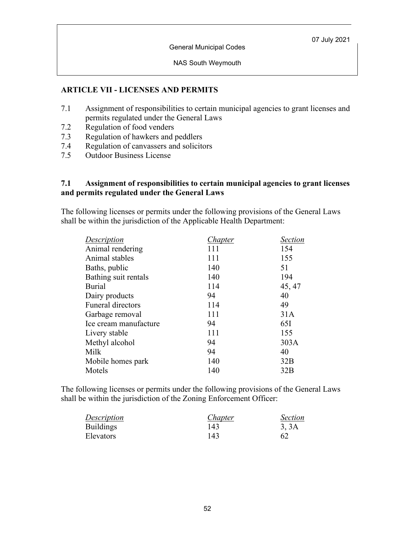NAS South Weymouth

### **ARTICLE VII - LICENSES AND PERMITS**

- 7.1 Assignment of responsibilities to certain municipal agencies to grant licenses and permits regulated under the General Laws
- 7.2 Regulation of food venders
- 7.3 Regulation of hawkers and peddlers
- 7.4 Regulation of canvassers and solicitors
- 7.5 Outdoor Business License

#### **7.1 Assignment of responsibilities to certain municipal agencies to grant licenses and permits regulated under the General Laws**

The following licenses or permits under the following provisions of the General Laws shall be within the jurisdiction of the Applicable Health Department:

| <b>Description</b>       | Chapter | Section |
|--------------------------|---------|---------|
| Animal rendering         | 111     | 154     |
| Animal stables           | 111     | 155     |
| Baths, public            | 140     | 51      |
| Bathing suit rentals     | 140     | 194     |
| <b>Burial</b>            | 114     | 45, 47  |
| Dairy products           | 94      | 40      |
| <b>Funeral directors</b> | 114     | 49      |
| Garbage removal          | 111     | 31A     |
| Ice cream manufacture    | 94      | 65I     |
| Livery stable            | 111     | 155     |
| Methyl alcohol           | 94      | 303A    |
| Milk                     | 94      | 40      |
| Mobile homes park        | 140     | 32B     |
| Motels                   | 140     | 32B     |

The following licenses or permits under the following provisions of the General Laws shall be within the jurisdiction of the Zoning Enforcement Officer:

| <b>Description</b> | <i>Chapter</i> | <b>Section</b> |
|--------------------|----------------|----------------|
| <b>Buildings</b>   | 143            | 3, 3A          |
| Elevators          | 143            | 62             |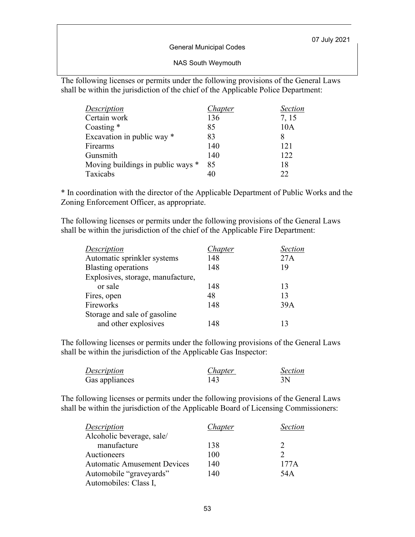General Municipal Codes

#### NAS South Weymouth

The following licenses or permits under the following provisions of the General Laws shall be within the jurisdiction of the chief of the Applicable Police Department:

| Description                       | Chapter | <b>Section</b> |
|-----------------------------------|---------|----------------|
| Certain work                      | 136     | 7, 15          |
| Coasting *                        | 85      | 10A            |
| Excavation in public way *        | 83      | 8              |
| Firearms                          | 140     | 121            |
| Gunsmith                          | 140     | 122            |
| Moving buildings in public ways * | 85      | 18             |
| Taxicabs                          |         | 22             |

\* In coordination with the director of the Applicable Department of Public Works and the Zoning Enforcement Officer, as appropriate.

The following licenses or permits under the following provisions of the General Laws shall be within the jurisdiction of the chief of the Applicable Fire Department:

| Description                       | Chapter | <b>Section</b> |
|-----------------------------------|---------|----------------|
| Automatic sprinkler systems       | 148     | 27A            |
| <b>Blasting operations</b>        | 148     | 19             |
| Explosives, storage, manufacture, |         |                |
| or sale                           | 148     | 13             |
| Fires, open                       | 48      | 13             |
| Fireworks                         | 148     | 39A            |
| Storage and sale of gasoline      |         |                |
| and other explosives              | 148     | 13             |

The following licenses or permits under the following provisions of the General Laws shall be within the jurisdiction of the Applicable Gas Inspector:

| Description    | Chapter | <i>Section</i> |
|----------------|---------|----------------|
| Gas appliances | 143     | 3N             |

The following licenses or permits under the following provisions of the General Laws shall be within the jurisdiction of the Applicable Board of Licensing Commissioners:

| <b>Description</b>                 | Chapter | Section |
|------------------------------------|---------|---------|
| Alcoholic beverage, sale/          |         |         |
| manufacture                        | 138     |         |
| Auctioneers                        | 100     |         |
| <b>Automatic Amusement Devices</b> | 140     | 177A    |
| Automobile "graveyards"            | 140     | 54 A    |
| Automobiles: Class I,              |         |         |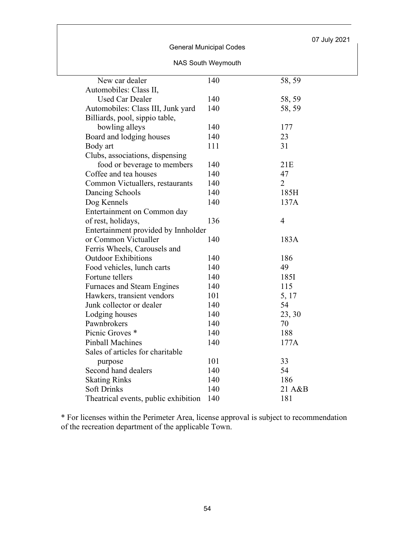### General Municipal Codes

## NAS South Weymouth

| New car dealer                       | 140 | 58, 59         |
|--------------------------------------|-----|----------------|
| Automobiles: Class II,               |     |                |
| <b>Used Car Dealer</b>               | 140 | 58, 59         |
| Automobiles: Class III, Junk yard    | 140 | 58, 59         |
| Billiards, pool, sippio table,       |     |                |
| bowling alleys                       | 140 | 177            |
| Board and lodging houses             | 140 | 23             |
| Body art                             | 111 | 31             |
| Clubs, associations, dispensing      |     |                |
| food or beverage to members          | 140 | 21E            |
| Coffee and tea houses                | 140 | 47             |
| Common Victuallers, restaurants      | 140 | $\overline{2}$ |
| Dancing Schools                      | 140 | 185H           |
| Dog Kennels                          | 140 | 137A           |
| Entertainment on Common day          |     |                |
| of rest, holidays,                   | 136 | $\overline{4}$ |
| Entertainment provided by Innholder  |     |                |
| or Common Victualler                 | 140 | 183A           |
| Ferris Wheels, Carousels and         |     |                |
| <b>Outdoor Exhibitions</b>           | 140 | 186            |
| Food vehicles, lunch carts           | 140 | 49             |
| Fortune tellers                      | 140 | 185I           |
| <b>Furnaces and Steam Engines</b>    | 140 | 115            |
| Hawkers, transient vendors           | 101 | 5, 17          |
| Junk collector or dealer             | 140 | 54             |
| Lodging houses                       | 140 | 23, 30         |
| Pawnbrokers                          | 140 | 70             |
| Picnic Groves <sup>*</sup>           | 140 | 188            |
| <b>Pinball Machines</b>              | 140 | 177A           |
| Sales of articles for charitable     |     |                |
| purpose                              | 101 | 33             |
| Second hand dealers                  | 140 | 54             |
| <b>Skating Rinks</b>                 | 140 | 186            |
| <b>Soft Drinks</b>                   | 140 | 21 A&B         |
| Theatrical events, public exhibition | 140 | 181            |

\* For licenses within the Perimeter Area, license approval is subject to recommendation of the recreation department of the applicable Town.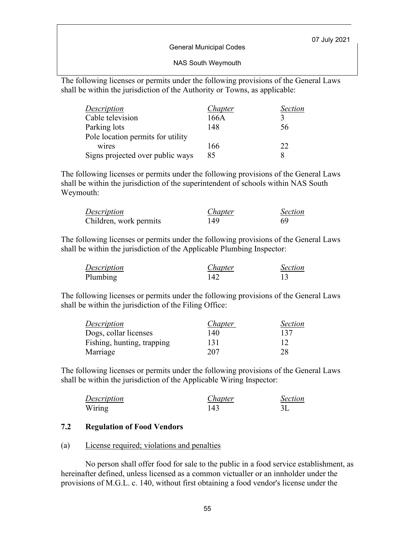General Municipal Codes

#### NAS South Weymouth

The following licenses or permits under the following provisions of the General Laws shall be within the jurisdiction of the Authority or Towns, as applicable:

| Description                       | Chapter | <b>Section</b> |
|-----------------------------------|---------|----------------|
| Cable television                  | 166A    |                |
| Parking lots                      | 148     | 56             |
| Pole location permits for utility |         |                |
| wires                             | 166     | 22             |
| Signs projected over public ways  | 85      |                |

The following licenses or permits under the following provisions of the General Laws shall be within the jurisdiction of the superintendent of schools within NAS South Weymouth:

| Description            | Chapter | <b>Section</b> |
|------------------------|---------|----------------|
| Children, work permits | 149     | 69             |

The following licenses or permits under the following provisions of the General Laws shall be within the jurisdiction of the Applicable Plumbing Inspector:

| Description | Chapter | <b>Section</b> |
|-------------|---------|----------------|
| Plumbing    | 142     |                |

The following licenses or permits under the following provisions of the General Laws shall be within the jurisdiction of the Filing Office:

| Description                | Chapter | <i>Section</i> |
|----------------------------|---------|----------------|
| Dogs, collar licenses      | 140     | 137            |
| Fishing, hunting, trapping | 131     | 12             |
| Marriage                   | 207     | 28             |

The following licenses or permits under the following provisions of the General Laws shall be within the jurisdiction of the Applicable Wiring Inspector:

| Description | Chapter | <b>Section</b> |
|-------------|---------|----------------|
| Wiring      | 143     |                |

#### **7.2 Regulation of Food Vendors**

#### (a) License required; violations and penalties

No person shall offer food for sale to the public in a food service establishment, as hereinafter defined, unless licensed as a common victualler or an innholder under the provisions of M.G.L. c. 140, without first obtaining a food vendor's license under the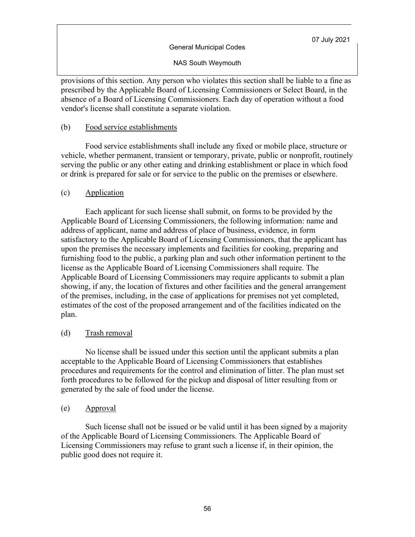#### General Municipal Codes

NAS South Weymouth

provisions of this section. Any person who violates this section shall be liable to a fine as prescribed by the Applicable Board of Licensing Commissioners or Select Board, in the absence of a Board of Licensing Commissioners. Each day of operation without a food vendor's license shall constitute a separate violation.

### (b) Food service establishments

Food service establishments shall include any fixed or mobile place, structure or vehicle, whether permanent, transient or temporary, private, public or nonprofit, routinely serving the public or any other eating and drinking establishment or place in which food or drink is prepared for sale or for service to the public on the premises or elsewhere.

### (c) Application

Each applicant for such license shall submit, on forms to be provided by the Applicable Board of Licensing Commissioners, the following information: name and address of applicant, name and address of place of business, evidence, in form satisfactory to the Applicable Board of Licensing Commissioners, that the applicant has upon the premises the necessary implements and facilities for cooking, preparing and furnishing food to the public, a parking plan and such other information pertinent to the license as the Applicable Board of Licensing Commissioners shall require. The Applicable Board of Licensing Commissioners may require applicants to submit a plan showing, if any, the location of fixtures and other facilities and the general arrangement of the premises, including, in the case of applications for premises not yet completed, estimates of the cost of the proposed arrangement and of the facilities indicated on the plan.

#### (d) Trash removal

No license shall be issued under this section until the applicant submits a plan acceptable to the Applicable Board of Licensing Commissioners that establishes procedures and requirements for the control and elimination of litter. The plan must set forth procedures to be followed for the pickup and disposal of litter resulting from or generated by the sale of food under the license.

#### (e) Approval

Such license shall not be issued or be valid until it has been signed by a majority of the Applicable Board of Licensing Commissioners. The Applicable Board of Licensing Commissioners may refuse to grant such a license if, in their opinion, the public good does not require it.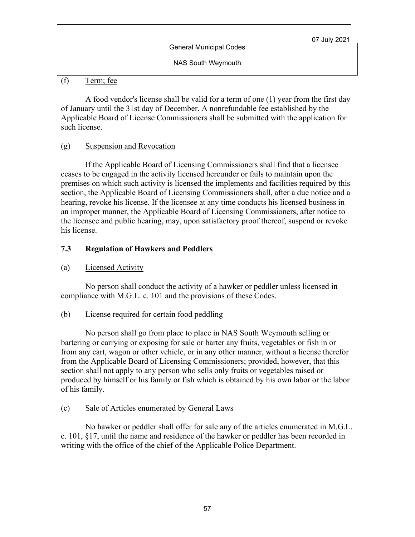NAS South Weymouth

## (f) Term; fee

A food vendor's license shall be valid for a term of one (1) year from the first day of January until the 31st day of December. A nonrefundable fee established by the Applicable Board of License Commissioners shall be submitted with the application for such license.

### (g) Suspension and Revocation

If the Applicable Board of Licensing Commissioners shall find that a licensee ceases to be engaged in the activity licensed hereunder or fails to maintain upon the premises on which such activity is licensed the implements and facilities required by this section, the Applicable Board of Licensing Commissioners shall, after a due notice and a hearing, revoke his license. If the licensee at any time conducts his licensed business in an improper manner, the Applicable Board of Licensing Commissioners, after notice to the licensee and public hearing, may, upon satisfactory proof thereof, suspend or revoke his license.

### **7.3 Regulation of Hawkers and Peddlers**

### (a) Licensed Activity

No person shall conduct the activity of a hawker or peddler unless licensed in compliance with M.G.L. c. 101 and the provisions of these Codes.

### (b) License required for certain food peddling

No person shall go from place to place in NAS South Weymouth selling or bartering or carrying or exposing for sale or barter any fruits, vegetables or fish in or from any cart, wagon or other vehicle, or in any other manner, without a license therefor from the Applicable Board of Licensing Commissioners; provided, however, that this section shall not apply to any person who sells only fruits or vegetables raised or produced by himself or his family or fish which is obtained by his own labor or the labor of his family.

### (c) Sale of Articles enumerated by General Laws

No hawker or peddler shall offer for sale any of the articles enumerated in M.G.L. c. 101, §17, until the name and residence of the hawker or peddler has been recorded in writing with the office of the chief of the Applicable Police Department.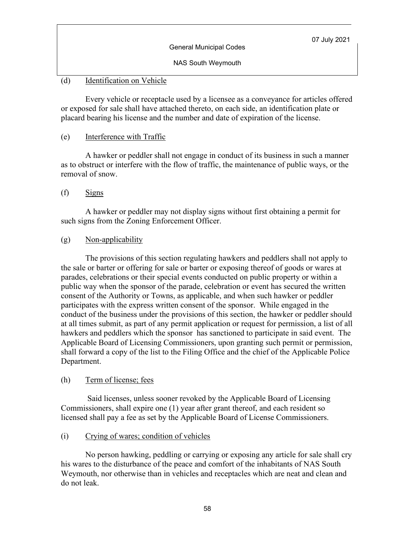NAS South Weymouth

## (d) Identification on Vehicle

 Every vehicle or receptacle used by a licensee as a conveyance for articles offered or exposed for sale shall have attached thereto, on each side, an identification plate or placard bearing his license and the number and date of expiration of the license.

### (e) Interference with Traffic

 A hawker or peddler shall not engage in conduct of its business in such a manner as to obstruct or interfere with the flow of traffic, the maintenance of public ways, or the removal of snow.

(f) Signs

 A hawker or peddler may not display signs without first obtaining a permit for such signs from the Zoning Enforcement Officer.

## (g) Non-applicability

 The provisions of this section regulating hawkers and peddlers shall not apply to the sale or barter or offering for sale or barter or exposing thereof of goods or wares at parades, celebrations or their special events conducted on public property or within a public way when the sponsor of the parade, celebration or event has secured the written consent of the Authority or Towns, as applicable, and when such hawker or peddler participates with the express written consent of the sponsor. While engaged in the conduct of the business under the provisions of this section, the hawker or peddler should at all times submit, as part of any permit application or request for permission, a list of all hawkers and peddlers which the sponsor has sanctioned to participate in said event. The Applicable Board of Licensing Commissioners, upon granting such permit or permission, shall forward a copy of the list to the Filing Office and the chief of the Applicable Police Department.

### (h) Term of license; fees

 Said licenses, unless sooner revoked by the Applicable Board of Licensing Commissioners, shall expire one (1) year after grant thereof, and each resident so licensed shall pay a fee as set by the Applicable Board of License Commissioners.

### (i) Crying of wares; condition of vehicles

 No person hawking, peddling or carrying or exposing any article for sale shall cry his wares to the disturbance of the peace and comfort of the inhabitants of NAS South Weymouth, nor otherwise than in vehicles and receptacles which are neat and clean and do not leak.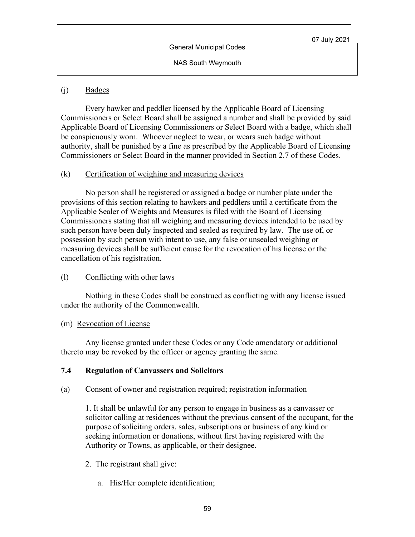NAS South Weymouth

### (j) Badges

Every hawker and peddler licensed by the Applicable Board of Licensing Commissioners or Select Board shall be assigned a number and shall be provided by said Applicable Board of Licensing Commissioners or Select Board with a badge, which shall be conspicuously worn. Whoever neglect to wear, or wears such badge without authority, shall be punished by a fine as prescribed by the Applicable Board of Licensing Commissioners or Select Board in the manner provided in Section 2.7 of these Codes.

### $(k)$  Certification of weighing and measuring devices

 No person shall be registered or assigned a badge or number plate under the provisions of this section relating to hawkers and peddlers until a certificate from the Applicable Sealer of Weights and Measures is filed with the Board of Licensing Commissioners stating that all weighing and measuring devices intended to be used by such person have been duly inspected and sealed as required by law. The use of, or possession by such person with intent to use, any false or unsealed weighing or measuring devices shall be sufficient cause for the revocation of his license or the cancellation of his registration.

#### (l) Conflicting with other laws

Nothing in these Codes shall be construed as conflicting with any license issued under the authority of the Commonwealth.

#### (m) Revocation of License

Any license granted under these Codes or any Code amendatory or additional thereto may be revoked by the officer or agency granting the same.

### **7.4 Regulation of Canvassers and Solicitors**

#### (a) Consent of owner and registration required; registration information

1. It shall be unlawful for any person to engage in business as a canvasser or solicitor calling at residences without the previous consent of the occupant, for the purpose of soliciting orders, sales, subscriptions or business of any kind or seeking information or donations, without first having registered with the Authority or Towns, as applicable, or their designee.

- 2. The registrant shall give:
	- a. His/Her complete identification;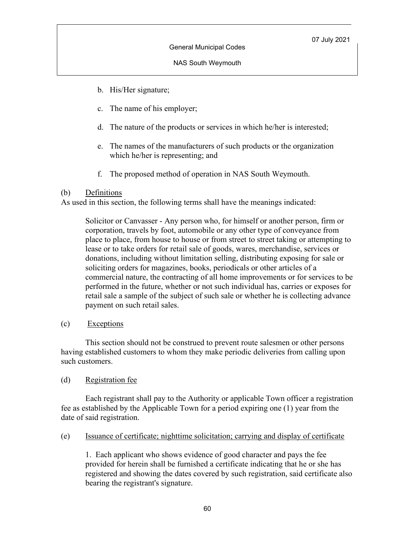- b. His/Her signature;
- c. The name of his employer;
- d. The nature of the products or services in which he/her is interested;
- e. The names of the manufacturers of such products or the organization which he/her is representing; and
- f. The proposed method of operation in NAS South Weymouth.

### (b) Definitions

As used in this section, the following terms shall have the meanings indicated:

Solicitor or Canvasser - Any person who, for himself or another person, firm or corporation, travels by foot, automobile or any other type of conveyance from place to place, from house to house or from street to street taking or attempting to lease or to take orders for retail sale of goods, wares, merchandise, services or donations, including without limitation selling, distributing exposing for sale or soliciting orders for magazines, books, periodicals or other articles of a commercial nature, the contracting of all home improvements or for services to be performed in the future, whether or not such individual has, carries or exposes for retail sale a sample of the subject of such sale or whether he is collecting advance payment on such retail sales.

(c) Exceptions

This section should not be construed to prevent route salesmen or other persons having established customers to whom they make periodic deliveries from calling upon such customers.

### (d) Registration fee

Each registrant shall pay to the Authority or applicable Town officer a registration fee as established by the Applicable Town for a period expiring one (1) year from the date of said registration.

(e) Issuance of certificate; nighttime solicitation; carrying and display of certificate

1. Each applicant who shows evidence of good character and pays the fee provided for herein shall be furnished a certificate indicating that he or she has registered and showing the dates covered by such registration, said certificate also bearing the registrant's signature.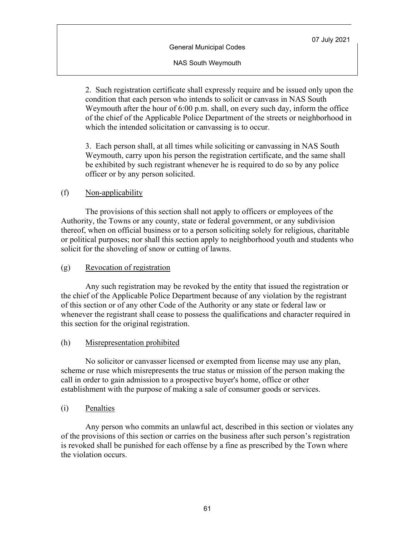NAS South Weymouth

2. Such registration certificate shall expressly require and be issued only upon the condition that each person who intends to solicit or canvass in NAS South Weymouth after the hour of 6:00 p.m. shall, on every such day, inform the office of the chief of the Applicable Police Department of the streets or neighborhood in which the intended solicitation or canvassing is to occur.

3. Each person shall, at all times while soliciting or canvassing in NAS South Weymouth, carry upon his person the registration certificate, and the same shall be exhibited by such registrant whenever he is required to do so by any police officer or by any person solicited.

### (f) Non-applicability

The provisions of this section shall not apply to officers or employees of the Authority, the Towns or any county, state or federal government, or any subdivision thereof, when on official business or to a person soliciting solely for religious, charitable or political purposes; nor shall this section apply to neighborhood youth and students who solicit for the shoveling of snow or cutting of lawns.

#### (g) Revocation of registration

Any such registration may be revoked by the entity that issued the registration or the chief of the Applicable Police Department because of any violation by the registrant of this section or of any other Code of the Authority or any state or federal law or whenever the registrant shall cease to possess the qualifications and character required in this section for the original registration.

#### (h) Misrepresentation prohibited

No solicitor or canvasser licensed or exempted from license may use any plan, scheme or ruse which misrepresents the true status or mission of the person making the call in order to gain admission to a prospective buyer's home, office or other establishment with the purpose of making a sale of consumer goods or services.

(i) Penalties

Any person who commits an unlawful act, described in this section or violates any of the provisions of this section or carries on the business after such person's registration is revoked shall be punished for each offense by a fine as prescribed by the Town where the violation occurs.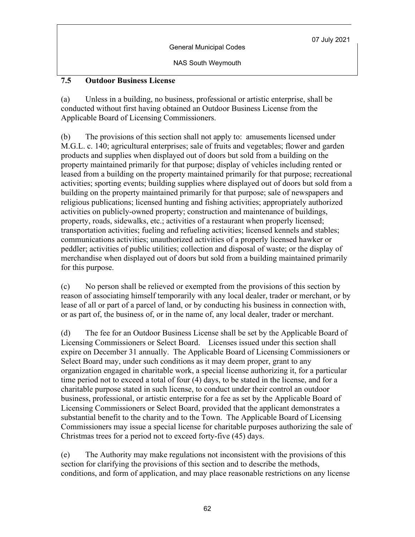NAS South Weymouth

## **7.5 Outdoor Business License**

(a) Unless in a building, no business, professional or artistic enterprise, shall be conducted without first having obtained an Outdoor Business License from the Applicable Board of Licensing Commissioners.

(b) The provisions of this section shall not apply to: amusements licensed under M.G.L. c. 140; agricultural enterprises; sale of fruits and vegetables; flower and garden products and supplies when displayed out of doors but sold from a building on the property maintained primarily for that purpose; display of vehicles including rented or leased from a building on the property maintained primarily for that purpose; recreational activities; sporting events; building supplies where displayed out of doors but sold from a building on the property maintained primarily for that purpose; sale of newspapers and religious publications; licensed hunting and fishing activities; appropriately authorized activities on publicly-owned property; construction and maintenance of buildings, property, roads, sidewalks, etc.; activities of a restaurant when properly licensed; transportation activities; fueling and refueling activities; licensed kennels and stables; communications activities; unauthorized activities of a properly licensed hawker or peddler; activities of public utilities; collection and disposal of waste; or the display of merchandise when displayed out of doors but sold from a building maintained primarily for this purpose.

(c) No person shall be relieved or exempted from the provisions of this section by reason of associating himself temporarily with any local dealer, trader or merchant, or by lease of all or part of a parcel of land, or by conducting his business in connection with, or as part of, the business of, or in the name of, any local dealer, trader or merchant.

(d) The fee for an Outdoor Business License shall be set by the Applicable Board of Licensing Commissioners or Select Board. Licenses issued under this section shall expire on December 31 annually. The Applicable Board of Licensing Commissioners or Select Board may, under such conditions as it may deem proper, grant to any organization engaged in charitable work, a special license authorizing it, for a particular time period not to exceed a total of four (4) days, to be stated in the license, and for a charitable purpose stated in such license, to conduct under their control an outdoor business, professional, or artistic enterprise for a fee as set by the Applicable Board of Licensing Commissioners or Select Board, provided that the applicant demonstrates a substantial benefit to the charity and to the Town. The Applicable Board of Licensing Commissioners may issue a special license for charitable purposes authorizing the sale of Christmas trees for a period not to exceed forty-five (45) days.

(e) The Authority may make regulations not inconsistent with the provisions of this section for clarifying the provisions of this section and to describe the methods, conditions, and form of application, and may place reasonable restrictions on any license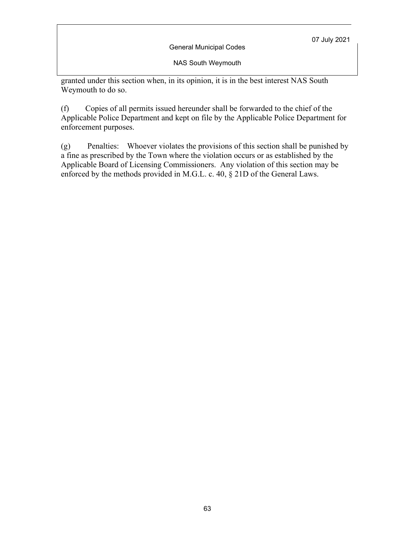General Municipal Codes

NAS South Weymouth

granted under this section when, in its opinion, it is in the best interest NAS South Weymouth to do so.

(f) Copies of all permits issued hereunder shall be forwarded to the chief of the Applicable Police Department and kept on file by the Applicable Police Department for enforcement purposes.

(g) Penalties: Whoever violates the provisions of this section shall be punished by a fine as prescribed by the Town where the violation occurs or as established by the Applicable Board of Licensing Commissioners. Any violation of this section may be enforced by the methods provided in M.G.L. c. 40, § 21D of the General Laws.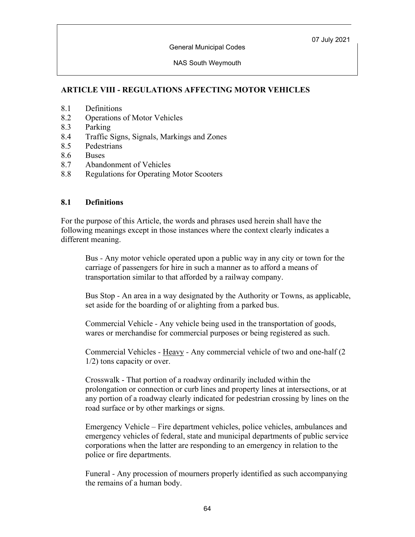NAS South Weymouth

# **ARTICLE VIII - REGULATIONS AFFECTING MOTOR VEHICLES**

- 8.1 Definitions
- 8.2 Operations of Motor Vehicles
- 8.3 Parking
- 8.4 Traffic Signs, Signals, Markings and Zones
- 8.5 Pedestrians
- 8.6 Buses
- 8.7 Abandonment of Vehicles
- 8.8 Regulations for Operating Motor Scooters

#### **8.1 Definitions**

For the purpose of this Article, the words and phrases used herein shall have the following meanings except in those instances where the context clearly indicates a different meaning.

Bus *-* Any motor vehicle operated upon a public way in any city or town for the carriage of passengers for hire in such a manner as to afford a means of transportation similar to that afforded by a railway company.

Bus Stop *-* An area in a way designated by the Authority or Towns, as applicable, set aside for the boarding of or alighting from a parked bus.

Commercial Vehicle *-* Any vehicle being used in the transportation of goods, wares or merchandise for commercial purposes or being registered as such.

Commercial Vehicles *-* Heavy *-* Any commercial vehicle of two and one-half (2 1/2) tons capacity or over.

Crosswalk - That portion of a roadway ordinarily included within the prolongation or connection or curb lines and property lines at intersections, or at any portion of a roadway clearly indicated for pedestrian crossing by lines on the road surface or by other markings or signs.

Emergency Vehicle *–* Fire department vehicles, police vehicles, ambulances and emergency vehicles of federal, state and municipal departments of public service corporations when the latter are responding to an emergency in relation to the police or fire departments.

Funeral *-* Any procession of mourners properly identified as such accompanying the remains of a human body.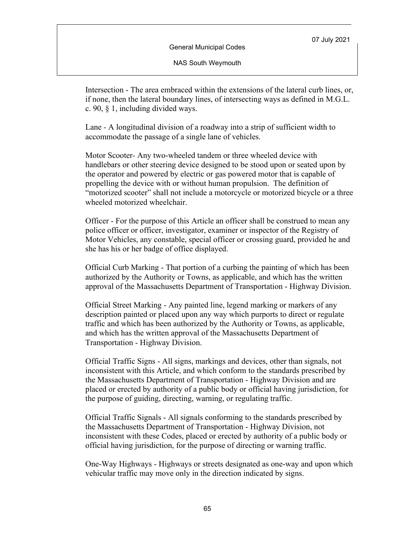NAS South Weymouth

Intersection - The area embraced within the extensions of the lateral curb lines, or, if none, then the lateral boundary lines, of intersecting ways as defined in M.G.L. c. 90, § 1, including divided ways.

Lane *-* A longitudinal division of a roadway into a strip of sufficient width to accommodate the passage of a single lane of vehicles.

Motor Scooter*-* Any two-wheeled tandem or three wheeled device with handlebars or other steering device designed to be stood upon or seated upon by the operator and powered by electric or gas powered motor that is capable of propelling the device with or without human propulsion. The definition of "motorized scooter" shall not include a motorcycle or motorized bicycle or a three wheeled motorized wheelchair.

Officer - For the purpose of this Article an officer shall be construed to mean any police officer or officer, investigator, examiner or inspector of the Registry of Motor Vehicles, any constable, special officer or crossing guard, provided he and she has his or her badge of office displayed.

Official Curb Marking - That portion of a curbing the painting of which has been authorized by the Authority or Towns, as applicable, and which has the written approval of the Massachusetts Department of Transportation - Highway Division.

Official Street Marking - Any painted line, legend marking or markers of any description painted or placed upon any way which purports to direct or regulate traffic and which has been authorized by the Authority or Towns, as applicable, and which has the written approval of the Massachusetts Department of Transportation - Highway Division.

Official Traffic Signs - All signs, markings and devices, other than signals, not inconsistent with this Article, and which conform to the standards prescribed by the Massachusetts Department of Transportation - Highway Division and are placed or erected by authority of a public body or official having jurisdiction, for the purpose of guiding, directing, warning, or regulating traffic.

Official Traffic Signals - All signals conforming to the standards prescribed by the Massachusetts Department of Transportation - Highway Division, not inconsistent with these Codes, placed or erected by authority of a public body or official having jurisdiction, for the purpose of directing or warning traffic.

One-Way Highways - Highways or streets designated as one-way and upon which vehicular traffic may move only in the direction indicated by signs.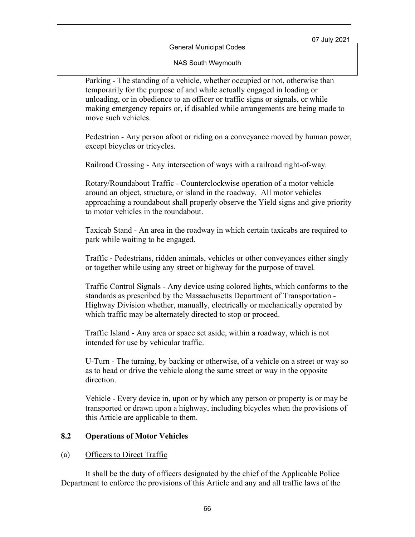#### NAS South Weymouth

Parking *-* The standing of a vehicle, whether occupied or not, otherwise than temporarily for the purpose of and while actually engaged in loading or unloading, or in obedience to an officer or traffic signs or signals, or while making emergency repairs or, if disabled while arrangements are being made to move such vehicles.

Pedestrian - Any person afoot or riding on a conveyance moved by human power, except bicycles or tricycles.

Railroad Crossing - Any intersection of ways with a railroad right-of-way*.*

Rotary/Roundabout Traffic - Counterclockwise operation of a motor vehicle around an object, structure, or island in the roadway. All motor vehicles approaching a roundabout shall properly observe the Yield signs and give priority to motor vehicles in the roundabout.

Taxicab Stand - An area in the roadway in which certain taxicabs are required to park while waiting to be engaged.

Traffic - Pedestrians, ridden animals, vehicles or other conveyances either singly or together while using any street or highway for the purpose of travel*.*

Traffic Control Signals - Any device using colored lights, which conforms to the standards as prescribed by the Massachusetts Department of Transportation - Highway Division whether, manually, electrically or mechanically operated by which traffic may be alternately directed to stop or proceed.

Traffic Island - Any area or space set aside, within a roadway, which is not intended for use by vehicular traffic.

U-Turn - The turning, by backing or otherwise, of a vehicle on a street or way so as to head or drive the vehicle along the same street or way in the opposite direction.

Vehicle - Every device in, upon or by which any person or property is or may be transported or drawn upon a highway, including bicycles when the provisions of this Article are applicable to them.

### **8.2 Operations of Motor Vehicles**

#### (a) Officers to Direct Traffic

It shall be the duty of officers designated by the chief of the Applicable Police Department to enforce the provisions of this Article and any and all traffic laws of the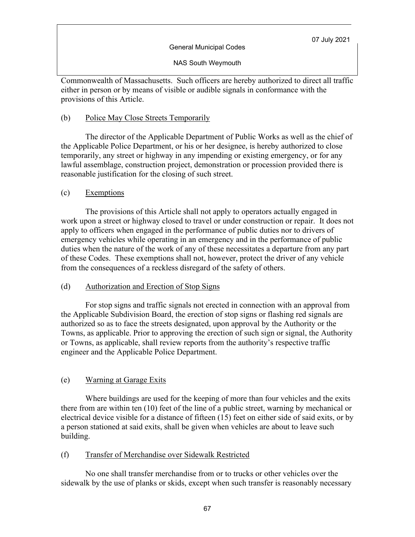General Municipal Codes

NAS South Weymouth

Commonwealth of Massachusetts. Such officers are hereby authorized to direct all traffic either in person or by means of visible or audible signals in conformance with the provisions of this Article.

### (b) Police May Close Streets Temporarily

The director of the Applicable Department of Public Works as well as the chief of the Applicable Police Department, or his or her designee, is hereby authorized to close temporarily, any street or highway in any impending or existing emergency, or for any lawful assemblage, construction project, demonstration or procession provided there is reasonable justification for the closing of such street.

## (c) Exemptions

The provisions of this Article shall not apply to operators actually engaged in work upon a street or highway closed to travel or under construction or repair. It does not apply to officers when engaged in the performance of public duties nor to drivers of emergency vehicles while operating in an emergency and in the performance of public duties when the nature of the work of any of these necessitates a departure from any part of these Codes. These exemptions shall not, however, protect the driver of any vehicle from the consequences of a reckless disregard of the safety of others.

### (d) Authorization and Erection of Stop Signs

For stop signs and traffic signals not erected in connection with an approval from the Applicable Subdivision Board, the erection of stop signs or flashing red signals are authorized so as to face the streets designated, upon approval by the Authority or the Towns, as applicable. Prior to approving the erection of such sign or signal, the Authority or Towns, as applicable, shall review reports from the authority's respective traffic engineer and the Applicable Police Department.

### (e) Warning at Garage Exits

Where buildings are used for the keeping of more than four vehicles and the exits there from are within ten (10) feet of the line of a public street, warning by mechanical or electrical device visible for a distance of fifteen (15) feet on either side of said exits, or by a person stationed at said exits, shall be given when vehicles are about to leave such building.

### (f) Transfer of Merchandise over Sidewalk Restricted

No one shall transfer merchandise from or to trucks or other vehicles over the sidewalk by the use of planks or skids, except when such transfer is reasonably necessary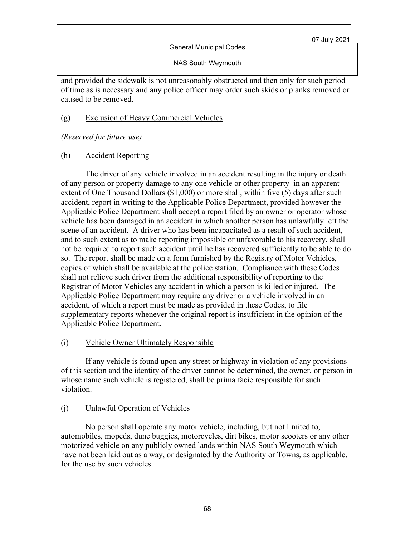NAS South Weymouth

and provided the sidewalk is not unreasonably obstructed and then only for such period of time as is necessary and any police officer may order such skids or planks removed or caused to be removed.

### (g) Exclusion of Heavy Commercial Vehicles

*(Reserved for future use)*

## (h) Accident Reporting

The driver of any vehicle involved in an accident resulting in the injury or death of any person or property damage to any one vehicle or other property in an apparent extent of One Thousand Dollars (\$1,000) or more shall, within five (5) days after such accident, report in writing to the Applicable Police Department, provided however the Applicable Police Department shall accept a report filed by an owner or operator whose vehicle has been damaged in an accident in which another person has unlawfully left the scene of an accident. A driver who has been incapacitated as a result of such accident, and to such extent as to make reporting impossible or unfavorable to his recovery, shall not be required to report such accident until he has recovered sufficiently to be able to do so. The report shall be made on a form furnished by the Registry of Motor Vehicles, copies of which shall be available at the police station. Compliance with these Codes shall not relieve such driver from the additional responsibility of reporting to the Registrar of Motor Vehicles any accident in which a person is killed or injured. The Applicable Police Department may require any driver or a vehicle involved in an accident, of which a report must be made as provided in these Codes, to file supplementary reports whenever the original report is insufficient in the opinion of the Applicable Police Department.

### (i) Vehicle Owner Ultimately Responsible

If any vehicle is found upon any street or highway in violation of any provisions of this section and the identity of the driver cannot be determined, the owner, or person in whose name such vehicle is registered, shall be prima facie responsible for such violation.

# (j) Unlawful Operation of Vehicles

No person shall operate any motor vehicle, including, but not limited to, automobiles, mopeds, dune buggies, motorcycles, dirt bikes, motor scooters or any other motorized vehicle on any publicly owned lands within NAS South Weymouth which have not been laid out as a way, or designated by the Authority or Towns, as applicable, for the use by such vehicles.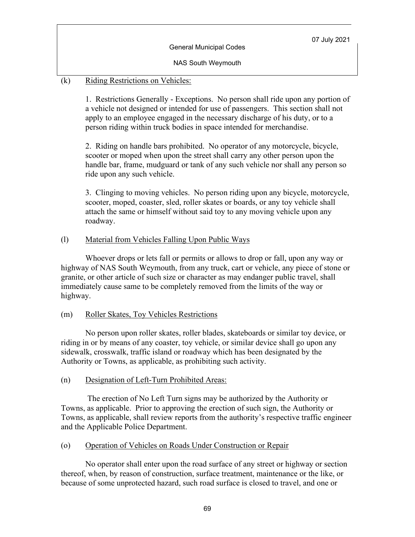NAS South Weymouth

## (k) Riding Restrictions on Vehicles:

1. Restrictions Generally - Exceptions. No person shall ride upon any portion of a vehicle not designed or intended for use of passengers. This section shall not apply to an employee engaged in the necessary discharge of his duty, or to a person riding within truck bodies in space intended for merchandise.

2. Riding on handle bars prohibited. No operator of any motorcycle, bicycle, scooter or moped when upon the street shall carry any other person upon the handle bar, frame, mudguard or tank of any such vehicle nor shall any person so ride upon any such vehicle.

3. Clinging to moving vehicles. No person riding upon any bicycle, motorcycle, scooter, moped, coaster, sled, roller skates or boards, or any toy vehicle shall attach the same or himself without said toy to any moving vehicle upon any roadway.

### (l) Material from Vehicles Falling Upon Public Ways

Whoever drops or lets fall or permits or allows to drop or fall, upon any way or highway of NAS South Weymouth, from any truck, cart or vehicle, any piece of stone or granite, or other article of such size or character as may endanger public travel, shall immediately cause same to be completely removed from the limits of the way or highway.

### (m) Roller Skates, Toy Vehicles Restrictions

No person upon roller skates, roller blades, skateboards or similar toy device, or riding in or by means of any coaster, toy vehicle, or similar device shall go upon any sidewalk, crosswalk, traffic island or roadway which has been designated by the Authority or Towns, as applicable, as prohibiting such activity.

### (n) Designation of Left-Turn Prohibited Areas:

The erection of No Left Turn signs may be authorized by the Authority or Towns, as applicable. Prior to approving the erection of such sign, the Authority or Towns, as applicable, shall review reports from the authority's respective traffic engineer and the Applicable Police Department.

# (o) Operation of Vehicles on Roads Under Construction or Repair

No operator shall enter upon the road surface of any street or highway or section thereof, when, by reason of construction, surface treatment, maintenance or the like, or because of some unprotected hazard, such road surface is closed to travel, and one or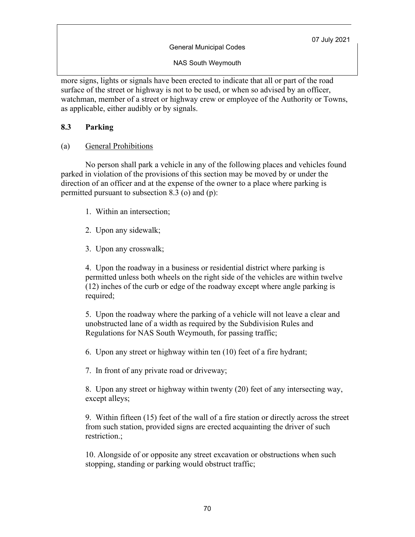NAS South Weymouth

more signs, lights or signals have been erected to indicate that all or part of the road surface of the street or highway is not to be used, or when so advised by an officer, watchman, member of a street or highway crew or employee of the Authority or Towns, as applicable, either audibly or by signals.

### **8.3 Parking**

(a) General Prohibitions

No person shall park a vehicle in any of the following places and vehicles found parked in violation of the provisions of this section may be moved by or under the direction of an officer and at the expense of the owner to a place where parking is permitted pursuant to subsection 8.3 (o) and (p):

- 1. Within an intersection;
- 2. Upon any sidewalk;
- 3. Upon any crosswalk;

4. Upon the roadway in a business or residential district where parking is permitted unless both wheels on the right side of the vehicles are within twelve (12) inches of the curb or edge of the roadway except where angle parking is required;

5. Upon the roadway where the parking of a vehicle will not leave a clear and unobstructed lane of a width as required by the Subdivision Rules and Regulations for NAS South Weymouth, for passing traffic;

6. Upon any street or highway within ten (10) feet of a fire hydrant;

7. In front of any private road or driveway;

8. Upon any street or highway within twenty (20) feet of any intersecting way, except alleys;

9. Within fifteen (15) feet of the wall of a fire station or directly across the street from such station, provided signs are erected acquainting the driver of such restriction.;

10. Alongside of or opposite any street excavation or obstructions when such stopping, standing or parking would obstruct traffic;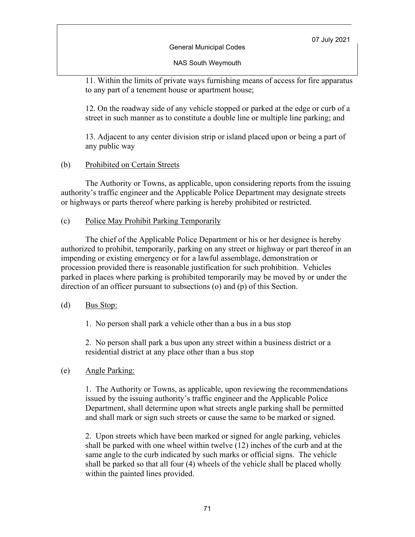General Municipal Codes

NAS South Weymouth

11. Within the limits of private ways furnishing means of access for fire apparatus to any part of a tenement house or apartment house;

12. On the roadway side of any vehicle stopped or parked at the edge or curb of a street in such manner as to constitute a double line or multiple line parking; and

13. Adjacent to any center division strip or island placed upon or being a part of any public way

# (b) Prohibited on Certain Streets

The Authority or Towns, as applicable, upon considering reports from the issuing authority's traffic engineer and the Applicable Police Department may designate streets or highways or parts thereof where parking is hereby prohibited or restricted.

# (c) Police May Prohibit Parking Temporarily

The chief of the Applicable Police Department or his or her designee is hereby authorized to prohibit, temporarily, parking on any street or highway or part thereof in an impending or existing emergency or for a lawful assemblage, demonstration or procession provided there is reasonable justification for such prohibition. Vehicles parked in places where parking is prohibited temporarily may be moved by or under the direction of an officer pursuant to subsections (o) and (p) of this Section.

# (d) Bus Stop:

1. No person shall park a vehicle other than a bus in a bus stop

2. No person shall park a bus upon any street within a business district or a residential district at any place other than a bus stop

# (e) Angle Parking:

1. The Authority or Towns, as applicable, upon reviewing the recommendations issued by the issuing authority's traffic engineer and the Applicable Police Department, shall determine upon what streets angle parking shall be permitted and shall mark or sign such streets or cause the same to be marked or signed.

2. Upon streets which have been marked or signed for angle parking, vehicles shall be parked with one wheel within twelve (12) inches of the curb and at the same angle to the curb indicated by such marks or official signs. The vehicle shall be parked so that all four (4) wheels of the vehicle shall be placed wholly within the painted lines provided.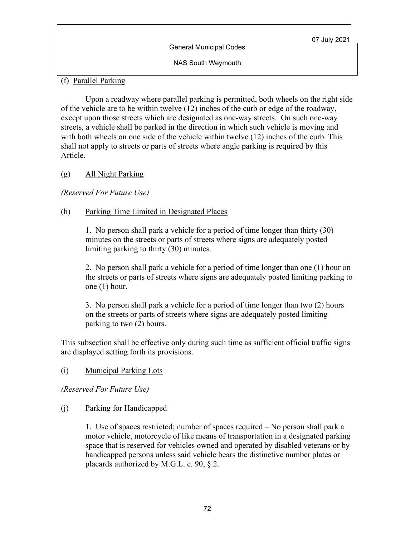NAS South Weymouth

# (f) Parallel Parking

Upon a roadway where parallel parking is permitted, both wheels on the right side of the vehicle are to be within twelve (12) inches of the curb or edge of the roadway, except upon those streets which are designated as one-way streets. On such one-way streets, a vehicle shall be parked in the direction in which such vehicle is moving and with both wheels on one side of the vehicle within twelve (12) inches of the curb. This shall not apply to streets or parts of streets where angle parking is required by this Article.

# (g) All Night Parking

*(Reserved For Future Use)*

# (h) Parking Time Limited in Designated Places

1. No person shall park a vehicle for a period of time longer than thirty (30) minutes on the streets or parts of streets where signs are adequately posted limiting parking to thirty (30) minutes.

2. No person shall park a vehicle for a period of time longer than one (1) hour on the streets or parts of streets where signs are adequately posted limiting parking to one (1) hour.

3. No person shall park a vehicle for a period of time longer than two (2) hours on the streets or parts of streets where signs are adequately posted limiting parking to two (2) hours.

This subsection shall be effective only during such time as sufficient official traffic signs are displayed setting forth its provisions.

# (i) Municipal Parking Lots

*(Reserved For Future Use)*

# (j) Parking for Handicapped

1. Use of spaces restricted; number of spaces required – No person shall park a motor vehicle, motorcycle of like means of transportation in a designated parking space that is reserved for vehicles owned and operated by disabled veterans or by handicapped persons unless said vehicle bears the distinctive number plates or placards authorized by M.G.L. c. 90, § 2.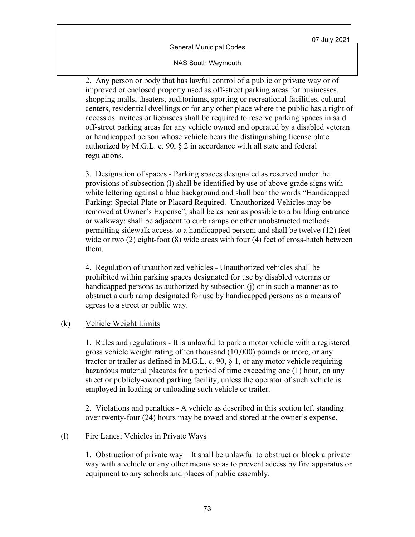#### NAS South Weymouth

2. Any person or body that has lawful control of a public or private way or of improved or enclosed property used as off-street parking areas for businesses, shopping malls, theaters, auditoriums, sporting or recreational facilities, cultural centers, residential dwellings or for any other place where the public has a right of access as invitees or licensees shall be required to reserve parking spaces in said off-street parking areas for any vehicle owned and operated by a disabled veteran or handicapped person whose vehicle bears the distinguishing license plate authorized by M.G.L. c. 90, § 2 in accordance with all state and federal regulations.

3. Designation of spaces - Parking spaces designated as reserved under the provisions of subsection (l) shall be identified by use of above grade signs with white lettering against a blue background and shall bear the words "Handicapped Parking: Special Plate or Placard Required. Unauthorized Vehicles may be removed at Owner's Expense"; shall be as near as possible to a building entrance or walkway; shall be adjacent to curb ramps or other unobstructed methods permitting sidewalk access to a handicapped person; and shall be twelve (12) feet wide or two (2) eight-foot (8) wide areas with four (4) feet of cross-hatch between them.

4. Regulation of unauthorized vehicles - Unauthorized vehicles shall be prohibited within parking spaces designated for use by disabled veterans or handicapped persons as authorized by subsection (j) or in such a manner as to obstruct a curb ramp designated for use by handicapped persons as a means of egress to a street or public way.

#### (k) Vehicle Weight Limits

1. Rules and regulations - It is unlawful to park a motor vehicle with a registered gross vehicle weight rating of ten thousand (10,000) pounds or more, or any tractor or trailer as defined in M.G.L. c. 90, § 1, or any motor vehicle requiring hazardous material placards for a period of time exceeding one (1) hour, on any street or publicly-owned parking facility, unless the operator of such vehicle is employed in loading or unloading such vehicle or trailer.

2. Violations and penalties - A vehicle as described in this section left standing over twenty-four (24) hours may be towed and stored at the owner's expense.

#### (l) Fire Lanes; Vehicles in Private Ways

1. Obstruction of private way – It shall be unlawful to obstruct or block a private way with a vehicle or any other means so as to prevent access by fire apparatus or equipment to any schools and places of public assembly.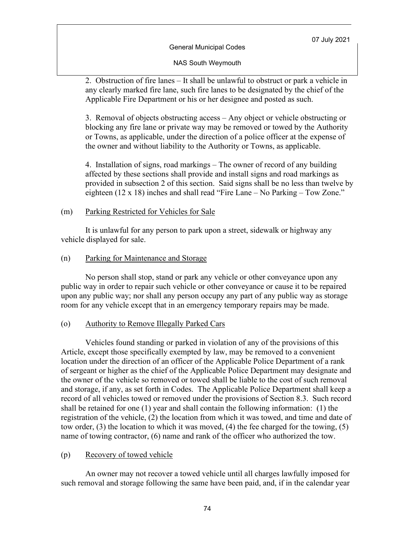#### NAS South Weymouth

2. Obstruction of fire lanes – It shall be unlawful to obstruct or park a vehicle in any clearly marked fire lane, such fire lanes to be designated by the chief of the Applicable Fire Department or his or her designee and posted as such.

3. Removal of objects obstructing access – Any object or vehicle obstructing or blocking any fire lane or private way may be removed or towed by the Authority or Towns, as applicable, under the direction of a police officer at the expense of the owner and without liability to the Authority or Towns, as applicable.

4. Installation of signs, road markings – The owner of record of any building affected by these sections shall provide and install signs and road markings as provided in subsection 2 of this section. Said signs shall be no less than twelve by eighteen (12 x 18) inches and shall read "Fire Lane – No Parking – Tow Zone."

#### (m) Parking Restricted for Vehicles for Sale

It is unlawful for any person to park upon a street, sidewalk or highway any vehicle displayed for sale.

#### (n) Parking for Maintenance and Storage

No person shall stop, stand or park any vehicle or other conveyance upon any public way in order to repair such vehicle or other conveyance or cause it to be repaired upon any public way; nor shall any person occupy any part of any public way as storage room for any vehicle except that in an emergency temporary repairs may be made.

#### (o) Authority to Remove Illegally Parked Cars

Vehicles found standing or parked in violation of any of the provisions of this Article, except those specifically exempted by law, may be removed to a convenient location under the direction of an officer of the Applicable Police Department of a rank of sergeant or higher as the chief of the Applicable Police Department may designate and the owner of the vehicle so removed or towed shall be liable to the cost of such removal and storage, if any, as set forth in Codes. The Applicable Police Department shall keep a record of all vehicles towed or removed under the provisions of Section 8.3. Such record shall be retained for one (1) year and shall contain the following information: (1) the registration of the vehicle, (2) the location from which it was towed, and time and date of tow order, (3) the location to which it was moved, (4) the fee charged for the towing, (5) name of towing contractor, (6) name and rank of the officer who authorized the tow.

#### (p) Recovery of towed vehicle

An owner may not recover a towed vehicle until all charges lawfully imposed for such removal and storage following the same have been paid, and, if in the calendar year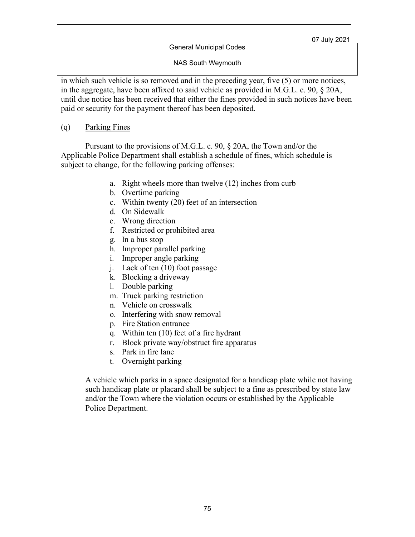NAS South Weymouth

in which such vehicle is so removed and in the preceding year, five (5) or more notices, in the aggregate, have been affixed to said vehicle as provided in M.G.L. c. 90, § 20A, until due notice has been received that either the fines provided in such notices have been paid or security for the payment thereof has been deposited.

(q) Parking Fines

Pursuant to the provisions of M.G.L. c. 90, § 20A, the Town and/or the Applicable Police Department shall establish a schedule of fines, which schedule is subject to change, for the following parking offenses:

- a. Right wheels more than twelve (12) inches from curb
- b. Overtime parking
- c. Within twenty (20) feet of an intersection
- d. On Sidewalk
- e. Wrong direction
- f. Restricted or prohibited area
- g. In a bus stop
- h. Improper parallel parking
- i. Improper angle parking
- j. Lack of ten (10) foot passage
- k. Blocking a driveway
- l. Double parking
- m. Truck parking restriction
- n. Vehicle on crosswalk
- o. Interfering with snow removal
- p. Fire Station entrance
- q. Within ten (10) feet of a fire hydrant
- r. Block private way/obstruct fire apparatus
- s. Park in fire lane
- t. Overnight parking

A vehicle which parks in a space designated for a handicap plate while not having such handicap plate or placard shall be subject to a fine as prescribed by state law and/or the Town where the violation occurs or established by the Applicable Police Department.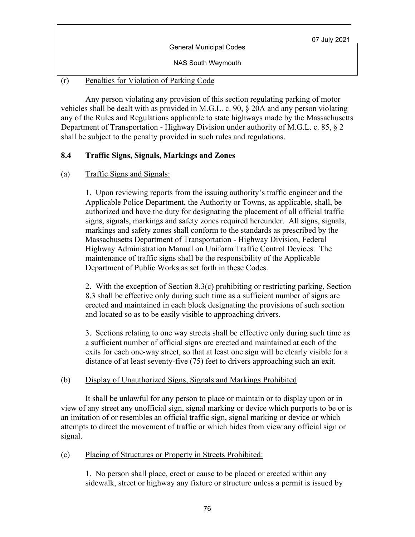| <b>General Municipal Codes</b> | 07 July 2021 |
|--------------------------------|--------------|
| <b>NAS South Weymouth</b>      |              |

### (r) Penalties for Violation of Parking Code

Any person violating any provision of this section regulating parking of motor vehicles shall be dealt with as provided in M.G.L. c. 90, § 20A and any person violating any of the Rules and Regulations applicable to state highways made by the Massachusetts Department of Transportation - Highway Division under authority of M.G.L. c. 85, § 2 shall be subject to the penalty provided in such rules and regulations.

# **8.4 Traffic Signs, Signals, Markings and Zones**

### (a) Traffic Signs and Signals:

1. Upon reviewing reports from the issuing authority's traffic engineer and the Applicable Police Department, the Authority or Towns, as applicable, shall, be authorized and have the duty for designating the placement of all official traffic signs, signals, markings and safety zones required hereunder. All signs, signals, markings and safety zones shall conform to the standards as prescribed by the Massachusetts Department of Transportation - Highway Division, Federal Highway Administration Manual on Uniform Traffic Control Devices. The maintenance of traffic signs shall be the responsibility of the Applicable Department of Public Works as set forth in these Codes.

2. With the exception of Section 8.3(c) prohibiting or restricting parking, Section 8.3 shall be effective only during such time as a sufficient number of signs are erected and maintained in each block designating the provisions of such section and located so as to be easily visible to approaching drivers.

3. Sections relating to one way streets shall be effective only during such time as a sufficient number of official signs are erected and maintained at each of the exits for each one-way street, so that at least one sign will be clearly visible for a distance of at least seventy-five (75) feet to drivers approaching such an exit.

#### (b) Display of Unauthorized Signs, Signals and Markings Prohibited

It shall be unlawful for any person to place or maintain or to display upon or in view of any street any unofficial sign, signal marking or device which purports to be or is an imitation of or resembles an official traffic sign, signal marking or device or which attempts to direct the movement of traffic or which hides from view any official sign or signal.

#### (c) Placing of Structures or Property in Streets Prohibited:

1. No person shall place, erect or cause to be placed or erected within any sidewalk, street or highway any fixture or structure unless a permit is issued by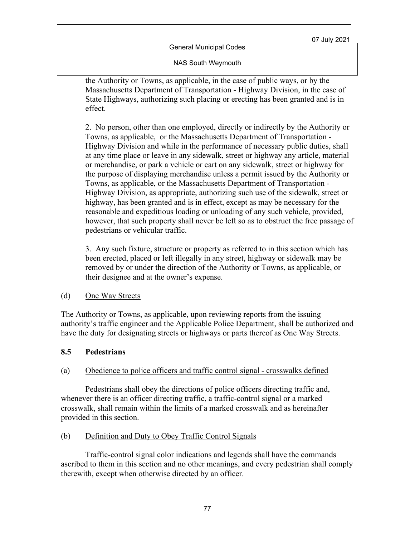NAS South Weymouth

the Authority or Towns, as applicable, in the case of public ways, or by the Massachusetts Department of Transportation - Highway Division, in the case of State Highways, authorizing such placing or erecting has been granted and is in effect.

2. No person, other than one employed, directly or indirectly by the Authority or Towns, as applicable, or the Massachusetts Department of Transportation - Highway Division and while in the performance of necessary public duties, shall at any time place or leave in any sidewalk, street or highway any article, material or merchandise, or park a vehicle or cart on any sidewalk, street or highway for the purpose of displaying merchandise unless a permit issued by the Authority or Towns, as applicable, or the Massachusetts Department of Transportation - Highway Division, as appropriate, authorizing such use of the sidewalk, street or highway, has been granted and is in effect, except as may be necessary for the reasonable and expeditious loading or unloading of any such vehicle, provided, however, that such property shall never be left so as to obstruct the free passage of pedestrians or vehicular traffic.

3. Any such fixture, structure or property as referred to in this section which has been erected, placed or left illegally in any street, highway or sidewalk may be removed by or under the direction of the Authority or Towns, as applicable, or their designee and at the owner's expense.

#### (d) One Way Streets

The Authority or Towns, as applicable, upon reviewing reports from the issuing authority's traffic engineer and the Applicable Police Department, shall be authorized and have the duty for designating streets or highways or parts thereof as One Way Streets.

# **8.5 Pedestrians**

# (a) Obedience to police officers and traffic control signal - crosswalks defined

Pedestrians shall obey the directions of police officers directing traffic and, whenever there is an officer directing traffic, a traffic-control signal or a marked crosswalk, shall remain within the limits of a marked crosswalk and as hereinafter provided in this section.

# (b) Definition and Duty to Obey Traffic Control Signals

Traffic-control signal color indications and legends shall have the commands ascribed to them in this section and no other meanings, and every pedestrian shall comply therewith, except when otherwise directed by an officer.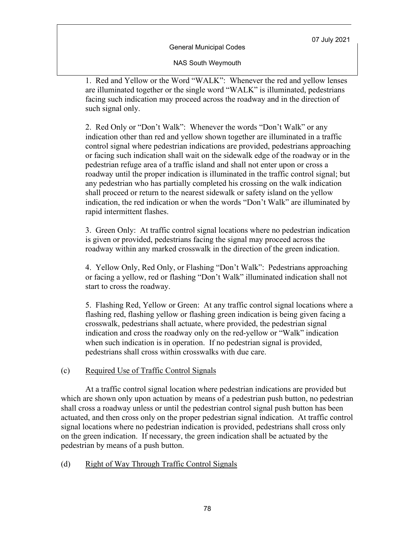NAS South Weymouth

1. Red and Yellow or the Word "WALK": Whenever the red and yellow lenses are illuminated together or the single word "WALK" is illuminated, pedestrians facing such indication may proceed across the roadway and in the direction of such signal only.

2. Red Only or "Don't Walk": Whenever the words "Don't Walk" or any indication other than red and yellow shown together are illuminated in a traffic control signal where pedestrian indications are provided, pedestrians approaching or facing such indication shall wait on the sidewalk edge of the roadway or in the pedestrian refuge area of a traffic island and shall not enter upon or cross a roadway until the proper indication is illuminated in the traffic control signal; but any pedestrian who has partially completed his crossing on the walk indication shall proceed or return to the nearest sidewalk or safety island on the yellow indication, the red indication or when the words "Don't Walk" are illuminated by rapid intermittent flashes.

3. Green Only: At traffic control signal locations where no pedestrian indication is given or provided, pedestrians facing the signal may proceed across the roadway within any marked crosswalk in the direction of the green indication.

4. Yellow Only, Red Only, or Flashing "Don't Walk": Pedestrians approaching or facing a yellow, red or flashing "Don't Walk" illuminated indication shall not start to cross the roadway.

5. Flashing Red, Yellow or Green: At any traffic control signal locations where a flashing red, flashing yellow or flashing green indication is being given facing a crosswalk, pedestrians shall actuate, where provided, the pedestrian signal indication and cross the roadway only on the red-yellow or "Walk" indication when such indication is in operation. If no pedestrian signal is provided, pedestrians shall cross within crosswalks with due care.

# (c) Required Use of Traffic Control Signals

At a traffic control signal location where pedestrian indications are provided but which are shown only upon actuation by means of a pedestrian push button, no pedestrian shall cross a roadway unless or until the pedestrian control signal push button has been actuated, and then cross only on the proper pedestrian signal indication. At traffic control signal locations where no pedestrian indication is provided, pedestrians shall cross only on the green indication. If necessary, the green indication shall be actuated by the pedestrian by means of a push button.

# (d) Right of Way Through Traffic Control Signals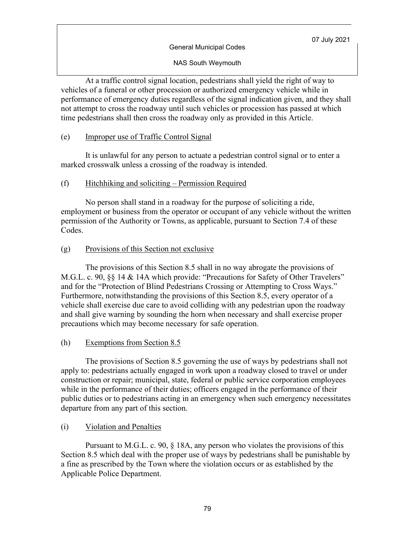NAS South Weymouth

At a traffic control signal location, pedestrians shall yield the right of way to vehicles of a funeral or other procession or authorized emergency vehicle while in performance of emergency duties regardless of the signal indication given, and they shall not attempt to cross the roadway until such vehicles or procession has passed at which time pedestrians shall then cross the roadway only as provided in this Article.

### (e) Improper use of Traffic Control Signal

It is unlawful for any person to actuate a pedestrian control signal or to enter a marked crosswalk unless a crossing of the roadway is intended.

### (f) Hitchhiking and soliciting – Permission Required

No person shall stand in a roadway for the purpose of soliciting a ride, employment or business from the operator or occupant of any vehicle without the written permission of the Authority or Towns, as applicable, pursuant to Section 7.4 of these Codes.

### (g) Provisions of this Section not exclusive

The provisions of this Section 8.5 shall in no way abrogate the provisions of M.G.L. c. 90, §§ 14 & 14A which provide: "Precautions for Safety of Other Travelers" and for the "Protection of Blind Pedestrians Crossing or Attempting to Cross Ways." Furthermore, notwithstanding the provisions of this Section 8.5, every operator of a vehicle shall exercise due care to avoid colliding with any pedestrian upon the roadway and shall give warning by sounding the horn when necessary and shall exercise proper precautions which may become necessary for safe operation.

# (h) Exemptions from Section 8.5

The provisions of Section 8.5 governing the use of ways by pedestrians shall not apply to: pedestrians actually engaged in work upon a roadway closed to travel or under construction or repair; municipal, state, federal or public service corporation employees while in the performance of their duties; officers engaged in the performance of their public duties or to pedestrians acting in an emergency when such emergency necessitates departure from any part of this section.

# (i) Violation and Penalties

Pursuant to M.G.L. c. 90, § 18A, any person who violates the provisions of this Section 8.5 which deal with the proper use of ways by pedestrians shall be punishable by a fine as prescribed by the Town where the violation occurs or as established by the Applicable Police Department.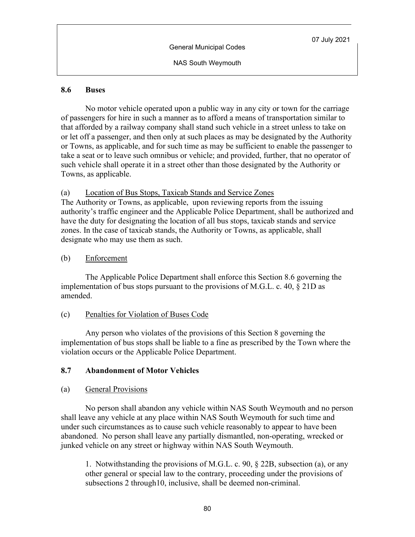NAS South Weymouth

#### **8.6 Buses**

No motor vehicle operated upon a public way in any city or town for the carriage of passengers for hire in such a manner as to afford a means of transportation similar to that afforded by a railway company shall stand such vehicle in a street unless to take on or let off a passenger, and then only at such places as may be designated by the Authority or Towns, as applicable, and for such time as may be sufficient to enable the passenger to take a seat or to leave such omnibus or vehicle; and provided, further, that no operator of such vehicle shall operate it in a street other than those designated by the Authority or Towns, as applicable.

# (a) Location of Bus Stops, Taxicab Stands and Service Zones

The Authority or Towns, as applicable, upon reviewing reports from the issuing authority's traffic engineer and the Applicable Police Department, shall be authorized and have the duty for designating the location of all bus stops, taxicab stands and service zones. In the case of taxicab stands, the Authority or Towns, as applicable, shall designate who may use them as such.

# (b) Enforcement

 The Applicable Police Department shall enforce this Section 8.6 governing the implementation of bus stops pursuant to the provisions of M.G.L. c. 40, § 21D as amended.

# (c) Penalties for Violation of Buses Code

Any person who violates of the provisions of this Section 8 governing the implementation of bus stops shall be liable to a fine as prescribed by the Town where the violation occurs or the Applicable Police Department.

# **8.7 Abandonment of Motor Vehicles**

# (a) General Provisions

No person shall abandon any vehicle within NAS South Weymouth and no person shall leave any vehicle at any place within NAS South Weymouth for such time and under such circumstances as to cause such vehicle reasonably to appear to have been abandoned. No person shall leave any partially dismantled, non-operating, wrecked or junked vehicle on any street or highway within NAS South Weymouth.

1. Notwithstanding the provisions of M.G.L. c. 90, § 22B, subsection (a), or any other general or special law to the contrary, proceeding under the provisions of subsections 2 through10, inclusive, shall be deemed non-criminal.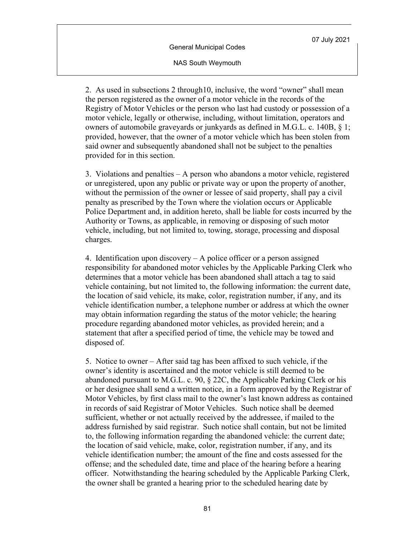NAS South Weymouth

2. As used in subsections 2 through10, inclusive, the word "owner" shall mean the person registered as the owner of a motor vehicle in the records of the Registry of Motor Vehicles or the person who last had custody or possession of a motor vehicle, legally or otherwise, including, without limitation, operators and owners of automobile graveyards or junkyards as defined in M.G.L. c. 140B, § 1; provided, however, that the owner of a motor vehicle which has been stolen from said owner and subsequently abandoned shall not be subject to the penalties provided for in this section.

3. Violations and penalties – A person who abandons a motor vehicle, registered or unregistered, upon any public or private way or upon the property of another, without the permission of the owner or lessee of said property, shall pay a civil penalty as prescribed by the Town where the violation occurs or Applicable Police Department and, in addition hereto, shall be liable for costs incurred by the Authority or Towns, as applicable, in removing or disposing of such motor vehicle, including, but not limited to, towing, storage, processing and disposal charges.

4. Identification upon discovery – A police officer or a person assigned responsibility for abandoned motor vehicles by the Applicable Parking Clerk who determines that a motor vehicle has been abandoned shall attach a tag to said vehicle containing, but not limited to, the following information: the current date, the location of said vehicle, its make, color, registration number, if any, and its vehicle identification number, a telephone number or address at which the owner may obtain information regarding the status of the motor vehicle; the hearing procedure regarding abandoned motor vehicles, as provided herein; and a statement that after a specified period of time, the vehicle may be towed and disposed of.

5. Notice to owner – After said tag has been affixed to such vehicle, if the owner's identity is ascertained and the motor vehicle is still deemed to be abandoned pursuant to M.G.L. c. 90, § 22C, the Applicable Parking Clerk or his or her designee shall send a written notice, in a form approved by the Registrar of Motor Vehicles, by first class mail to the owner's last known address as contained in records of said Registrar of Motor Vehicles. Such notice shall be deemed sufficient, whether or not actually received by the addressee, if mailed to the address furnished by said registrar. Such notice shall contain, but not be limited to, the following information regarding the abandoned vehicle: the current date; the location of said vehicle, make, color, registration number, if any, and its vehicle identification number; the amount of the fine and costs assessed for the offense; and the scheduled date, time and place of the hearing before a hearing officer. Notwithstanding the hearing scheduled by the Applicable Parking Clerk, the owner shall be granted a hearing prior to the scheduled hearing date by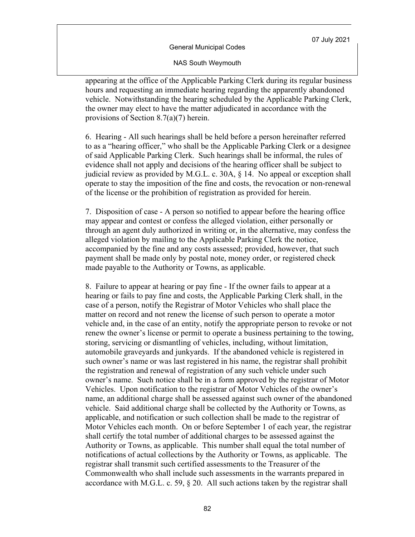#### NAS South Weymouth

appearing at the office of the Applicable Parking Clerk during its regular business hours and requesting an immediate hearing regarding the apparently abandoned vehicle. Notwithstanding the hearing scheduled by the Applicable Parking Clerk, the owner may elect to have the matter adjudicated in accordance with the provisions of Section 8.7(a)(7) herein.

6. Hearing - All such hearings shall be held before a person hereinafter referred to as a "hearing officer," who shall be the Applicable Parking Clerk or a designee of said Applicable Parking Clerk. Such hearings shall be informal, the rules of evidence shall not apply and decisions of the hearing officer shall be subject to judicial review as provided by M.G.L. c. 30A, § 14. No appeal or exception shall operate to stay the imposition of the fine and costs, the revocation or non-renewal of the license or the prohibition of registration as provided for herein.

7. Disposition of case - A person so notified to appear before the hearing office may appear and contest or confess the alleged violation, either personally or through an agent duly authorized in writing or, in the alternative, may confess the alleged violation by mailing to the Applicable Parking Clerk the notice, accompanied by the fine and any costs assessed; provided, however, that such payment shall be made only by postal note, money order, or registered check made payable to the Authority or Towns, as applicable.

8. Failure to appear at hearing or pay fine - If the owner fails to appear at a hearing or fails to pay fine and costs, the Applicable Parking Clerk shall, in the case of a person, notify the Registrar of Motor Vehicles who shall place the matter on record and not renew the license of such person to operate a motor vehicle and, in the case of an entity, notify the appropriate person to revoke or not renew the owner's license or permit to operate a business pertaining to the towing, storing, servicing or dismantling of vehicles, including, without limitation, automobile graveyards and junkyards. If the abandoned vehicle is registered in such owner's name or was last registered in his name, the registrar shall prohibit the registration and renewal of registration of any such vehicle under such owner's name. Such notice shall be in a form approved by the registrar of Motor Vehicles. Upon notification to the registrar of Motor Vehicles of the owner's name, an additional charge shall be assessed against such owner of the abandoned vehicle. Said additional charge shall be collected by the Authority or Towns, as applicable, and notification or such collection shall be made to the registrar of Motor Vehicles each month. On or before September 1 of each year, the registrar shall certify the total number of additional charges to be assessed against the Authority or Towns, as applicable. This number shall equal the total number of notifications of actual collections by the Authority or Towns, as applicable. The registrar shall transmit such certified assessments to the Treasurer of the Commonwealth who shall include such assessments in the warrants prepared in accordance with M.G.L. c. 59,  $\S$  20. All such actions taken by the registrar shall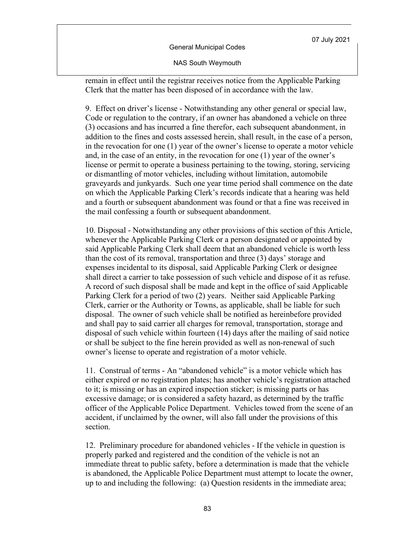General Municipal Codes

NAS South Weymouth

remain in effect until the registrar receives notice from the Applicable Parking Clerk that the matter has been disposed of in accordance with the law.

9. Effect on driver's license - Notwithstanding any other general or special law, Code or regulation to the contrary, if an owner has abandoned a vehicle on three (3) occasions and has incurred a fine therefor, each subsequent abandonment, in addition to the fines and costs assessed herein, shall result, in the case of a person, in the revocation for one (1) year of the owner's license to operate a motor vehicle and, in the case of an entity, in the revocation for one (1) year of the owner's license or permit to operate a business pertaining to the towing, storing, servicing or dismantling of motor vehicles, including without limitation, automobile graveyards and junkyards. Such one year time period shall commence on the date on which the Applicable Parking Clerk's records indicate that a hearing was held and a fourth or subsequent abandonment was found or that a fine was received in the mail confessing a fourth or subsequent abandonment.

10. Disposal - Notwithstanding any other provisions of this section of this Article, whenever the Applicable Parking Clerk or a person designated or appointed by said Applicable Parking Clerk shall deem that an abandoned vehicle is worth less than the cost of its removal, transportation and three (3) days' storage and expenses incidental to its disposal, said Applicable Parking Clerk or designee shall direct a carrier to take possession of such vehicle and dispose of it as refuse. A record of such disposal shall be made and kept in the office of said Applicable Parking Clerk for a period of two (2) years. Neither said Applicable Parking Clerk, carrier or the Authority or Towns, as applicable, shall be liable for such disposal. The owner of such vehicle shall be notified as hereinbefore provided and shall pay to said carrier all charges for removal, transportation, storage and disposal of such vehicle within fourteen (14) days after the mailing of said notice or shall be subject to the fine herein provided as well as non-renewal of such owner's license to operate and registration of a motor vehicle.

11. Construal of terms - An "abandoned vehicle" is a motor vehicle which has either expired or no registration plates; has another vehicle's registration attached to it; is missing or has an expired inspection sticker; is missing parts or has excessive damage; or is considered a safety hazard, as determined by the traffic officer of the Applicable Police Department. Vehicles towed from the scene of an accident, if unclaimed by the owner, will also fall under the provisions of this section.

12. Preliminary procedure for abandoned vehicles - If the vehicle in question is properly parked and registered and the condition of the vehicle is not an immediate threat to public safety, before a determination is made that the vehicle is abandoned, the Applicable Police Department must attempt to locate the owner, up to and including the following: (a) Question residents in the immediate area;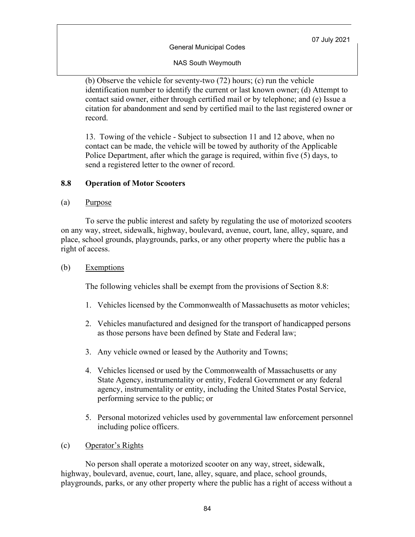General Municipal Codes

NAS South Weymouth

(b) Observe the vehicle for seventy-two (72) hours; (c) run the vehicle identification number to identify the current or last known owner; (d) Attempt to contact said owner, either through certified mail or by telephone; and (e) Issue a citation for abandonment and send by certified mail to the last registered owner or record.

13. Towing of the vehicle - Subject to subsection 11 and 12 above, when no contact can be made, the vehicle will be towed by authority of the Applicable Police Department, after which the garage is required, within five (5) days, to send a registered letter to the owner of record.

### **8.8 Operation of Motor Scooters**

#### (a) Purpose

To serve the public interest and safety by regulating the use of motorized scooters on any way, street, sidewalk, highway, boulevard, avenue, court, lane, alley, square, and place, school grounds, playgrounds, parks, or any other property where the public has a right of access.

### (b) Exemptions

The following vehicles shall be exempt from the provisions of Section 8.8:

- 1. Vehicles licensed by the Commonwealth of Massachusetts as motor vehicles;
- 2. Vehicles manufactured and designed for the transport of handicapped persons as those persons have been defined by State and Federal law;
- 3. Any vehicle owned or leased by the Authority and Towns;
- 4. Vehicles licensed or used by the Commonwealth of Massachusetts or any State Agency, instrumentality or entity, Federal Government or any federal agency, instrumentality or entity, including the United States Postal Service, performing service to the public; or
- 5. Personal motorized vehicles used by governmental law enforcement personnel including police officers.
- (c) Operator's Rights

No person shall operate a motorized scooter on any way, street, sidewalk, highway, boulevard, avenue, court, lane, alley, square, and place, school grounds, playgrounds, parks, or any other property where the public has a right of access without a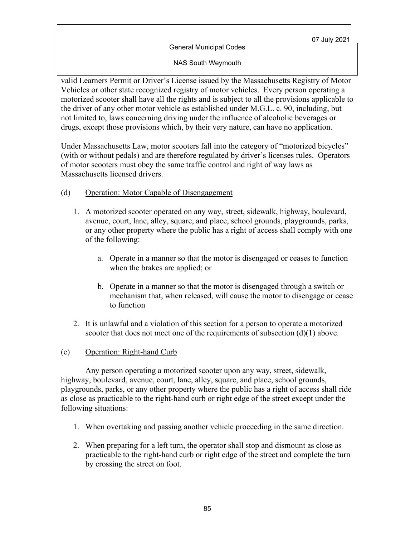General Municipal Codes

NAS South Weymouth

valid Learners Permit or Driver's License issued by the Massachusetts Registry of Motor Vehicles or other state recognized registry of motor vehicles. Every person operating a motorized scooter shall have all the rights and is subject to all the provisions applicable to the driver of any other motor vehicle as established under M.G.L. c. 90, including, but not limited to, laws concerning driving under the influence of alcoholic beverages or drugs, except those provisions which, by their very nature, can have no application.

Under Massachusetts Law, motor scooters fall into the category of "motorized bicycles" (with or without pedals) and are therefore regulated by driver's licenses rules. Operators of motor scooters must obey the same traffic control and right of way laws as Massachusetts licensed drivers.

# (d) Operation: Motor Capable of Disengagement

- 1. A motorized scooter operated on any way, street, sidewalk, highway, boulevard, avenue, court, lane, alley, square, and place, school grounds, playgrounds, parks, or any other property where the public has a right of access shall comply with one of the following:
	- a. Operate in a manner so that the motor is disengaged or ceases to function when the brakes are applied; or
	- b. Operate in a manner so that the motor is disengaged through a switch or mechanism that, when released, will cause the motor to disengage or cease to function
- 2. It is unlawful and a violation of this section for a person to operate a motorized scooter that does not meet one of the requirements of subsection  $(d)(1)$  above.

#### (e) Operation: Right-hand Curb

Any person operating a motorized scooter upon any way, street, sidewalk, highway, boulevard, avenue, court, lane, alley, square, and place, school grounds, playgrounds, parks, or any other property where the public has a right of access shall ride as close as practicable to the right-hand curb or right edge of the street except under the following situations:

- 1. When overtaking and passing another vehicle proceeding in the same direction.
- 2. When preparing for a left turn, the operator shall stop and dismount as close as practicable to the right-hand curb or right edge of the street and complete the turn by crossing the street on foot.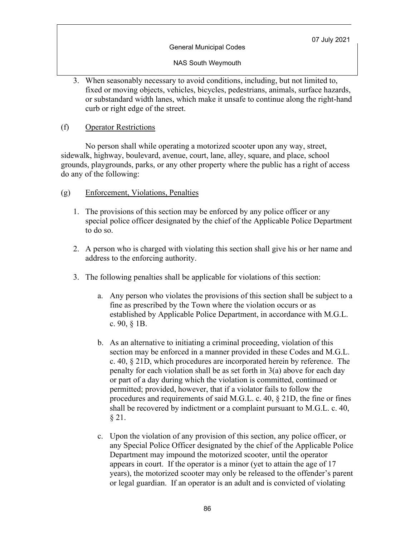NAS South Weymouth

3. When seasonably necessary to avoid conditions, including, but not limited to, fixed or moving objects, vehicles, bicycles, pedestrians, animals, surface hazards, or substandard width lanes, which make it unsafe to continue along the right-hand curb or right edge of the street.

### (f) Operator Restrictions

No person shall while operating a motorized scooter upon any way, street, sidewalk, highway, boulevard, avenue, court, lane, alley, square, and place, school grounds, playgrounds, parks, or any other property where the public has a right of access do any of the following:

### (g) Enforcement, Violations, Penalties

- 1. The provisions of this section may be enforced by any police officer or any special police officer designated by the chief of the Applicable Police Department to do so.
- 2. A person who is charged with violating this section shall give his or her name and address to the enforcing authority.
- 3. The following penalties shall be applicable for violations of this section:
	- a. Any person who violates the provisions of this section shall be subject to a fine as prescribed by the Town where the violation occurs or as established by Applicable Police Department, in accordance with M.G.L. c. 90, § 1B.
	- b. As an alternative to initiating a criminal proceeding, violation of this section may be enforced in a manner provided in these Codes and M.G.L. c. 40, § 21D, which procedures are incorporated herein by reference. The penalty for each violation shall be as set forth in 3(a) above for each day or part of a day during which the violation is committed, continued or permitted; provided, however, that if a violator fails to follow the procedures and requirements of said M.G.L. c. 40, § 21D, the fine or fines shall be recovered by indictment or a complaint pursuant to M.G.L. c. 40, § 21.
	- c. Upon the violation of any provision of this section, any police officer, or any Special Police Officer designated by the chief of the Applicable Police Department may impound the motorized scooter, until the operator appears in court. If the operator is a minor (yet to attain the age of 17 years), the motorized scooter may only be released to the offender's parent or legal guardian. If an operator is an adult and is convicted of violating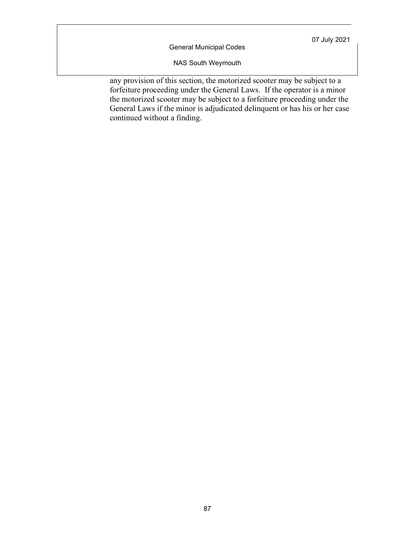General Municipal Codes

NAS South Weymouth

any provision of this section, the motorized scooter may be subject to a forfeiture proceeding under the General Laws. If the operator is a minor the motorized scooter may be subject to a forfeiture proceeding under the General Laws if the minor is adjudicated delinquent or has his or her case continued without a finding.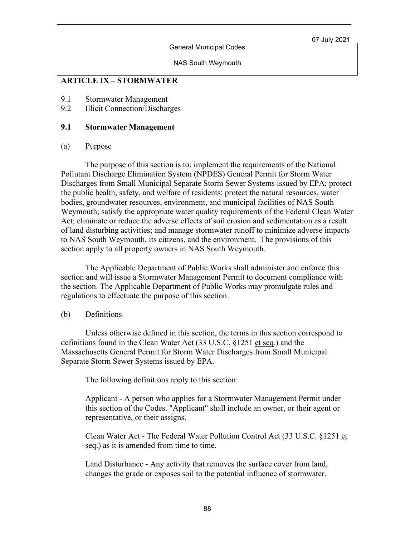General Municipal Codes

NAS South Weymouth

# **ARTICLE IX – STORMWATER**

- 9.1 Stormwater Management
- 9.2 Illicit Connection/Discharges

#### **9.1 Stormwater Management**

#### (a) Purpose

The purpose of this section is to: implement the requirements of the National Pollutant Discharge Elimination System (NPDES) General Permit for Storm Water Discharges from Small Municipal Separate Storm Sewer Systems issued by EPA; protect the public health, safety, and welfare of residents; protect the natural resources, water bodies, groundwater resources, environment, and municipal facilities of NAS South Weymouth; satisfy the appropriate water quality requirements of the Federal Clean Water Act; eliminate or reduce the adverse effects of soil erosion and sedimentation as a result of land disturbing activities; and manage stormwater runoff to minimize adverse impacts to NAS South Weymouth, its citizens, and the environment. The provisions of this section apply to all property owners in NAS South Weymouth.

The Applicable Department of Public Works shall administer and enforce this section and will issue a Stormwater Management Permit to document compliance with the section. The Applicable Department of Public Works may promulgate rules and regulations to effectuate the purpose of this section.

#### (b) Definitions

Unless otherwise defined in this section, the terms in this section correspond to definitions found in the Clean Water Act (33 U.S.C. §1251 et seq.) and the Massachusetts General Permit for Storm Water Discharges from Small Municipal Separate Storm Sewer Systems issued by EPA.

The following definitions apply to this section:

Applicant - A person who applies for a Stormwater Management Permit under this section of the Codes. "Applicant" shall include an owner, or their agent or representative, or their assigns.

Clean Water Act - The Federal Water Pollution Control Act (33 U.S.C. §1251 et seq.) as it is amended from time to time.

Land Disturbance - Any activity that removes the surface cover from land, changes the grade or exposes soil to the potential influence of stormwater.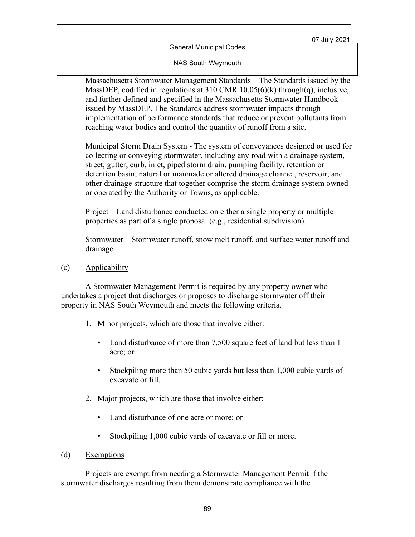General Municipal Codes

NAS South Weymouth

Massachusetts Stormwater Management Standards – The Standards issued by the MassDEP, codified in regulations at 310 CMR 10.05(6)(k) through(q), inclusive, and further defined and specified in the Massachusetts Stormwater Handbook issued by MassDEP. The Standards address stormwater impacts through implementation of performance standards that reduce or prevent pollutants from reaching water bodies and control the quantity of runoff from a site.

Municipal Storm Drain System - The system of conveyances designed or used for collecting or conveying stormwater, including any road with a drainage system, street, gutter, curb, inlet, piped storm drain, pumping facility, retention or detention basin, natural or manmade or altered drainage channel, reservoir, and other drainage structure that together comprise the storm drainage system owned or operated by the Authority or Towns, as applicable.

Project – Land disturbance conducted on either a single property or multiple properties as part of a single proposal (e.g., residential subdivision).

Stormwater – Stormwater runoff, snow melt runoff, and surface water runoff and drainage.

(c) Applicability

A Stormwater Management Permit is required by any property owner who undertakes a project that discharges or proposes to discharge stormwater off their property in NAS South Weymouth and meets the following criteria.

- 1. Minor projects, which are those that involve either:
	- Land disturbance of more than 7,500 square feet of land but less than 1 acre; or
	- Stockpiling more than 50 cubic yards but less than 1,000 cubic yards of excavate or fill.
- 2. Major projects, which are those that involve either:
	- Land disturbance of one acre or more; or
	- Stockpiling 1,000 cubic yards of excavate or fill or more.
- (d) Exemptions

Projects are exempt from needing a Stormwater Management Permit if the stormwater discharges resulting from them demonstrate compliance with the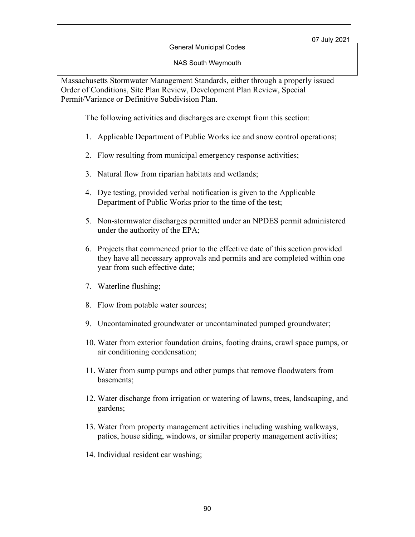General Municipal Codes

NAS South Weymouth

Massachusetts Stormwater Management Standards, either through a properly issued Order of Conditions, Site Plan Review, Development Plan Review, Special Permit/Variance or Definitive Subdivision Plan.

The following activities and discharges are exempt from this section:

- 1. Applicable Department of Public Works ice and snow control operations;
- 2. Flow resulting from municipal emergency response activities;
- 3. Natural flow from riparian habitats and wetlands;
- 4. Dye testing, provided verbal notification is given to the Applicable Department of Public Works prior to the time of the test;
- 5. Non-stormwater discharges permitted under an NPDES permit administered under the authority of the EPA;
- 6. Projects that commenced prior to the effective date of this section provided they have all necessary approvals and permits and are completed within one year from such effective date;
- 7. Waterline flushing;
- 8. Flow from potable water sources;
- 9. Uncontaminated groundwater or uncontaminated pumped groundwater;
- 10. Water from exterior foundation drains, footing drains, crawl space pumps, or air conditioning condensation;
- 11. Water from sump pumps and other pumps that remove floodwaters from basements;
- 12. Water discharge from irrigation or watering of lawns, trees, landscaping, and gardens;
- 13. Water from property management activities including washing walkways, patios, house siding, windows, or similar property management activities;
- 14. Individual resident car washing;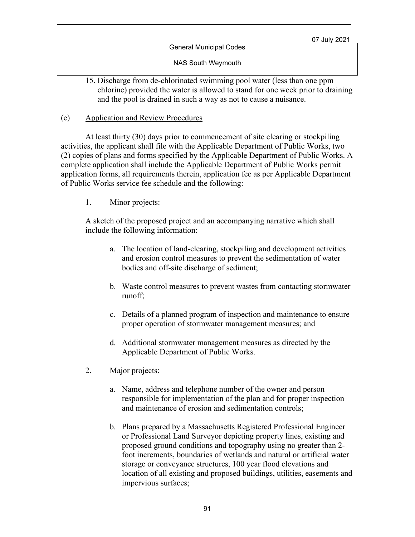General Municipal Codes

NAS South Weymouth

15. Discharge from de-chlorinated swimming pool water (less than one ppm chlorine) provided the water is allowed to stand for one week prior to draining and the pool is drained in such a way as not to cause a nuisance.

### (e) Application and Review Procedures

At least thirty (30) days prior to commencement of site clearing or stockpiling activities, the applicant shall file with the Applicable Department of Public Works, two (2) copies of plans and forms specified by the Applicable Department of Public Works. A complete application shall include the Applicable Department of Public Works permit application forms, all requirements therein, application fee as per Applicable Department of Public Works service fee schedule and the following:

1. Minor projects:

A sketch of the proposed project and an accompanying narrative which shall include the following information:

- a. The location of land-clearing, stockpiling and development activities and erosion control measures to prevent the sedimentation of water bodies and off-site discharge of sediment;
- b. Waste control measures to prevent wastes from contacting stormwater runoff;
- c. Details of a planned program of inspection and maintenance to ensure proper operation of stormwater management measures; and
- d. Additional stormwater management measures as directed by the Applicable Department of Public Works.
- 2. Major projects:
	- a. Name, address and telephone number of the owner and person responsible for implementation of the plan and for proper inspection and maintenance of erosion and sedimentation controls;
	- b. Plans prepared by a Massachusetts Registered Professional Engineer or Professional Land Surveyor depicting property lines, existing and proposed ground conditions and topography using no greater than 2 foot increments, boundaries of wetlands and natural or artificial water storage or conveyance structures, 100 year flood elevations and location of all existing and proposed buildings, utilities, easements and impervious surfaces;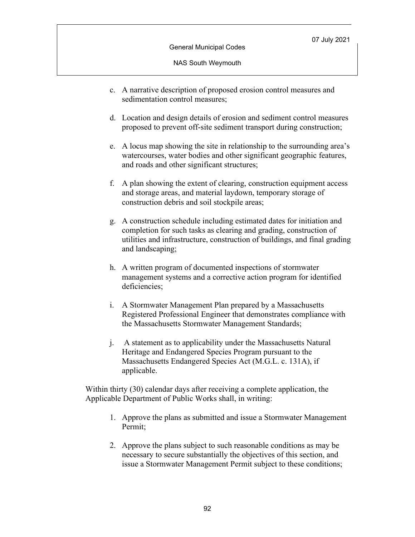- c. A narrative description of proposed erosion control measures and sedimentation control measures;
- d. Location and design details of erosion and sediment control measures proposed to prevent off-site sediment transport during construction;
- e. A locus map showing the site in relationship to the surrounding area's watercourses, water bodies and other significant geographic features, and roads and other significant structures;
- f. A plan showing the extent of clearing, construction equipment access and storage areas, and material laydown, temporary storage of construction debris and soil stockpile areas;
- g. A construction schedule including estimated dates for initiation and completion for such tasks as clearing and grading, construction of utilities and infrastructure, construction of buildings, and final grading and landscaping;
- h. A written program of documented inspections of stormwater management systems and a corrective action program for identified deficiencies;
- i. A Stormwater Management Plan prepared by a Massachusetts Registered Professional Engineer that demonstrates compliance with the Massachusetts Stormwater Management Standards;
- j. A statement as to applicability under the Massachusetts Natural Heritage and Endangered Species Program pursuant to the Massachusetts Endangered Species Act (M.G.L. c. 131A), if applicable.

Within thirty (30) calendar days after receiving a complete application, the Applicable Department of Public Works shall, in writing:

- 1. Approve the plans as submitted and issue a Stormwater Management Permit;
- 2. Approve the plans subject to such reasonable conditions as may be necessary to secure substantially the objectives of this section, and issue a Stormwater Management Permit subject to these conditions;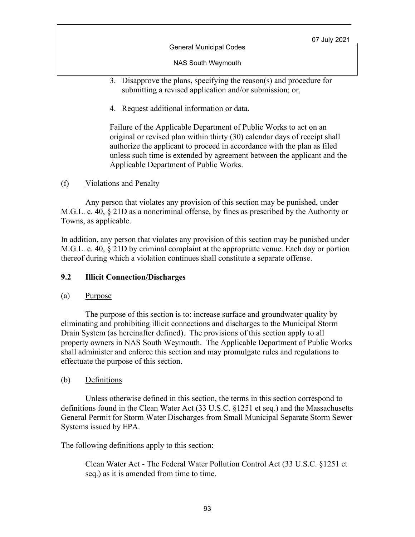General Municipal Codes

NAS South Weymouth

- 3. Disapprove the plans, specifying the reason(s) and procedure for submitting a revised application and/or submission; or,
- 4. Request additional information or data.

Failure of the Applicable Department of Public Works to act on an original or revised plan within thirty (30) calendar days of receipt shall authorize the applicant to proceed in accordance with the plan as filed unless such time is extended by agreement between the applicant and the Applicable Department of Public Works.

# (f) Violations and Penalty

Any person that violates any provision of this section may be punished, under M.G.L. c. 40, § 21D as a noncriminal offense, by fines as prescribed by the Authority or Towns, as applicable.

In addition, any person that violates any provision of this section may be punished under M.G.L. c. 40, § 21D by criminal complaint at the appropriate venue. Each day or portion thereof during which a violation continues shall constitute a separate offense.

# **9.2 Illicit Connection/Discharges**

# (a) Purpose

The purpose of this section is to: increase surface and groundwater quality by eliminating and prohibiting illicit connections and discharges to the Municipal Storm Drain System (as hereinafter defined). The provisions of this section apply to all property owners in NAS South Weymouth. The Applicable Department of Public Works shall administer and enforce this section and may promulgate rules and regulations to effectuate the purpose of this section.

# (b) Definitions

Unless otherwise defined in this section, the terms in this section correspond to definitions found in the Clean Water Act (33 U.S.C. §1251 et seq.) and the Massachusetts General Permit for Storm Water Discharges from Small Municipal Separate Storm Sewer Systems issued by EPA.

The following definitions apply to this section:

Clean Water Act - The Federal Water Pollution Control Act (33 U.S.C. §1251 et seq.) as it is amended from time to time.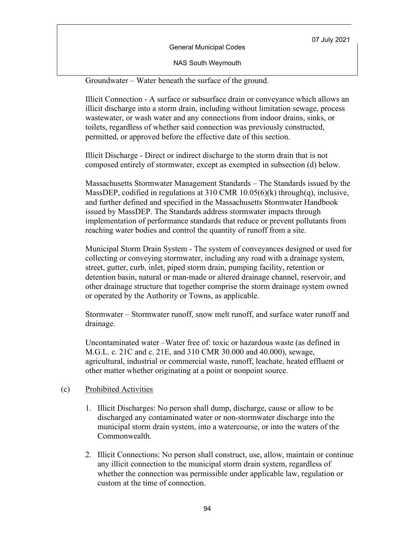NAS South Weymouth

Groundwater – Water beneath the surface of the ground.

Illicit Connection - A surface or subsurface drain or conveyance which allows an illicit discharge into a storm drain, including without limitation sewage, process wastewater, or wash water and any connections from indoor drains, sinks, or toilets, regardless of whether said connection was previously constructed, permitted, or approved before the effective date of this section.

Illicit Discharge - Direct or indirect discharge to the storm drain that is not composed entirely of stormwater, except as exempted in subsection (d) below.

Massachusetts Stormwater Management Standards – The Standards issued by the MassDEP, codified in regulations at 310 CMR 10.05(6)(k) through(q), inclusive, and further defined and specified in the Massachusetts Stormwater Handbook issued by MassDEP. The Standards address stormwater impacts through implementation of performance standards that reduce or prevent pollutants from reaching water bodies and control the quantity of runoff from a site.

Municipal Storm Drain System - The system of conveyances designed or used for collecting or conveying stormwater, including any road with a drainage system, street, gutter, curb, inlet, piped storm drain, pumping facility, retention or detention basin, natural or man-made or altered drainage channel, reservoir, and other drainage structure that together comprise the storm drainage system owned or operated by the Authority or Towns, as applicable.

Stormwater – Stormwater runoff, snow melt runoff, and surface water runoff and drainage.

Uncontaminated water –Water free of: toxic or hazardous waste (as defined in M.G.L. c. 21C and c. 21E, and 310 CMR 30.000 and 40.000), sewage, agricultural, industrial or commercial waste, runoff, leachate, heated effluent or other matter whether originating at a point or nonpoint source.

#### (c) Prohibited Activities

- 1. Illicit Discharges: No person shall dump, discharge, cause or allow to be discharged any contaminated water or non-stormwater discharge into the municipal storm drain system, into a watercourse, or into the waters of the Commonwealth.
- 2. Illicit Connections: No person shall construct, use, allow, maintain or continue any illicit connection to the municipal storm drain system, regardless of whether the connection was permissible under applicable law, regulation or custom at the time of connection.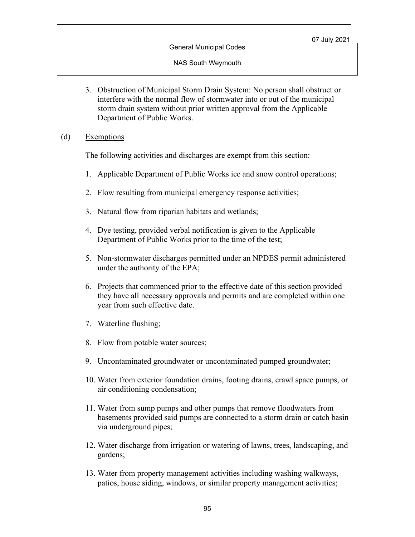#### NAS South Weymouth

3. Obstruction of Municipal Storm Drain System: No person shall obstruct or interfere with the normal flow of stormwater into or out of the municipal storm drain system without prior written approval from the Applicable Department of Public Works.

### (d) Exemptions

The following activities and discharges are exempt from this section:

- 1. Applicable Department of Public Works ice and snow control operations;
- 2. Flow resulting from municipal emergency response activities;
- 3. Natural flow from riparian habitats and wetlands;
- 4. Dye testing, provided verbal notification is given to the Applicable Department of Public Works prior to the time of the test;
- 5. Non-stormwater discharges permitted under an NPDES permit administered under the authority of the EPA;
- 6. Projects that commenced prior to the effective date of this section provided they have all necessary approvals and permits and are completed within one year from such effective date.
- 7. Waterline flushing;
- 8. Flow from potable water sources;
- 9. Uncontaminated groundwater or uncontaminated pumped groundwater;
- 10. Water from exterior foundation drains, footing drains, crawl space pumps, or air conditioning condensation;
- 11. Water from sump pumps and other pumps that remove floodwaters from basements provided said pumps are connected to a storm drain or catch basin via underground pipes;
- 12. Water discharge from irrigation or watering of lawns, trees, landscaping, and gardens;
- 13. Water from property management activities including washing walkways, patios, house siding, windows, or similar property management activities;